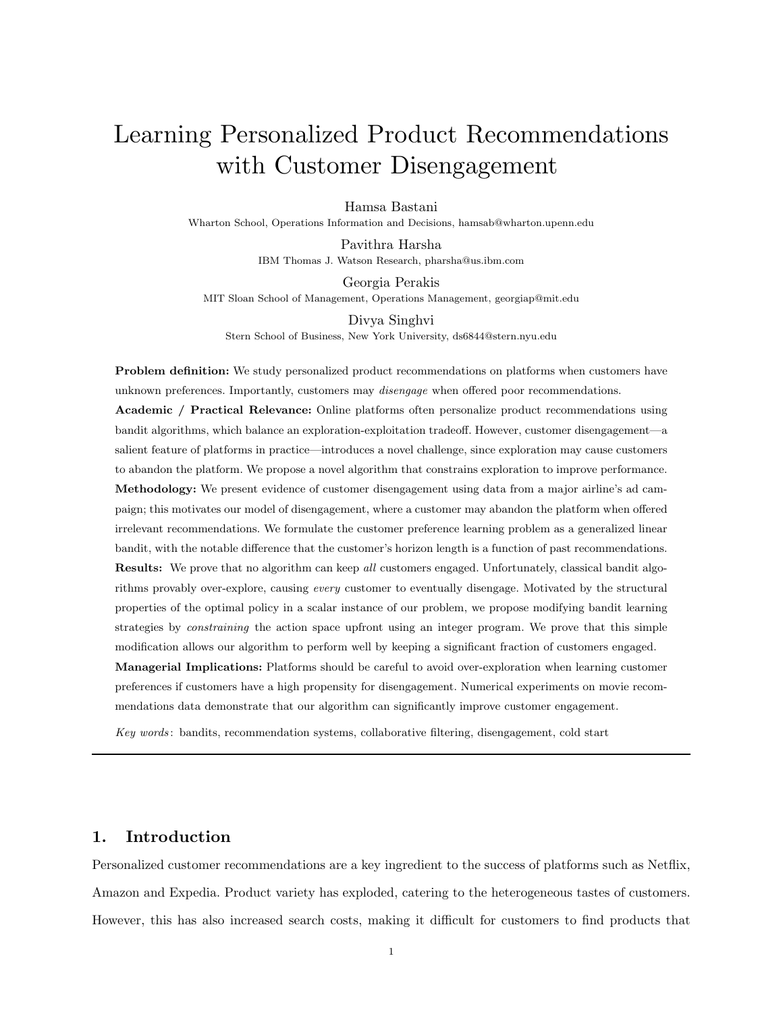# Learning Personalized Product Recommendations with Customer Disengagement

Hamsa Bastani

Wharton School, Operations Information and Decisions, hamsab@wharton.upenn.edu

Pavithra Harsha IBM Thomas J. Watson Research, pharsha@us.ibm.com

Georgia Perakis MIT Sloan School of Management, Operations Management, georgiap@mit.edu

Divya Singhvi Stern School of Business, New York University, ds6844@stern.nyu.edu

Problem definition: We study personalized product recommendations on platforms when customers have unknown preferences. Importantly, customers may *disengage* when offered poor recommendations. Academic / Practical Relevance: Online platforms often personalize product recommendations using bandit algorithms, which balance an exploration-exploitation tradeoff. However, customer disengagement—a salient feature of platforms in practice—introduces a novel challenge, since exploration may cause customers to abandon the platform. We propose a novel algorithm that constrains exploration to improve performance. Methodology: We present evidence of customer disengagement using data from a major airline's ad campaign; this motivates our model of disengagement, where a customer may abandon the platform when offered irrelevant recommendations. We formulate the customer preference learning problem as a generalized linear bandit, with the notable difference that the customer's horizon length is a function of past recommendations. Results: We prove that no algorithm can keep all customers engaged. Unfortunately, classical bandit algorithms provably over-explore, causing every customer to eventually disengage. Motivated by the structural properties of the optimal policy in a scalar instance of our problem, we propose modifying bandit learning strategies by *constraining* the action space upfront using an integer program. We prove that this simple modification allows our algorithm to perform well by keeping a significant fraction of customers engaged. Managerial Implications: Platforms should be careful to avoid over-exploration when learning customer preferences if customers have a high propensity for disengagement. Numerical experiments on movie recommendations data demonstrate that our algorithm can significantly improve customer engagement.

Key words : bandits, recommendation systems, collaborative filtering, disengagement, cold start

# 1. Introduction

Personalized customer recommendations are a key ingredient to the success of platforms such as Netflix, Amazon and Expedia. Product variety has exploded, catering to the heterogeneous tastes of customers. However, this has also increased search costs, making it difficult for customers to find products that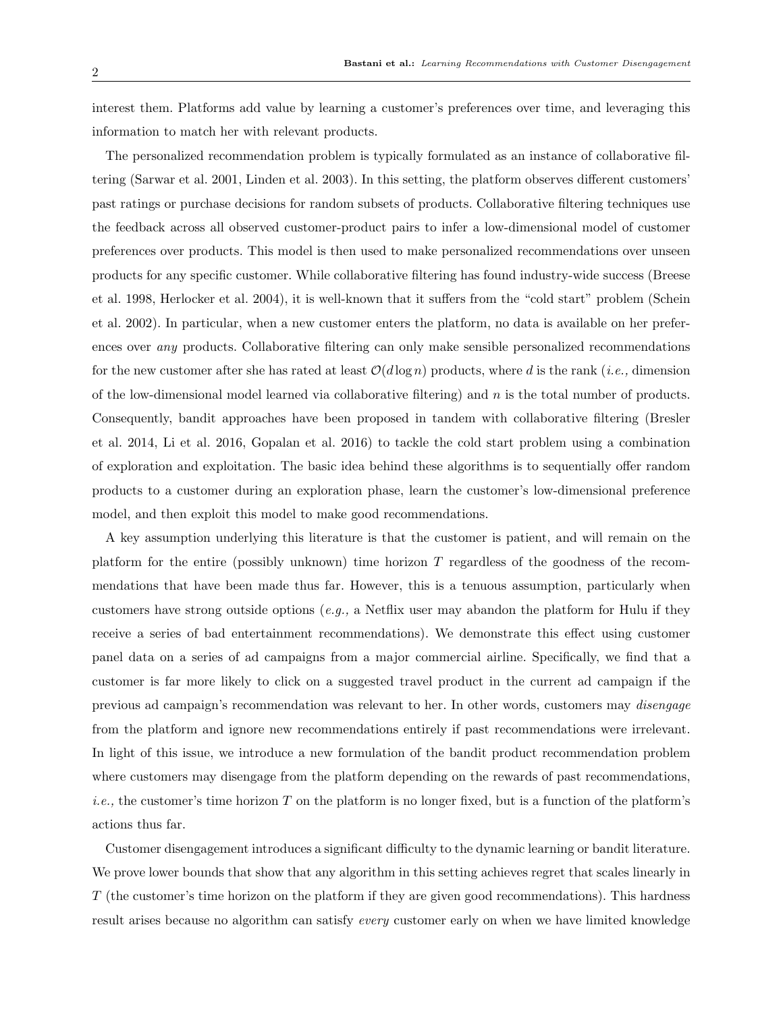interest them. Platforms add value by learning a customer's preferences over time, and leveraging this information to match her with relevant products.

The personalized recommendation problem is typically formulated as an instance of collaborative filtering (Sarwar et al. 2001, Linden et al. 2003). In this setting, the platform observes different customers' past ratings or purchase decisions for random subsets of products. Collaborative filtering techniques use the feedback across all observed customer-product pairs to infer a low-dimensional model of customer preferences over products. This model is then used to make personalized recommendations over unseen products for any specific customer. While collaborative filtering has found industry-wide success (Breese et al. 1998, Herlocker et al. 2004), it is well-known that it suffers from the "cold start" problem (Schein et al. 2002). In particular, when a new customer enters the platform, no data is available on her preferences over any products. Collaborative filtering can only make sensible personalized recommendations for the new customer after she has rated at least  $\mathcal{O}(d \log n)$  products, where d is the rank (*i.e.*, dimension of the low-dimensional model learned via collaborative filtering) and  $n$  is the total number of products. Consequently, bandit approaches have been proposed in tandem with collaborative filtering (Bresler et al. 2014, Li et al. 2016, Gopalan et al. 2016) to tackle the cold start problem using a combination of exploration and exploitation. The basic idea behind these algorithms is to sequentially offer random products to a customer during an exploration phase, learn the customer's low-dimensional preference model, and then exploit this model to make good recommendations.

A key assumption underlying this literature is that the customer is patient, and will remain on the platform for the entire (possibly unknown) time horizon  $T$  regardless of the goodness of the recommendations that have been made thus far. However, this is a tenuous assumption, particularly when customers have strong outside options (e.g., a Netflix user may abandon the platform for Hulu if they receive a series of bad entertainment recommendations). We demonstrate this effect using customer panel data on a series of ad campaigns from a major commercial airline. Specifically, we find that a customer is far more likely to click on a suggested travel product in the current ad campaign if the previous ad campaign's recommendation was relevant to her. In other words, customers may disengage from the platform and ignore new recommendations entirely if past recommendations were irrelevant. In light of this issue, we introduce a new formulation of the bandit product recommendation problem where customers may disengage from the platform depending on the rewards of past recommendations, *i.e.*, the customer's time horizon  $T$  on the platform is no longer fixed, but is a function of the platform's actions thus far.

Customer disengagement introduces a significant difficulty to the dynamic learning or bandit literature. We prove lower bounds that show that any algorithm in this setting achieves regret that scales linearly in T (the customer's time horizon on the platform if they are given good recommendations). This hardness result arises because no algorithm can satisfy *every* customer early on when we have limited knowledge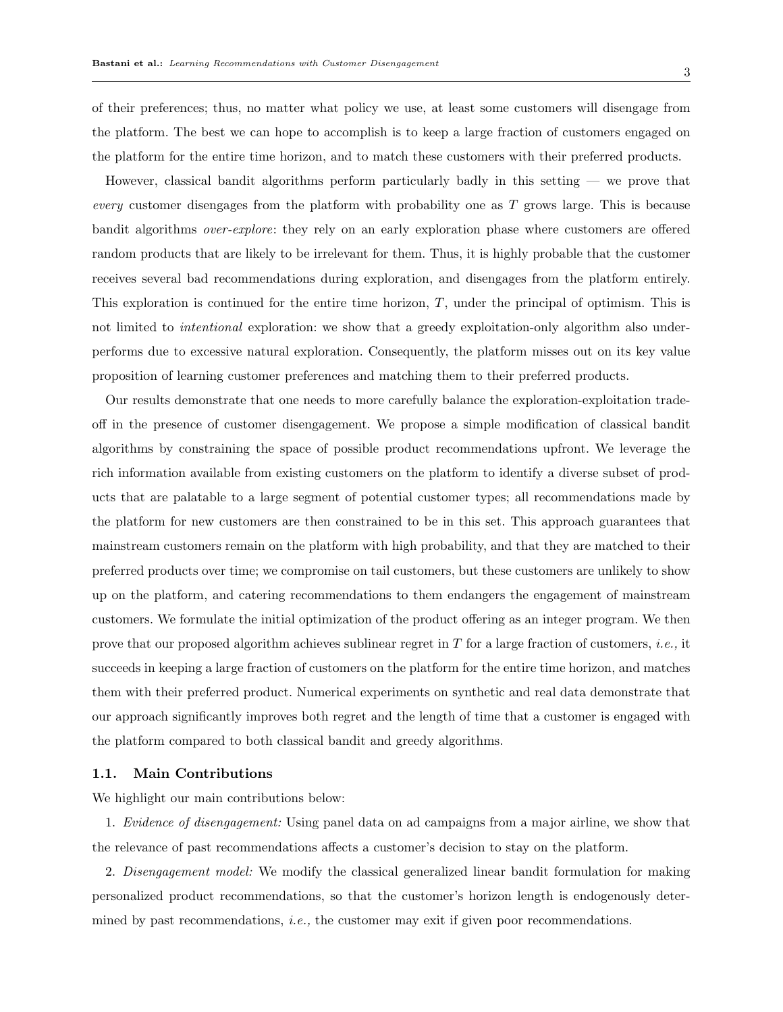of their preferences; thus, no matter what policy we use, at least some customers will disengage from the platform. The best we can hope to accomplish is to keep a large fraction of customers engaged on the platform for the entire time horizon, and to match these customers with their preferred products.

However, classical bandit algorithms perform particularly badly in this setting — we prove that every customer disengages from the platform with probability one as  $T$  grows large. This is because bandit algorithms over-explore: they rely on an early exploration phase where customers are offered random products that are likely to be irrelevant for them. Thus, it is highly probable that the customer receives several bad recommendations during exploration, and disengages from the platform entirely. This exploration is continued for the entire time horizon,  $T$ , under the principal of optimism. This is not limited to *intentional* exploration: we show that a greedy exploitation-only algorithm also underperforms due to excessive natural exploration. Consequently, the platform misses out on its key value proposition of learning customer preferences and matching them to their preferred products.

Our results demonstrate that one needs to more carefully balance the exploration-exploitation tradeoff in the presence of customer disengagement. We propose a simple modification of classical bandit algorithms by constraining the space of possible product recommendations upfront. We leverage the rich information available from existing customers on the platform to identify a diverse subset of products that are palatable to a large segment of potential customer types; all recommendations made by the platform for new customers are then constrained to be in this set. This approach guarantees that mainstream customers remain on the platform with high probability, and that they are matched to their preferred products over time; we compromise on tail customers, but these customers are unlikely to show up on the platform, and catering recommendations to them endangers the engagement of mainstream customers. We formulate the initial optimization of the product offering as an integer program. We then prove that our proposed algorithm achieves sublinear regret in  $T$  for a large fraction of customers, *i.e.*, it succeeds in keeping a large fraction of customers on the platform for the entire time horizon, and matches them with their preferred product. Numerical experiments on synthetic and real data demonstrate that our approach significantly improves both regret and the length of time that a customer is engaged with the platform compared to both classical bandit and greedy algorithms.

#### 1.1. Main Contributions

We highlight our main contributions below:

1. Evidence of disengagement: Using panel data on ad campaigns from a major airline, we show that the relevance of past recommendations affects a customer's decision to stay on the platform.

2. Disengagement model: We modify the classical generalized linear bandit formulation for making personalized product recommendations, so that the customer's horizon length is endogenously determined by past recommendations, *i.e.*, the customer may exit if given poor recommendations.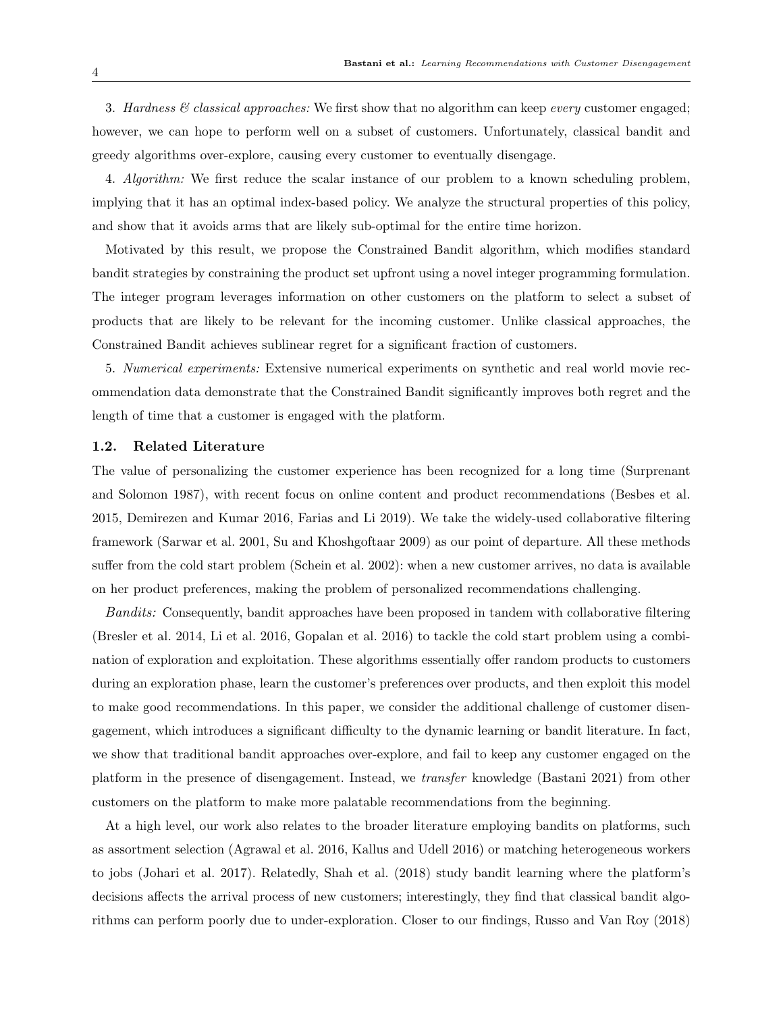3. Hardness  $\mathcal{B}$  classical approaches: We first show that no algorithm can keep every customer engaged; however, we can hope to perform well on a subset of customers. Unfortunately, classical bandit and greedy algorithms over-explore, causing every customer to eventually disengage.

4. Algorithm: We first reduce the scalar instance of our problem to a known scheduling problem, implying that it has an optimal index-based policy. We analyze the structural properties of this policy, and show that it avoids arms that are likely sub-optimal for the entire time horizon.

Motivated by this result, we propose the Constrained Bandit algorithm, which modifies standard bandit strategies by constraining the product set upfront using a novel integer programming formulation. The integer program leverages information on other customers on the platform to select a subset of products that are likely to be relevant for the incoming customer. Unlike classical approaches, the Constrained Bandit achieves sublinear regret for a significant fraction of customers.

5. Numerical experiments: Extensive numerical experiments on synthetic and real world movie recommendation data demonstrate that the Constrained Bandit significantly improves both regret and the length of time that a customer is engaged with the platform.

# 1.2. Related Literature

The value of personalizing the customer experience has been recognized for a long time (Surprenant and Solomon 1987), with recent focus on online content and product recommendations (Besbes et al. 2015, Demirezen and Kumar 2016, Farias and Li 2019). We take the widely-used collaborative filtering framework (Sarwar et al. 2001, Su and Khoshgoftaar 2009) as our point of departure. All these methods suffer from the cold start problem (Schein et al. 2002): when a new customer arrives, no data is available on her product preferences, making the problem of personalized recommendations challenging.

Bandits: Consequently, bandit approaches have been proposed in tandem with collaborative filtering (Bresler et al. 2014, Li et al. 2016, Gopalan et al. 2016) to tackle the cold start problem using a combination of exploration and exploitation. These algorithms essentially offer random products to customers during an exploration phase, learn the customer's preferences over products, and then exploit this model to make good recommendations. In this paper, we consider the additional challenge of customer disengagement, which introduces a significant difficulty to the dynamic learning or bandit literature. In fact, we show that traditional bandit approaches over-explore, and fail to keep any customer engaged on the platform in the presence of disengagement. Instead, we transfer knowledge (Bastani 2021) from other customers on the platform to make more palatable recommendations from the beginning.

At a high level, our work also relates to the broader literature employing bandits on platforms, such as assortment selection (Agrawal et al. 2016, Kallus and Udell 2016) or matching heterogeneous workers to jobs (Johari et al. 2017). Relatedly, Shah et al. (2018) study bandit learning where the platform's decisions affects the arrival process of new customers; interestingly, they find that classical bandit algorithms can perform poorly due to under-exploration. Closer to our findings, Russo and Van Roy (2018)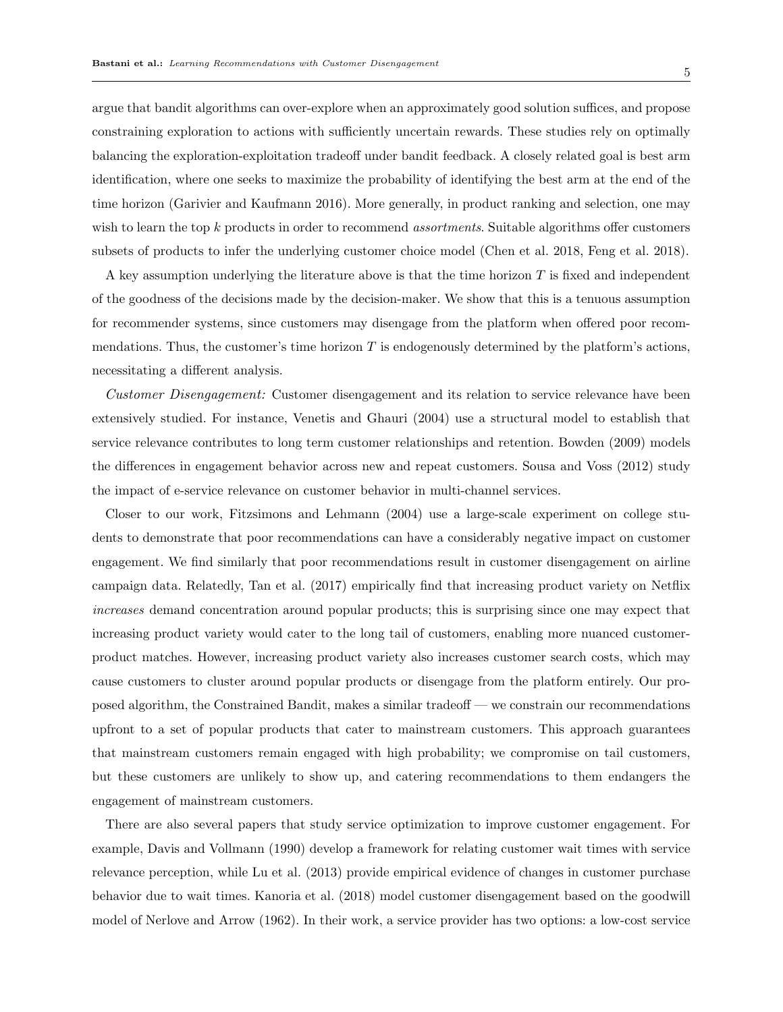5

argue that bandit algorithms can over-explore when an approximately good solution suffices, and propose constraining exploration to actions with sufficiently uncertain rewards. These studies rely on optimally balancing the exploration-exploitation tradeoff under bandit feedback. A closely related goal is best arm identification, where one seeks to maximize the probability of identifying the best arm at the end of the time horizon (Garivier and Kaufmann 2016). More generally, in product ranking and selection, one may wish to learn the top  $k$  products in order to recommend *assortments*. Suitable algorithms offer customers subsets of products to infer the underlying customer choice model (Chen et al. 2018, Feng et al. 2018).

A key assumption underlying the literature above is that the time horizon T is fixed and independent of the goodness of the decisions made by the decision-maker. We show that this is a tenuous assumption for recommender systems, since customers may disengage from the platform when offered poor recommendations. Thus, the customer's time horizon  $T$  is endogenously determined by the platform's actions, necessitating a different analysis.

Customer Disengagement: Customer disengagement and its relation to service relevance have been extensively studied. For instance, Venetis and Ghauri (2004) use a structural model to establish that service relevance contributes to long term customer relationships and retention. Bowden (2009) models the differences in engagement behavior across new and repeat customers. Sousa and Voss (2012) study the impact of e-service relevance on customer behavior in multi-channel services.

Closer to our work, Fitzsimons and Lehmann (2004) use a large-scale experiment on college students to demonstrate that poor recommendations can have a considerably negative impact on customer engagement. We find similarly that poor recommendations result in customer disengagement on airline campaign data. Relatedly, Tan et al. (2017) empirically find that increasing product variety on Netflix increases demand concentration around popular products; this is surprising since one may expect that increasing product variety would cater to the long tail of customers, enabling more nuanced customerproduct matches. However, increasing product variety also increases customer search costs, which may cause customers to cluster around popular products or disengage from the platform entirely. Our proposed algorithm, the Constrained Bandit, makes a similar tradeoff — we constrain our recommendations upfront to a set of popular products that cater to mainstream customers. This approach guarantees that mainstream customers remain engaged with high probability; we compromise on tail customers, but these customers are unlikely to show up, and catering recommendations to them endangers the engagement of mainstream customers.

There are also several papers that study service optimization to improve customer engagement. For example, Davis and Vollmann (1990) develop a framework for relating customer wait times with service relevance perception, while Lu et al. (2013) provide empirical evidence of changes in customer purchase behavior due to wait times. Kanoria et al. (2018) model customer disengagement based on the goodwill model of Nerlove and Arrow (1962). In their work, a service provider has two options: a low-cost service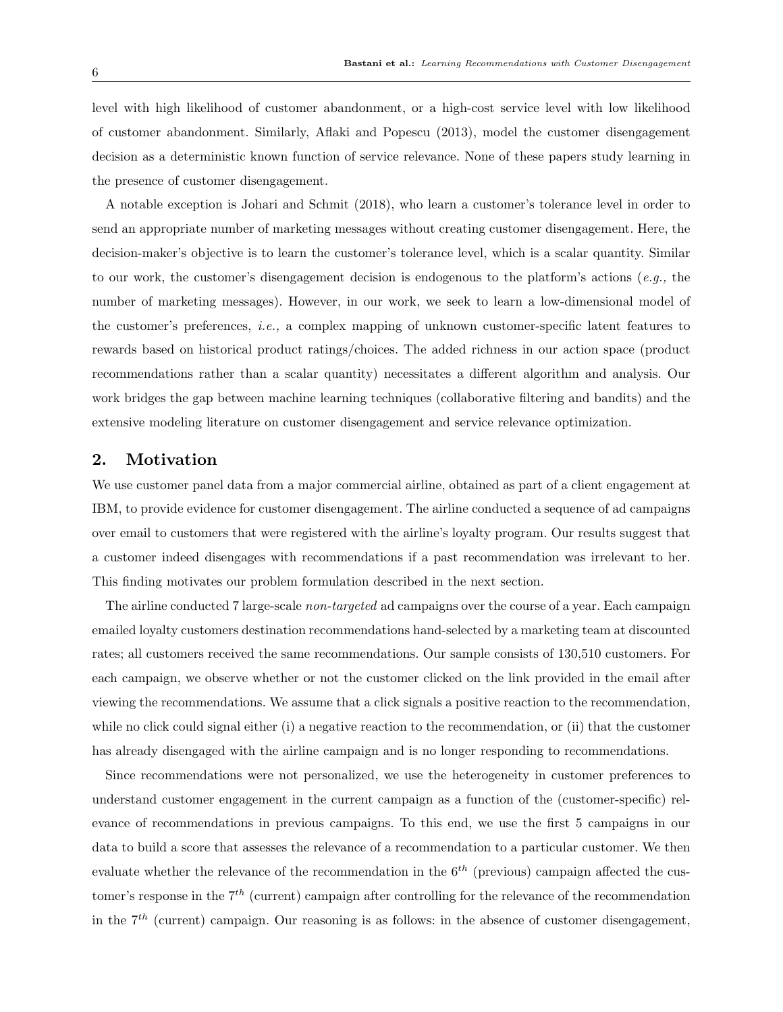level with high likelihood of customer abandonment, or a high-cost service level with low likelihood of customer abandonment. Similarly, Aflaki and Popescu (2013), model the customer disengagement decision as a deterministic known function of service relevance. None of these papers study learning in the presence of customer disengagement.

A notable exception is Johari and Schmit (2018), who learn a customer's tolerance level in order to send an appropriate number of marketing messages without creating customer disengagement. Here, the decision-maker's objective is to learn the customer's tolerance level, which is a scalar quantity. Similar to our work, the customer's disengagement decision is endogenous to the platform's actions (e.g., the number of marketing messages). However, in our work, we seek to learn a low-dimensional model of the customer's preferences, i.e., a complex mapping of unknown customer-specific latent features to rewards based on historical product ratings/choices. The added richness in our action space (product recommendations rather than a scalar quantity) necessitates a different algorithm and analysis. Our work bridges the gap between machine learning techniques (collaborative filtering and bandits) and the extensive modeling literature on customer disengagement and service relevance optimization.

# 2. Motivation

We use customer panel data from a major commercial airline, obtained as part of a client engagement at IBM, to provide evidence for customer disengagement. The airline conducted a sequence of ad campaigns over email to customers that were registered with the airline's loyalty program. Our results suggest that a customer indeed disengages with recommendations if a past recommendation was irrelevant to her. This finding motivates our problem formulation described in the next section.

The airline conducted 7 large-scale non-targeted ad campaigns over the course of a year. Each campaign emailed loyalty customers destination recommendations hand-selected by a marketing team at discounted rates; all customers received the same recommendations. Our sample consists of 130,510 customers. For each campaign, we observe whether or not the customer clicked on the link provided in the email after viewing the recommendations. We assume that a click signals a positive reaction to the recommendation, while no click could signal either (i) a negative reaction to the recommendation, or (ii) that the customer has already disengaged with the airline campaign and is no longer responding to recommendations.

Since recommendations were not personalized, we use the heterogeneity in customer preferences to understand customer engagement in the current campaign as a function of the (customer-specific) relevance of recommendations in previous campaigns. To this end, we use the first 5 campaigns in our data to build a score that assesses the relevance of a recommendation to a particular customer. We then evaluate whether the relevance of the recommendation in the  $6<sup>th</sup>$  (previous) campaign affected the customer's response in the  $7<sup>th</sup>$  (current) campaign after controlling for the relevance of the recommendation in the  $7<sup>th</sup>$  (current) campaign. Our reasoning is as follows: in the absence of customer disengagement,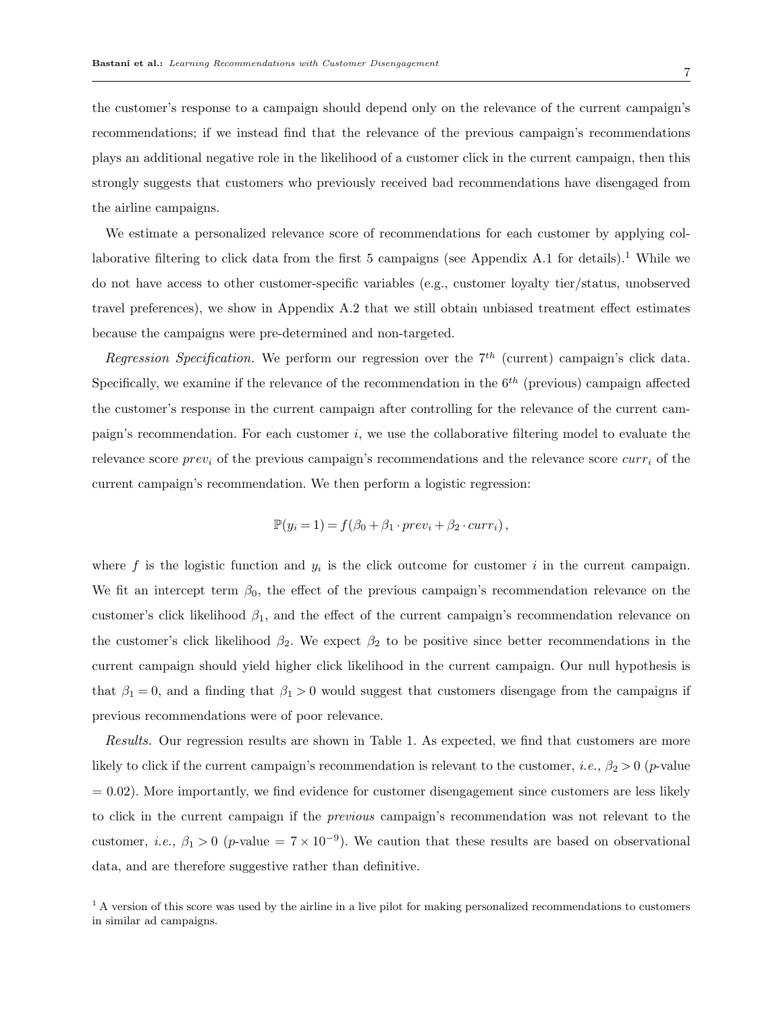the customer's response to a campaign should depend only on the relevance of the current campaign's recommendations; if we instead find that the relevance of the previous campaign's recommendations plays an additional negative role in the likelihood of a customer click in the current campaign, then this strongly suggests that customers who previously received bad recommendations have disengaged from the airline campaigns.

We estimate a personalized relevance score of recommendations for each customer by applying collaborative filtering to click data from the first 5 campaigns (see Appendix A.1 for details).<sup>1</sup> While we do not have access to other customer-specific variables (e.g., customer loyalty tier/status, unobserved travel preferences), we show in Appendix A.2 that we still obtain unbiased treatment effect estimates because the campaigns were pre-determined and non-targeted.

Regression Specification. We perform our regression over the  $7<sup>th</sup>$  (current) campaign's click data. Specifically, we examine if the relevance of the recommendation in the  $6<sup>th</sup>$  (previous) campaign affected the customer's response in the current campaign after controlling for the relevance of the current campaign's recommendation. For each customer i, we use the collaborative filtering model to evaluate the relevance score  $prev_i$  of the previous campaign's recommendations and the relevance score  $curr_i$  of the current campaign's recommendation. We then perform a logistic regression:

$$
\mathbb{P}(y_i = 1) = f(\beta_0 + \beta_1 \cdot prev_i + \beta_2 \cdot curr_i),
$$

where  $f$  is the logistic function and  $y_i$  is the click outcome for customer i in the current campaign. We fit an intercept term  $\beta_0$ , the effect of the previous campaign's recommendation relevance on the customer's click likelihood  $\beta_1$ , and the effect of the current campaign's recommendation relevance on the customer's click likelihood  $\beta_2$ . We expect  $\beta_2$  to be positive since better recommendations in the current campaign should yield higher click likelihood in the current campaign. Our null hypothesis is that  $\beta_1 = 0$ , and a finding that  $\beta_1 > 0$  would suggest that customers disengage from the campaigns if previous recommendations were of poor relevance.

Results. Our regression results are shown in Table 1. As expected, we find that customers are more likely to click if the current campaign's recommendation is relevant to the customer, *i.e.*,  $\beta_2 > 0$  (*p*-value  $= 0.02$ ). More importantly, we find evidence for customer disengagement since customers are less likely to click in the current campaign if the previous campaign's recommendation was not relevant to the customer, *i.e.*,  $\beta_1 > 0$  (*p*-value =  $7 \times 10^{-9}$ ). We caution that these results are based on observational data, and are therefore suggestive rather than definitive.

<sup>&</sup>lt;sup>1</sup> A version of this score was used by the airline in a live pilot for making personalized recommendations to customers in similar ad campaigns.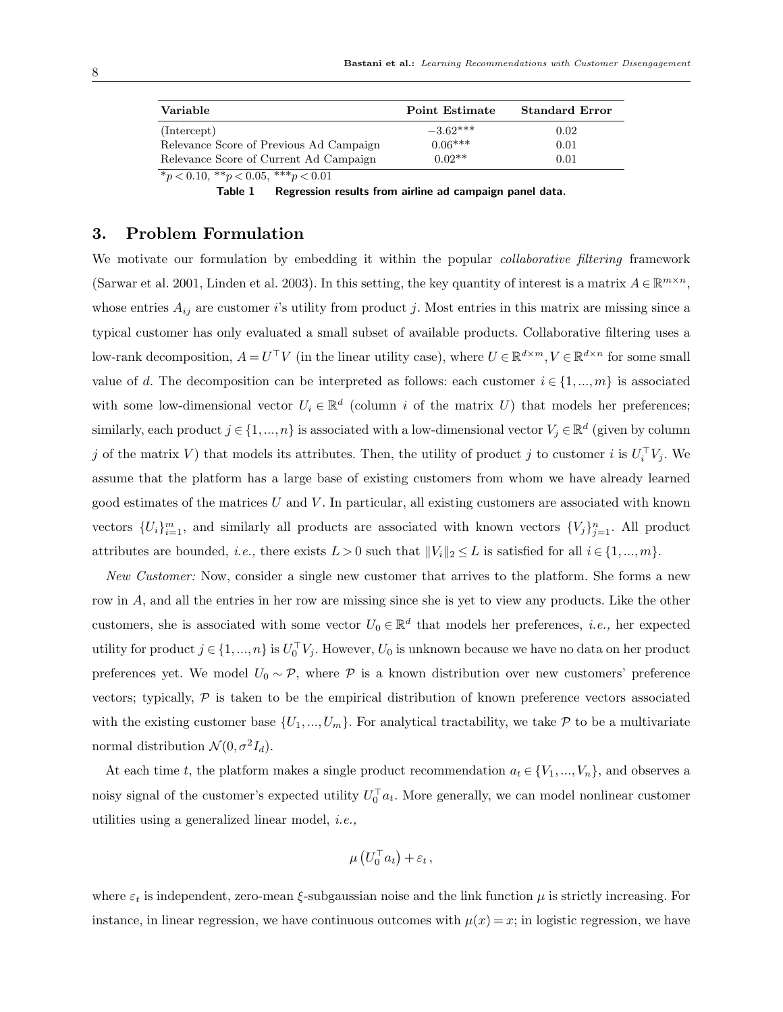| Variable                                | Point Estimate | <b>Standard Error</b> |
|-----------------------------------------|----------------|-----------------------|
| (Intercept)                             | $-3.62***$     | 0.02                  |
| Relevance Score of Previous Ad Campaign | $0.06***$      | 0.01                  |
| Relevance Score of Current Ad Campaign  | $0.02**$       | 0.01                  |

 $\gamma p < 0.10, \; \text{m} \gamma p < 0.05, \; \text{m} \text{m} \gamma p < 0.01$ 

Table 1 Regression results from airline ad campaign panel data.

# 3. Problem Formulation

We motivate our formulation by embedding it within the popular *collaborative filtering* framework (Sarwar et al. 2001, Linden et al. 2003). In this setting, the key quantity of interest is a matrix  $A \in \mathbb{R}^{m \times n}$ , whose entries  $A_{ij}$  are customer i's utility from product j. Most entries in this matrix are missing since a typical customer has only evaluated a small subset of available products. Collaborative filtering uses a low-rank decomposition,  $A = U^{\top}V$  (in the linear utility case), where  $U \in \mathbb{R}^{d \times m}$ ,  $V \in \mathbb{R}^{d \times n}$  for some small value of d. The decomposition can be interpreted as follows: each customer  $i \in \{1,...,m\}$  is associated with some low-dimensional vector  $U_i \in \mathbb{R}^d$  (column i of the matrix U) that models her preferences; similarly, each product  $j \in \{1, ..., n\}$  is associated with a low-dimensional vector  $V_j \in \mathbb{R}^d$  (given by column j of the matrix V) that models its attributes. Then, the utility of product j to customer i is  $U_i^{\top}V_j$ . We assume that the platform has a large base of existing customers from whom we have already learned good estimates of the matrices  $U$  and  $V$ . In particular, all existing customers are associated with known vectors  $\{U_i\}_{i=1}^m$ , and similarly all products are associated with known vectors  $\{V_j\}_{j=1}^n$ . All product attributes are bounded, *i.e.*, there exists  $L > 0$  such that  $||V_i||_2 \leq L$  is satisfied for all  $i \in \{1, ..., m\}$ .

New Customer: Now, consider a single new customer that arrives to the platform. She forms a new row in A, and all the entries in her row are missing since she is yet to view any products. Like the other customers, she is associated with some vector  $U_0 \in \mathbb{R}^d$  that models her preferences, *i.e.*, her expected utility for product  $j \in \{1, ..., n\}$  is  $U_0^{\top} V_j$ . However,  $U_0$  is unknown because we have no data on her product preferences yet. We model  $U_0 \sim \mathcal{P}$ , where  $\mathcal{P}$  is a known distribution over new customers' preference vectors; typically,  $P$  is taken to be the empirical distribution of known preference vectors associated with the existing customer base  $\{U_1,...,U_m\}$ . For analytical tractability, we take P to be a multivariate normal distribution  $\mathcal{N}(0, \sigma^2 I_d)$ .

At each time t, the platform makes a single product recommendation  $a_t \in \{V_1, ..., V_n\}$ , and observes a noisy signal of the customer's expected utility  $U_0^{\top} a_t$ . More generally, we can model nonlinear customer utilities using a generalized linear model, i.e.,

$$
\mu\left(U_0^\top a_t\right) + \varepsilon_t\,,
$$

where  $\varepsilon_t$  is independent, zero-mean  $\xi$ -subgaussian noise and the link function  $\mu$  is strictly increasing. For instance, in linear regression, we have continuous outcomes with  $\mu(x) = x$ ; in logistic regression, we have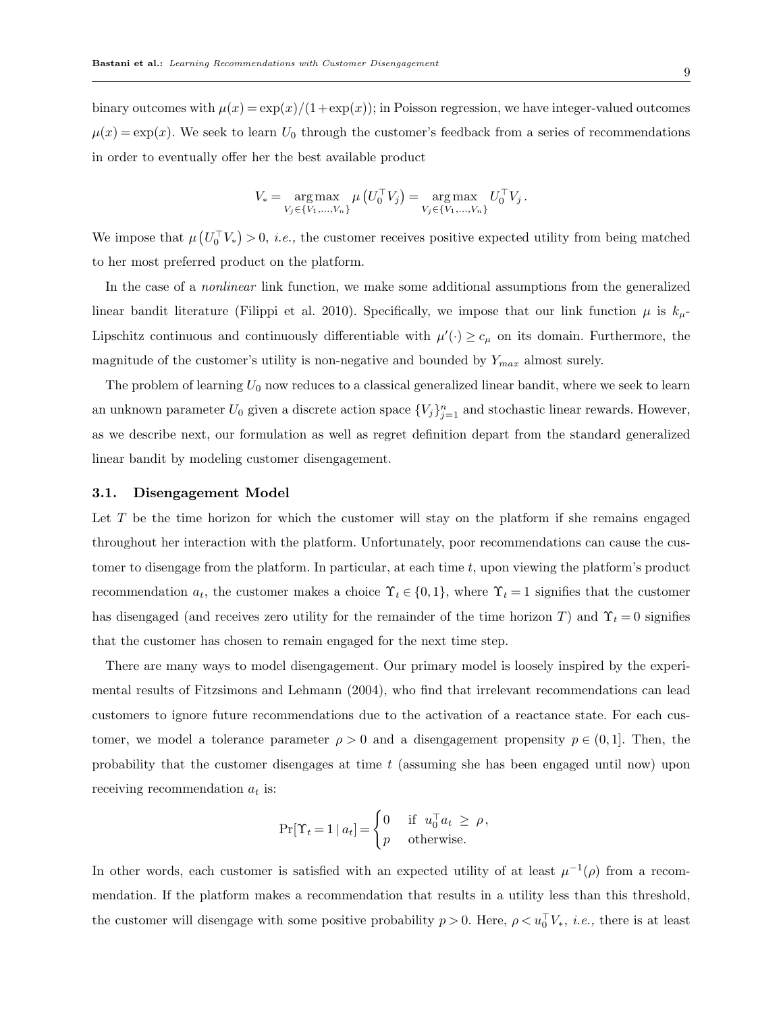binary outcomes with  $\mu(x) = \exp(x)/(1+\exp(x))$ ; in Poisson regression, we have integer-valued outcomes  $\mu(x) = \exp(x)$ . We seek to learn  $U_0$  through the customer's feedback from a series of recommendations in order to eventually offer her the best available product

$$
V_* = \underset{V_j \in \{V_1, \ldots, V_n\}}{\arg \max} \mu\left(U_0^{\top} V_j\right) = \underset{V_j \in \{V_1, \ldots, V_n\}}{\arg \max} U_0^{\top} V_j.
$$

We impose that  $\mu\left(U_0^{\top}V_*\right) > 0$ , *i.e.*, the customer receives positive expected utility from being matched to her most preferred product on the platform.

In the case of a nonlinear link function, we make some additional assumptions from the generalized linear bandit literature (Filippi et al. 2010). Specifically, we impose that our link function  $\mu$  is  $k_{\mu}$ -Lipschitz continuous and continuously differentiable with  $\mu'(\cdot) \geq c_{\mu}$  on its domain. Furthermore, the magnitude of the customer's utility is non-negative and bounded by  $Y_{max}$  almost surely.

The problem of learning  $U_0$  now reduces to a classical generalized linear bandit, where we seek to learn an unknown parameter  $U_0$  given a discrete action space  $\{V_j\}_{j=1}^n$  and stochastic linear rewards. However, as we describe next, our formulation as well as regret definition depart from the standard generalized linear bandit by modeling customer disengagement.

# 3.1. Disengagement Model

Let  $T$  be the time horizon for which the customer will stay on the platform if she remains engaged throughout her interaction with the platform. Unfortunately, poor recommendations can cause the customer to disengage from the platform. In particular, at each time  $t$ , upon viewing the platform's product recommendation  $a_t$ , the customer makes a choice  $\Upsilon_t \in \{0,1\}$ , where  $\Upsilon_t = 1$  signifies that the customer has disengaged (and receives zero utility for the remainder of the time horizon T) and  $\Upsilon_t = 0$  signifies that the customer has chosen to remain engaged for the next time step.

There are many ways to model disengagement. Our primary model is loosely inspired by the experimental results of Fitzsimons and Lehmann (2004), who find that irrelevant recommendations can lead customers to ignore future recommendations due to the activation of a reactance state. For each customer, we model a tolerance parameter  $\rho > 0$  and a disengagement propensity  $p \in (0,1]$ . Then, the probability that the customer disengages at time  $t$  (assuming she has been engaged until now) upon receiving recommendation  $a_t$  is:

$$
\Pr[\Upsilon_t = 1 \mid a_t] = \begin{cases} 0 & \text{if } u_0^\top a_t \ge \rho, \\ p & \text{otherwise.} \end{cases}
$$

In other words, each customer is satisfied with an expected utility of at least  $\mu^{-1}(\rho)$  from a recommendation. If the platform makes a recommendation that results in a utility less than this threshold, the customer will disengage with some positive probability  $p > 0$ . Here,  $\rho < u_0^{\top} V_*$ , *i.e.*, there is at least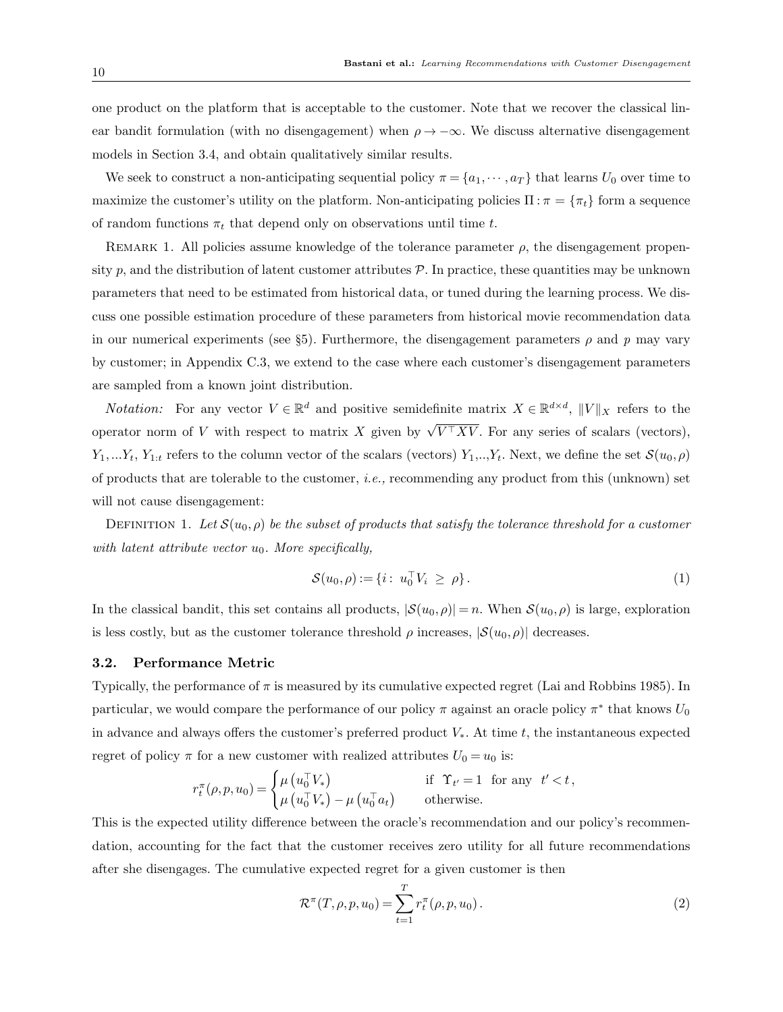one product on the platform that is acceptable to the customer. Note that we recover the classical linear bandit formulation (with no disengagement) when  $\rho \rightarrow -\infty$ . We discuss alternative disengagement models in Section 3.4, and obtain qualitatively similar results.

We seek to construct a non-anticipating sequential policy  $\pi = \{a_1, \dots, a_T\}$  that learns  $U_0$  over time to maximize the customer's utility on the platform. Non-anticipating policies  $\Pi : \pi = {\pi_t}$  form a sequence of random functions  $\pi_t$  that depend only on observations until time t.

REMARK 1. All policies assume knowledge of the tolerance parameter  $\rho$ , the disengagement propensity p, and the distribution of latent customer attributes  $P$ . In practice, these quantities may be unknown parameters that need to be estimated from historical data, or tuned during the learning process. We discuss one possible estimation procedure of these parameters from historical movie recommendation data in our numerical experiments (see §5). Furthermore, the disengagement parameters  $\rho$  and p may vary by customer; in Appendix C.3, we extend to the case where each customer's disengagement parameters are sampled from a known joint distribution.

*Notation:* For any vector  $V \in \mathbb{R}^d$  and positive semidefinite matrix  $X \in \mathbb{R}^{d \times d}$ ,  $||V||_X$  refers to the operator norm of V with respect to matrix X given by  $\sqrt{V^{\top}XV}$ . For any series of scalars (vectors),  $Y_1,...Y_t, Y_{1:t}$  refers to the column vector of the scalars (vectors)  $Y_1,...Y_t$ . Next, we define the set  $\mathcal{S}(u_0,\rho)$ of products that are tolerable to the customer, i.e., recommending any product from this (unknown) set will not cause disengagement:

DEFINITION 1. Let  $S(u_0, \rho)$  be the subset of products that satisfy the tolerance threshold for a customer with latent attribute vector  $u_0$ . More specifically,

$$
S(u_0, \rho) := \{ i : u_0^{\top} V_i \ge \rho \}.
$$
 (1)

In the classical bandit, this set contains all products,  $|S(u_0, \rho)| = n$ . When  $S(u_0, \rho)$  is large, exploration is less costly, but as the customer tolerance threshold  $\rho$  increases,  $|\mathcal{S}(u_0, \rho)|$  decreases.

#### 3.2. Performance Metric

Typically, the performance of  $\pi$  is measured by its cumulative expected regret (Lai and Robbins 1985). In particular, we would compare the performance of our policy  $\pi$  against an oracle policy  $\pi^*$  that knows  $U_0$ in advance and always offers the customer's preferred product  $V_*$ . At time t, the instantaneous expected regret of policy  $\pi$  for a new customer with realized attributes  $U_0 = u_0$  is:

$$
r_t^{\pi}(\rho, p, u_0) = \begin{cases} \mu\left(u_0^{\top} V_*\right) & \text{if } \Upsilon_{t'} = 1 \text{ for any } t' < t, \\ \mu\left(u_0^{\top} V_*\right) - \mu\left(u_0^{\top} a_t\right) & \text{otherwise.} \end{cases}
$$

This is the expected utility difference between the oracle's recommendation and our policy's recommendation, accounting for the fact that the customer receives zero utility for all future recommendations after she disengages. The cumulative expected regret for a given customer is then

$$
\mathcal{R}^{\pi}(T,\rho,p,u_0) = \sum_{t=1}^{T} r_t^{\pi}(\rho,p,u_0).
$$
 (2)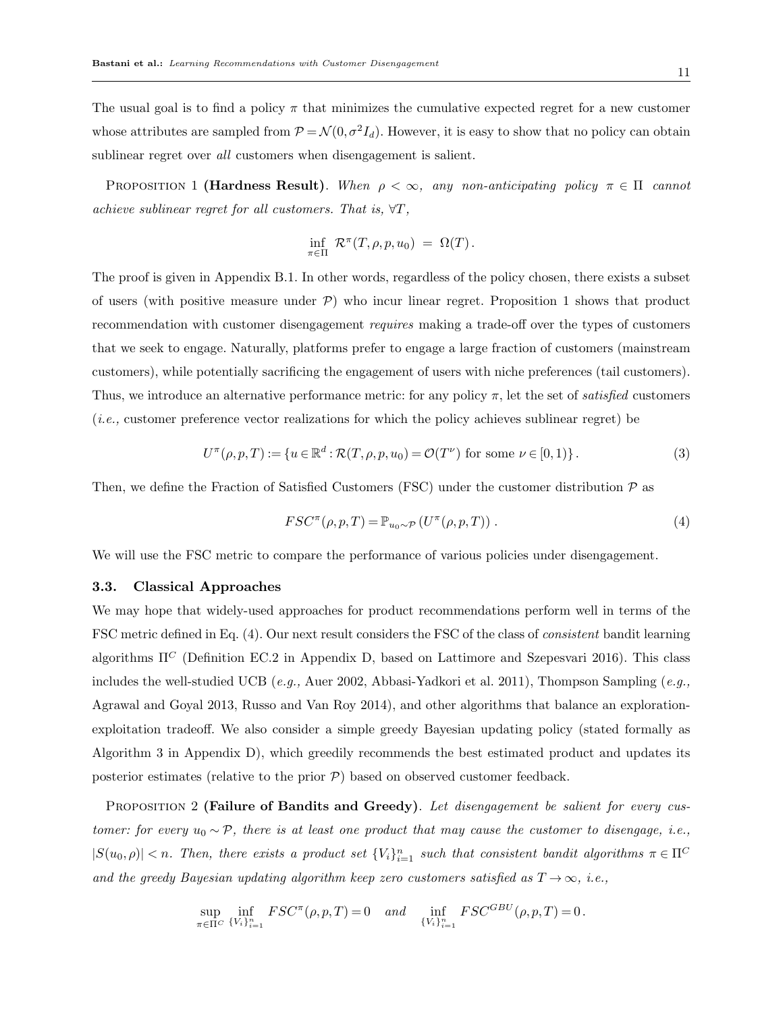The usual goal is to find a policy  $\pi$  that minimizes the cumulative expected regret for a new customer whose attributes are sampled from  $P = \mathcal{N}(0, \sigma^2 I_d)$ . However, it is easy to show that no policy can obtain sublinear regret over *all* customers when disengagement is salient.

PROPOSITION 1 (Hardness Result). When  $\rho < \infty$ , any non-anticipating policy  $\pi \in \Pi$  cannot achieve sublinear regret for all customers. That is,  $\forall T$ ,

$$
\inf_{\pi \in \Pi} \mathcal{R}^{\pi}(T,\rho,p,u_0) = \Omega(T).
$$

The proof is given in Appendix B.1. In other words, regardless of the policy chosen, there exists a subset of users (with positive measure under  $P$ ) who incur linear regret. Proposition 1 shows that product recommendation with customer disengagement requires making a trade-off over the types of customers that we seek to engage. Naturally, platforms prefer to engage a large fraction of customers (mainstream customers), while potentially sacrificing the engagement of users with niche preferences (tail customers). Thus, we introduce an alternative performance metric: for any policy  $\pi$ , let the set of *satisfied* customers (i.e., customer preference vector realizations for which the policy achieves sublinear regret) be

$$
U^{\pi}(\rho, p, T) := \{ u \in \mathbb{R}^d : \mathcal{R}(T, \rho, p, u_0) = \mathcal{O}(T^{\nu}) \text{ for some } \nu \in [0, 1) \}.
$$
 (3)

Then, we define the Fraction of Satisfied Customers (FSC) under the customer distribution  $P$  as

$$
FSC^{\pi}(\rho, p, T) = \mathbb{P}_{u_0 \sim \mathcal{P}} \left( U^{\pi}(\rho, p, T) \right). \tag{4}
$$

We will use the FSC metric to compare the performance of various policies under disengagement.

## 3.3. Classical Approaches

We may hope that widely-used approaches for product recommendations perform well in terms of the FSC metric defined in Eq. (4). Our next result considers the FSC of the class of consistent bandit learning algorithms  $\Pi^C$  (Definition EC.2 in Appendix D, based on Lattimore and Szepesvari 2016). This class includes the well-studied UCB (e.g., Auer 2002, Abbasi-Yadkori et al. 2011), Thompson Sampling (e.g., Agrawal and Goyal 2013, Russo and Van Roy 2014), and other algorithms that balance an explorationexploitation tradeoff. We also consider a simple greedy Bayesian updating policy (stated formally as Algorithm 3 in Appendix D), which greedily recommends the best estimated product and updates its posterior estimates (relative to the prior  $P$ ) based on observed customer feedback.

PROPOSITION 2 (Failure of Bandits and Greedy). Let disengagement be salient for every customer: for every  $u_0 \sim \mathcal{P}$ , there is at least one product that may cause the customer to disengage, i.e.,  $|S(u_0, \rho)| < n$ . Then, there exists a product set  $\{V_i\}_{i=1}^n$  such that consistent bandit algorithms  $\pi \in \Pi^C$ and the greedy Bayesian updating algorithm keep zero customers satisfied as  $T \rightarrow \infty$ , i.e.,

$$
\sup_{\pi \in \Pi^C} \inf_{\{V_i\}_{i=1}^n} FSC^{\pi}(\rho, p, T) = 0 \quad and \quad \inf_{\{V_i\}_{i=1}^n} FSC^{GBU}(\rho, p, T) = 0.
$$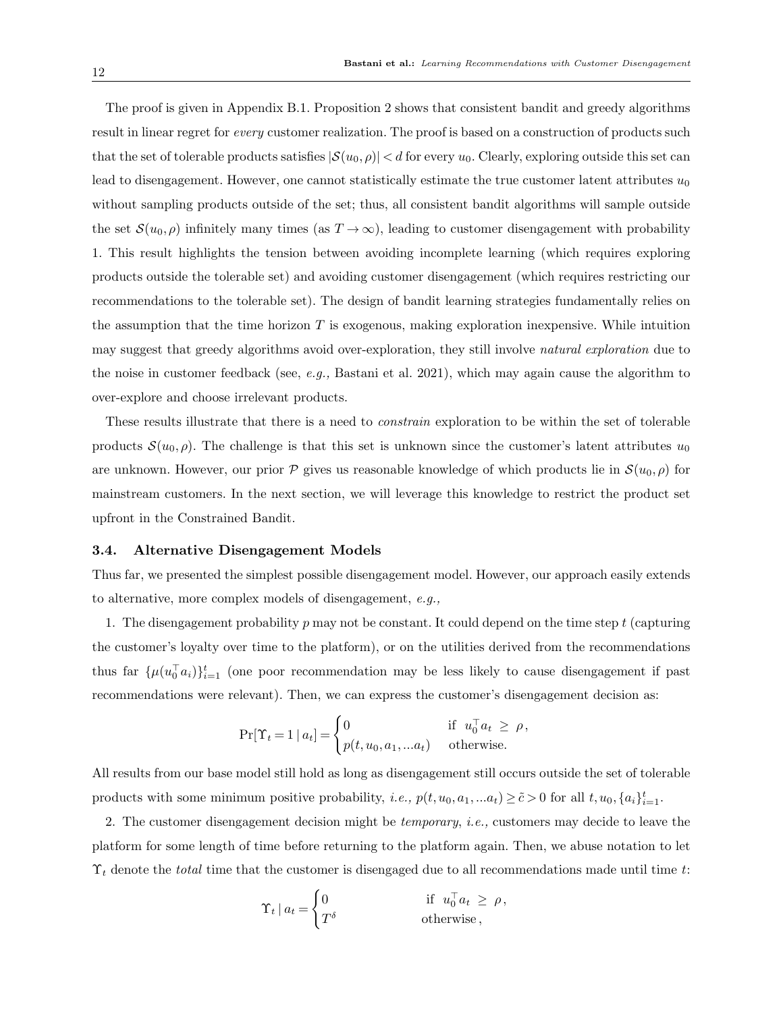The proof is given in Appendix B.1. Proposition 2 shows that consistent bandit and greedy algorithms result in linear regret for *every* customer realization. The proof is based on a construction of products such that the set of tolerable products satisfies  $|S(u_0, \rho)| < d$  for every  $u_0$ . Clearly, exploring outside this set can lead to disengagement. However, one cannot statistically estimate the true customer latent attributes  $u_0$ without sampling products outside of the set; thus, all consistent bandit algorithms will sample outside the set  $S(u_0, \rho)$  infinitely many times (as  $T \to \infty$ ), leading to customer disengagement with probability 1. This result highlights the tension between avoiding incomplete learning (which requires exploring products outside the tolerable set) and avoiding customer disengagement (which requires restricting our recommendations to the tolerable set). The design of bandit learning strategies fundamentally relies on the assumption that the time horizon  $T$  is exogenous, making exploration inexpensive. While intuition may suggest that greedy algorithms avoid over-exploration, they still involve *natural exploration* due to the noise in customer feedback (see, e.g., Bastani et al. 2021), which may again cause the algorithm to over-explore and choose irrelevant products.

These results illustrate that there is a need to constrain exploration to be within the set of tolerable products  $S(u_0, \rho)$ . The challenge is that this set is unknown since the customer's latent attributes  $u_0$ are unknown. However, our prior P gives us reasonable knowledge of which products lie in  $\mathcal{S}(u_0, \rho)$  for mainstream customers. In the next section, we will leverage this knowledge to restrict the product set upfront in the Constrained Bandit.

#### 3.4. Alternative Disengagement Models

Thus far, we presented the simplest possible disengagement model. However, our approach easily extends to alternative, more complex models of disengagement, e.g.,

1. The disengagement probability  $p$  may not be constant. It could depend on the time step  $t$  (capturing the customer's loyalty over time to the platform), or on the utilities derived from the recommendations thus far  $\{\mu(u_0^{\top}a_i)\}_{i=1}^t$  (one poor recommendation may be less likely to cause disengagement if past recommendations were relevant). Then, we can express the customer's disengagement decision as:

$$
\Pr[\Upsilon_t = 1 \mid a_t] = \begin{cases} 0 & \text{if } u_0^\top a_t \ge \rho, \\ p(t, u_0, a_1, \dots a_t) & \text{otherwise.} \end{cases}
$$

All results from our base model still hold as long as disengagement still occurs outside the set of tolerable products with some minimum positive probability, *i.e.*,  $p(t, u_0, a_1, ... a_t) \ge \tilde{c} > 0$  for all  $t, u_0, \{a_i\}_{i=1}^t$ .

2. The customer disengagement decision might be temporary, i.e., customers may decide to leave the platform for some length of time before returning to the platform again. Then, we abuse notation to let  $\Upsilon_t$  denote the *total* time that the customer is disengaged due to all recommendations made until time t:

$$
\Upsilon_t | a_t = \begin{cases} 0 & \text{if } u_0^\top a_t \ge \rho, \\ T^\delta & \text{otherwise} \end{cases}
$$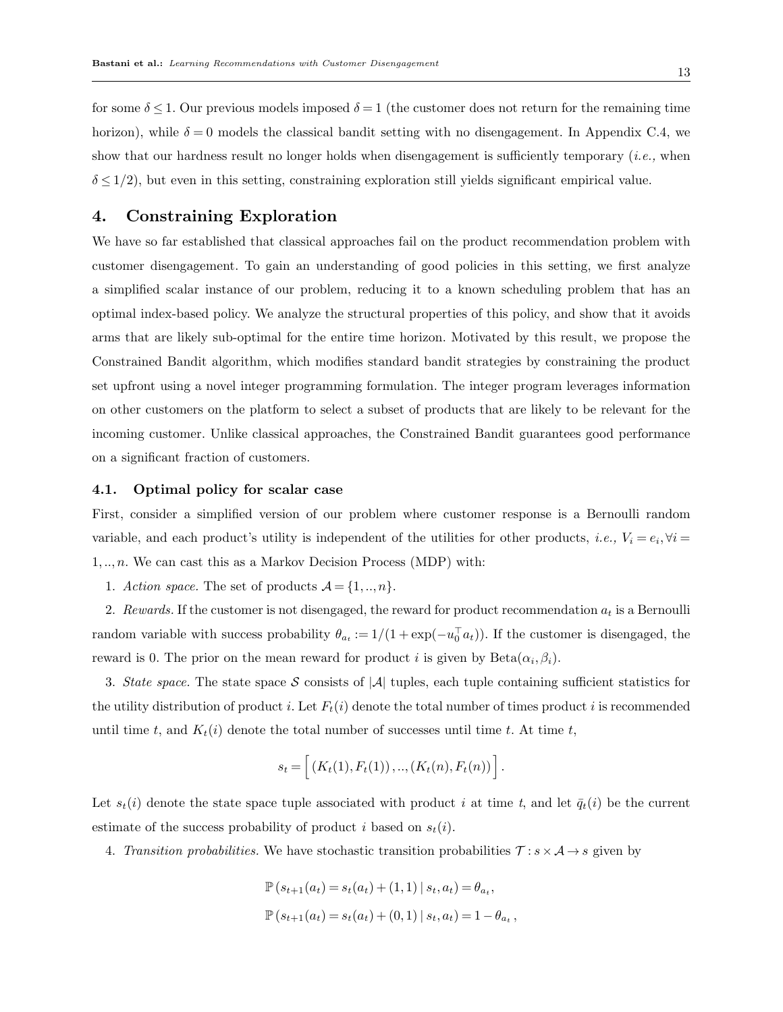for some  $\delta \leq 1$ . Our previous models imposed  $\delta = 1$  (the customer does not return for the remaining time horizon), while  $\delta = 0$  models the classical bandit setting with no disengagement. In Appendix C.4, we show that our hardness result no longer holds when disengagement is sufficiently temporary *(i.e., when*  $\delta \leq 1/2$ , but even in this setting, constraining exploration still yields significant empirical value.

# 4. Constraining Exploration

We have so far established that classical approaches fail on the product recommendation problem with customer disengagement. To gain an understanding of good policies in this setting, we first analyze a simplified scalar instance of our problem, reducing it to a known scheduling problem that has an optimal index-based policy. We analyze the structural properties of this policy, and show that it avoids arms that are likely sub-optimal for the entire time horizon. Motivated by this result, we propose the Constrained Bandit algorithm, which modifies standard bandit strategies by constraining the product set upfront using a novel integer programming formulation. The integer program leverages information on other customers on the platform to select a subset of products that are likely to be relevant for the incoming customer. Unlike classical approaches, the Constrained Bandit guarantees good performance on a significant fraction of customers.

# 4.1. Optimal policy for scalar case

First, consider a simplified version of our problem where customer response is a Bernoulli random variable, and each product's utility is independent of the utilities for other products, *i.e.*,  $V_i = e_i$ ,  $\forall i =$  $1, \ldots, n$ . We can cast this as a Markov Decision Process (MDP) with:

1. Action space. The set of products  $\mathcal{A} = \{1, ..., n\}$ .

2. Rewards. If the customer is not disengaged, the reward for product recommendation  $a_t$  is a Bernoulli random variable with success probability  $\theta_{a_t} := 1/(1 + \exp(-u_0^{\top} a_t))$ . If the customer is disengaged, the reward is 0. The prior on the mean reward for product *i* is given by  $Beta(\alpha_i, \beta_i)$ .

3. State space. The state space S consists of |A| tuples, each tuple containing sufficient statistics for the utility distribution of product i. Let  $F_t(i)$  denote the total number of times product i is recommended until time t, and  $K_t(i)$  denote the total number of successes until time t. At time t,

$$
s_t = \left[ (K_t(1), F_t(1)), \ldots, (K_t(n), F_t(n)) \right].
$$

Let  $s_t(i)$  denote the state space tuple associated with product i at time t, and let  $\bar{q}_t(i)$  be the current estimate of the success probability of product i based on  $s_t(i)$ .

4. Transition probabilities. We have stochastic transition probabilities  $\mathcal{T}: s \times A \rightarrow s$  given by

$$
\mathbb{P}(s_{t+1}(a_t) = s_t(a_t) + (1,1) | s_t, a_t) = \theta_{a_t},
$$
  

$$
\mathbb{P}(s_{t+1}(a_t) = s_t(a_t) + (0,1) | s_t, a_t) = 1 - \theta_{a_t},
$$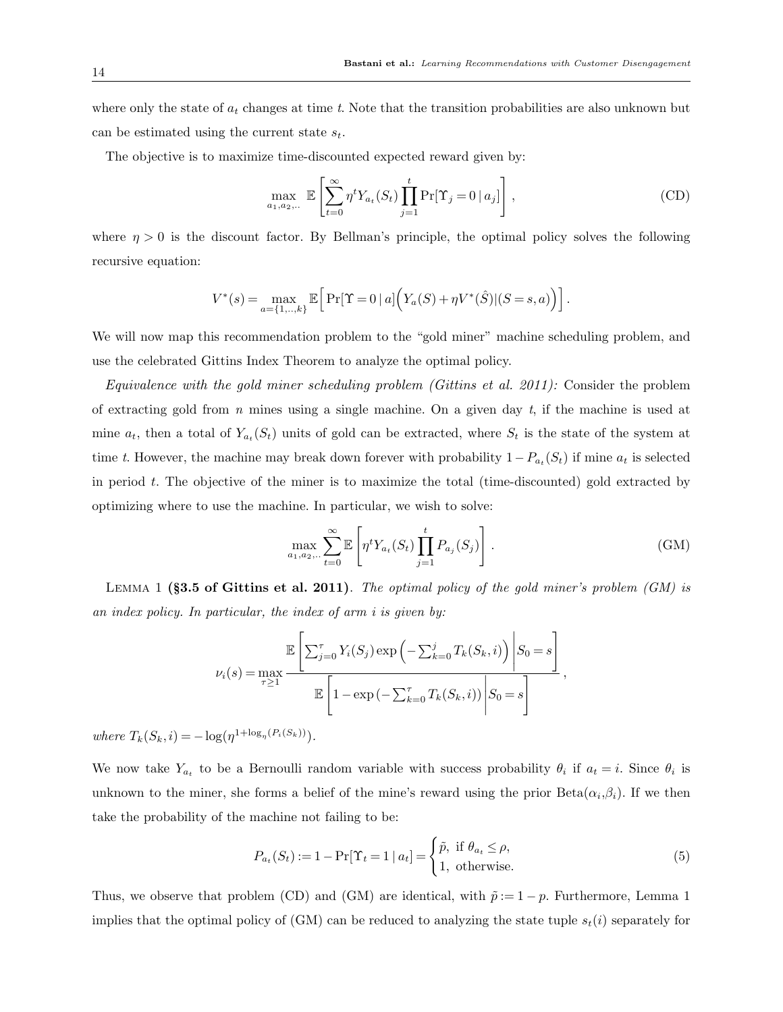where only the state of  $a_t$  changes at time t. Note that the transition probabilities are also unknown but can be estimated using the current state  $s_t$ .

The objective is to maximize time-discounted expected reward given by:

$$
\max_{a_1, a_2, \dots} \mathbb{E}\left[\sum_{t=0}^{\infty} \eta^t Y_{a_t}(S_t) \prod_{j=1}^t \Pr[\Upsilon_j = 0 \mid a_j]\right],
$$
 (CD)

where  $\eta > 0$  is the discount factor. By Bellman's principle, the optimal policy solves the following recursive equation:

$$
V^*(s) = \max_{a=\{1,..,k\}} \mathbb{E}\Big[\Pr[\Upsilon = 0 \mid a] \Big( Y_a(S) + \eta V^*(\hat{S}) | (S = s, a) \Big) \Big].
$$

We will now map this recommendation problem to the "gold miner" machine scheduling problem, and use the celebrated Gittins Index Theorem to analyze the optimal policy.

Equivalence with the gold miner scheduling problem (Gittins et al. 2011): Consider the problem of extracting gold from  $n$  mines using a single machine. On a given day  $t$ , if the machine is used at mine  $a_t$ , then a total of  $Y_{a_t}(S_t)$  units of gold can be extracted, where  $S_t$  is the state of the system at time t. However, the machine may break down forever with probability  $1 - P_{a_t}(S_t)$  if mine  $a_t$  is selected in period  $t$ . The objective of the miner is to maximize the total (time-discounted) gold extracted by optimizing where to use the machine. In particular, we wish to solve:

$$
\max_{a_1, a_2, \dots} \sum_{t=0}^{\infty} \mathbb{E}\left[\eta^t Y_{a_t}(S_t) \prod_{j=1}^t P_{a_j}(S_j)\right].
$$
\n(GM)

LEMMA 1 (§3.5 of Gittins et al. 2011). The optimal policy of the gold miner's problem  $(GM)$  is an index policy. In particular, the index of arm i is given by:

$$
\nu_i(s) = \max_{\tau \ge 1} \frac{\mathbb{E}\left[\sum_{j=0}^{\tau} Y_i(S_j) \exp\left(-\sum_{k=0}^j T_k(S_k, i)\right) \middle| S_0 = s\right]}{\mathbb{E}\left[1 - \exp\left(-\sum_{k=0}^{\tau} T_k(S_k, i)\right) \middle| S_0 = s\right]},
$$

where  $T_k(S_k, i) = -\log(\eta^{1 + \log_{\eta}(P_i(S_k))}).$ 

We now take  $Y_{a_t}$  to be a Bernoulli random variable with success probability  $\theta_i$  if  $a_t = i$ . Since  $\theta_i$  is unknown to the miner, she forms a belief of the mine's reward using the prior  $Beta(\alpha_i, \beta_i)$ . If we then take the probability of the machine not failing to be:

$$
P_{a_t}(S_t) := 1 - \Pr[\Upsilon_t = 1 \mid a_t] = \begin{cases} \tilde{p}, & \text{if } \theta_{a_t} \le \rho, \\ 1, & \text{otherwise.} \end{cases}
$$
(5)

Thus, we observe that problem (CD) and (GM) are identical, with  $\tilde{p} := 1 - p$ . Furthermore, Lemma 1 implies that the optimal policy of (GM) can be reduced to analyzing the state tuple  $s_t(i)$  separately for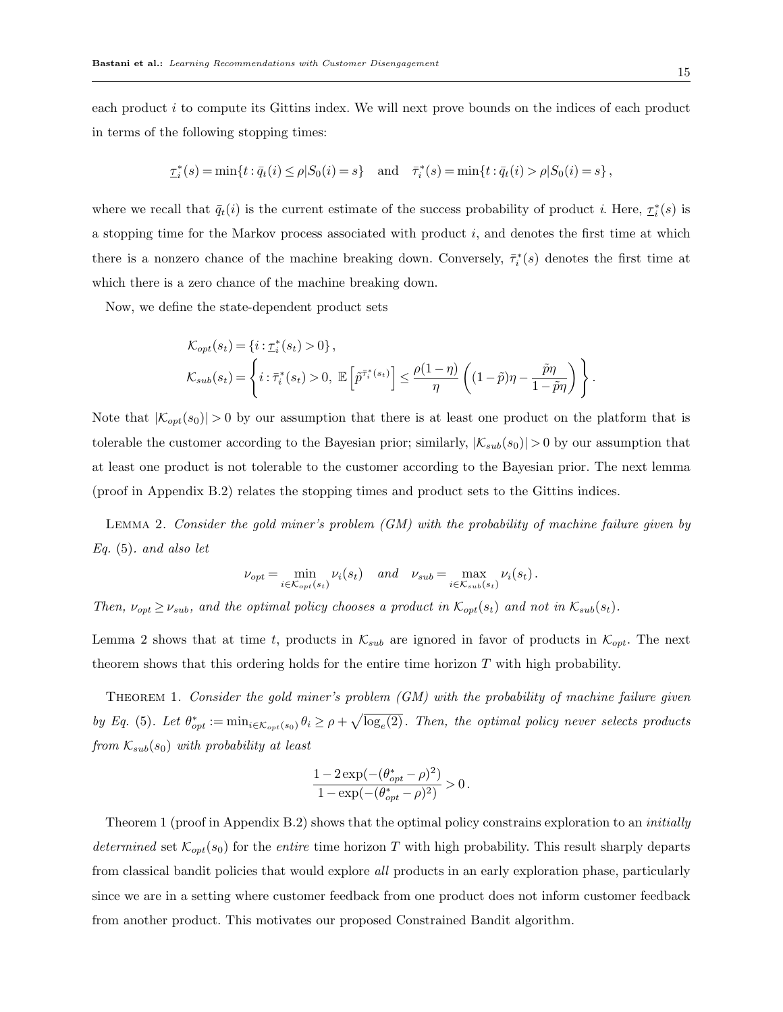each product i to compute its Gittins index. We will next prove bounds on the indices of each product in terms of the following stopping times:

$$
\tau_i^*(s) = \min\{t : \bar{q}_t(i) \le \rho | S_0(i) = s\} \quad \text{and} \quad \bar{\tau}_i^*(s) = \min\{t : \bar{q}_t(i) > \rho | S_0(i) = s\},
$$

where we recall that  $\bar{q}_t(i)$  is the current estimate of the success probability of product i. Here,  $\tau_i^*(s)$  is a stopping time for the Markov process associated with product  $i$ , and denotes the first time at which there is a nonzero chance of the machine breaking down. Conversely,  $\bar{\tau}_i^*(s)$  denotes the first time at which there is a zero chance of the machine breaking down.

Now, we define the state-dependent product sets

$$
\mathcal{K}_{opt}(s_t) = \{i : \underline{\tau}_i^*(s_t) > 0\},
$$
\n
$$
\mathcal{K}_{sub}(s_t) = \left\{i : \overline{\tau}_i^*(s_t) > 0, \ \mathbb{E}\left[\widetilde{p}^{\overline{\tau}_i^*(s_t)}\right] \le \frac{\rho(1-\eta)}{\eta} \left((1-\widetilde{p})\eta - \frac{\widetilde{p}\eta}{1-\widetilde{p}\eta}\right)\right\}.
$$

Note that  $|\mathcal{K}_{opt}(s_0)| > 0$  by our assumption that there is at least one product on the platform that is tolerable the customer according to the Bayesian prior; similarly,  $|\mathcal{K}_{sub}(s_0)| > 0$  by our assumption that at least one product is not tolerable to the customer according to the Bayesian prior. The next lemma (proof in Appendix B.2) relates the stopping times and product sets to the Gittins indices.

LEMMA 2. Consider the gold miner's problem  $(GM)$  with the probability of machine failure given by Eq. (5). and also let

$$
\nu_{opt} = \min_{i \in \mathcal{K}_{opt}(s_t)} \nu_i(s_t) \quad and \quad \nu_{sub} = \max_{i \in \mathcal{K}_{sub}(s_t)} \nu_i(s_t).
$$

Then,  $\nu_{opt} \geq \nu_{sub}$ , and the optimal policy chooses a product in  $\mathcal{K}_{opt}(s_t)$  and not in  $\mathcal{K}_{sub}(s_t)$ .

Lemma 2 shows that at time t, products in  $\mathcal{K}_{sub}$  are ignored in favor of products in  $\mathcal{K}_{opt}$ . The next theorem shows that this ordering holds for the entire time horizon  $T$  with high probability.

THEOREM 1. Consider the gold miner's problem  $(GM)$  with the probability of machine failure given by Eq. (5). Let  $\theta_{opt}^* := \min_{i \in \mathcal{K}_{opt}(s_0)} \theta_i \ge \rho + \sqrt{\log_e(2)}$ . Then, the optimal policy never selects products from  $\mathcal{K}_{sub}(s_0)$  with probability at least

$$
\frac{1-2\exp(-(\theta^*_{opt}-\rho)^2)}{1-\exp(-(\theta^*_{opt}-\rho)^2)}>0\,.
$$

Theorem 1 (proof in Appendix B.2) shows that the optimal policy constrains exploration to an *initially* determined set  $\mathcal{K}_{opt}(s_0)$  for the entire time horizon T with high probability. This result sharply departs from classical bandit policies that would explore *all* products in an early exploration phase, particularly since we are in a setting where customer feedback from one product does not inform customer feedback from another product. This motivates our proposed Constrained Bandit algorithm.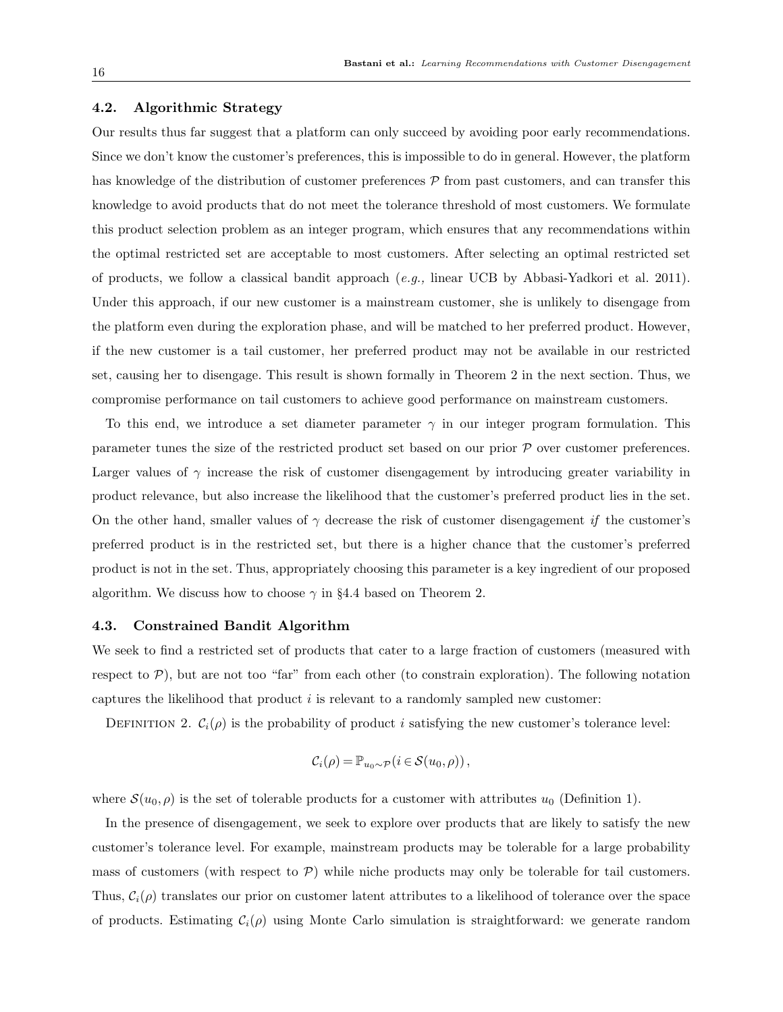# 4.2. Algorithmic Strategy

Our results thus far suggest that a platform can only succeed by avoiding poor early recommendations. Since we don't know the customer's preferences, this is impossible to do in general. However, the platform has knowledge of the distribution of customer preferences P from past customers, and can transfer this knowledge to avoid products that do not meet the tolerance threshold of most customers. We formulate this product selection problem as an integer program, which ensures that any recommendations within the optimal restricted set are acceptable to most customers. After selecting an optimal restricted set of products, we follow a classical bandit approach  $(e.g.,)$  linear UCB by Abbasi-Yadkori et al. 2011). Under this approach, if our new customer is a mainstream customer, she is unlikely to disengage from the platform even during the exploration phase, and will be matched to her preferred product. However, if the new customer is a tail customer, her preferred product may not be available in our restricted set, causing her to disengage. This result is shown formally in Theorem 2 in the next section. Thus, we compromise performance on tail customers to achieve good performance on mainstream customers.

To this end, we introduce a set diameter parameter  $\gamma$  in our integer program formulation. This parameter tunes the size of the restricted product set based on our prior P over customer preferences. Larger values of  $\gamma$  increase the risk of customer disengagement by introducing greater variability in product relevance, but also increase the likelihood that the customer's preferred product lies in the set. On the other hand, smaller values of  $\gamma$  decrease the risk of customer disengagement if the customer's preferred product is in the restricted set, but there is a higher chance that the customer's preferred product is not in the set. Thus, appropriately choosing this parameter is a key ingredient of our proposed algorithm. We discuss how to choose  $\gamma$  in §4.4 based on Theorem 2.

#### 4.3. Constrained Bandit Algorithm

We seek to find a restricted set of products that cater to a large fraction of customers (measured with respect to  $P$ ), but are not too "far" from each other (to constrain exploration). The following notation captures the likelihood that product  $i$  is relevant to a randomly sampled new customer:

DEFINITION 2.  $C_i(\rho)$  is the probability of product i satisfying the new customer's tolerance level:

$$
\mathcal{C}_i(\rho) = \mathbb{P}_{u_0 \sim \mathcal{P}}(i \in \mathcal{S}(u_0, \rho)),
$$

where  $\mathcal{S}(u_0, \rho)$  is the set of tolerable products for a customer with attributes  $u_0$  (Definition 1).

In the presence of disengagement, we seek to explore over products that are likely to satisfy the new customer's tolerance level. For example, mainstream products may be tolerable for a large probability mass of customers (with respect to  $P$ ) while niche products may only be tolerable for tail customers. Thus,  $C_i(\rho)$  translates our prior on customer latent attributes to a likelihood of tolerance over the space of products. Estimating  $C_i(\rho)$  using Monte Carlo simulation is straightforward: we generate random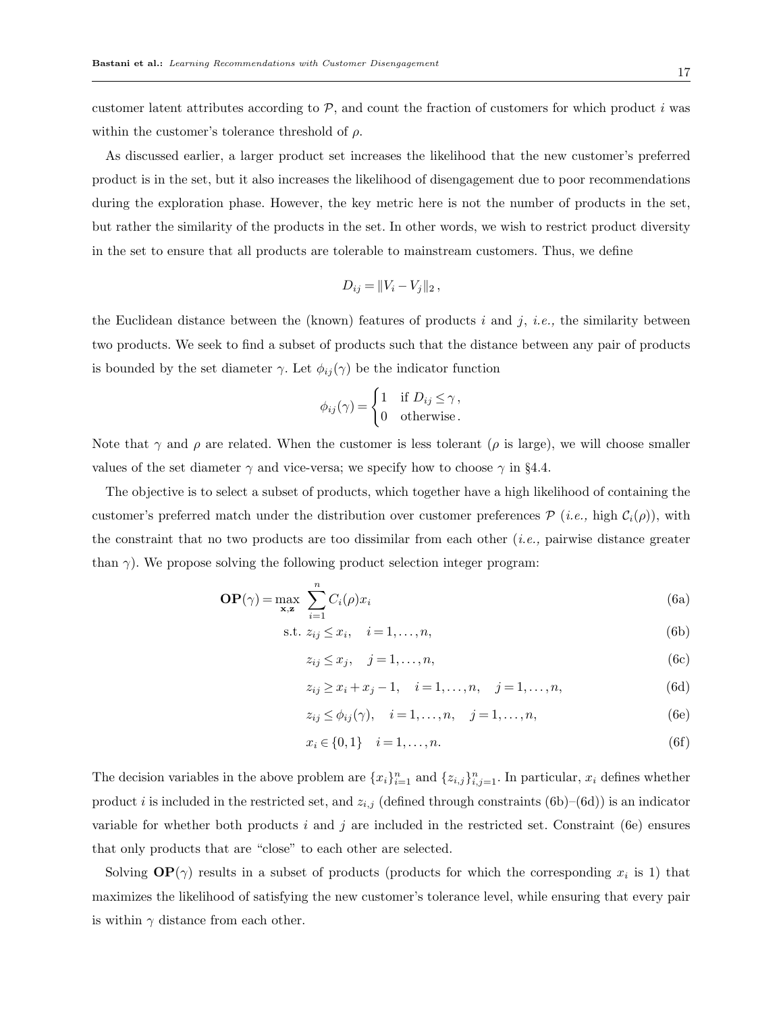customer latent attributes according to  $P$ , and count the fraction of customers for which product i was within the customer's tolerance threshold of  $\rho$ .

As discussed earlier, a larger product set increases the likelihood that the new customer's preferred product is in the set, but it also increases the likelihood of disengagement due to poor recommendations during the exploration phase. However, the key metric here is not the number of products in the set, but rather the similarity of the products in the set. In other words, we wish to restrict product diversity in the set to ensure that all products are tolerable to mainstream customers. Thus, we define

$$
D_{ij} = ||V_i - V_j||_2,
$$

the Euclidean distance between the (known) features of products  $i$  and  $j$ , *i.e.*, the similarity between two products. We seek to find a subset of products such that the distance between any pair of products is bounded by the set diameter  $\gamma$ . Let  $\phi_{ij}(\gamma)$  be the indicator function

$$
\phi_{ij}(\gamma) = \begin{cases} 1 & \text{if } D_{ij} \le \gamma, \\ 0 & \text{otherwise.} \end{cases}
$$

Note that  $\gamma$  and  $\rho$  are related. When the customer is less tolerant ( $\rho$  is large), we will choose smaller values of the set diameter  $\gamma$  and vice-versa; we specify how to choose  $\gamma$  in §4.4.

The objective is to select a subset of products, which together have a high likelihood of containing the customer's preferred match under the distribution over customer preferences  $\mathcal{P}$  (i.e., high  $\mathcal{C}_i(\rho)$ ), with the constraint that no two products are too dissimilar from each other  $(i.e.,$  pairwise distance greater than  $\gamma$ ). We propose solving the following product selection integer program:

$$
\mathbf{OP}(\gamma) = \max_{\mathbf{x}, \mathbf{z}} \sum_{i=1}^{n} C_i(\rho) x_i
$$
 (6a)

$$
\text{s.t. } z_{ij} \le x_i, \quad i = 1, \dots, n,\tag{6b}
$$

$$
z_{ij} \le x_j, \quad j = 1, \dots, n,\tag{6c}
$$

$$
z_{ij} \ge x_i + x_j - 1, \quad i = 1, \dots, n, \quad j = 1, \dots, n,
$$
 (6d)

$$
z_{ij} \le \phi_{ij}(\gamma), \quad i = 1, \dots, n, \quad j = 1, \dots, n,
$$
\n(6e)

$$
x_i \in \{0, 1\} \quad i = 1, \dots, n. \tag{6f}
$$

The decision variables in the above problem are  $\{x_i\}_{i=1}^n$  and  $\{z_{i,j}\}_{i,j=1}^n$ . In particular,  $x_i$  defines whether product i is included in the restricted set, and  $z_{i,j}$  (defined through constraints (6b)–(6d)) is an indicator variable for whether both products i and j are included in the restricted set. Constraint (6e) ensures that only products that are "close" to each other are selected.

Solving  $\mathbf{OP}(\gamma)$  results in a subset of products (products for which the corresponding  $x_i$  is 1) that maximizes the likelihood of satisfying the new customer's tolerance level, while ensuring that every pair is within  $\gamma$  distance from each other.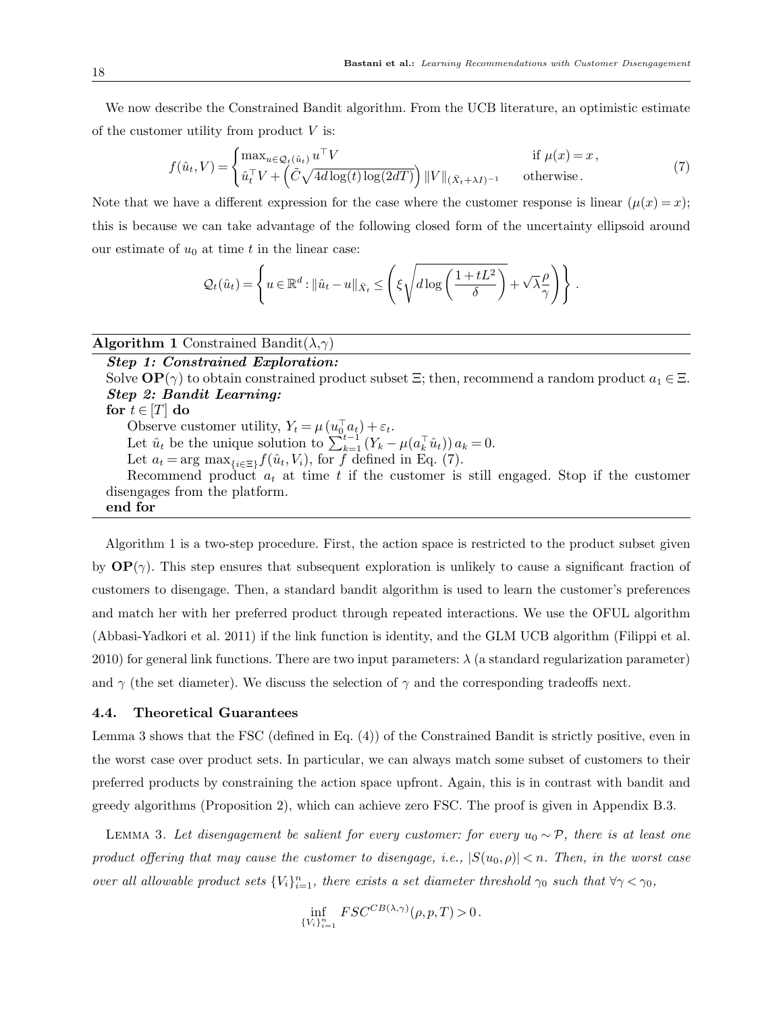We now describe the Constrained Bandit algorithm. From the UCB literature, an optimistic estimate of the customer utility from product  $V$  is:

$$
f(\hat{u}_t, V) = \begin{cases} \max_{u \in \mathcal{Q}_t(\hat{u}_t)} u^{\top} V & \text{if } \mu(x) = x, \\ \hat{u}_t^{\top} V + \left( \tilde{C} \sqrt{4d \log(t) \log(2dT)} \right) ||V||_{(\bar{X}_t + \lambda I)^{-1}} & \text{otherwise.} \end{cases}
$$
(7)

Note that we have a different expression for the case where the customer response is linear  $(\mu(x) = x);$ this is because we can take advantage of the following closed form of the uncertainty ellipsoid around our estimate of  $u_0$  at time t in the linear case:

$$
Q_t(\hat{u}_t) = \left\{ u \in \mathbb{R}^d : ||\hat{u}_t - u||_{\bar{X}_t} \le \left( \xi \sqrt{d \log \left( \frac{1 + tL^2}{\delta} \right)} + \sqrt{\lambda} \frac{\rho}{\gamma} \right) \right\}.
$$

**Algorithm 1** Constrained Bandit $(\lambda, \gamma)$ 

# Step 1: Constrained Exploration:

Solve  $\mathbf{OP}(\gamma)$  to obtain constrained product subset  $\Xi$ ; then, recommend a random product  $a_1 \in \Xi$ . Step 2: Bandit Learning: for  $t \in [T]$  do Observe customer utility,  $Y_t = \mu \left( u_0^{\top} a_t \right) + \varepsilon_t$ . Let  $\hat{u}_t$  be the unique solution to  $\sum_{k=1}^{t-1} (Y_k - \mu(a_k^\top \hat{u}_t)) a_k = 0$ . Let  $a_t = \arg \max_{\{i \in \Xi\}} f(\hat{u}_t, V_i)$ , for f defined in Eq. (7). Recommend product  $a_t$  at time t if the customer is still engaged. Stop if the customer disengages from the platform. end for

Algorithm 1 is a two-step procedure. First, the action space is restricted to the product subset given by  $\mathbf{OP}(\gamma)$ . This step ensures that subsequent exploration is unlikely to cause a significant fraction of customers to disengage. Then, a standard bandit algorithm is used to learn the customer's preferences and match her with her preferred product through repeated interactions. We use the OFUL algorithm (Abbasi-Yadkori et al. 2011) if the link function is identity, and the GLM UCB algorithm (Filippi et al. 2010) for general link functions. There are two input parameters:  $\lambda$  (a standard regularization parameter) and  $\gamma$  (the set diameter). We discuss the selection of  $\gamma$  and the corresponding tradeoffs next.

# 4.4. Theoretical Guarantees

Lemma 3 shows that the FSC (defined in Eq. (4)) of the Constrained Bandit is strictly positive, even in the worst case over product sets. In particular, we can always match some subset of customers to their preferred products by constraining the action space upfront. Again, this is in contrast with bandit and greedy algorithms (Proposition 2), which can achieve zero FSC. The proof is given in Appendix B.3.

LEMMA 3. Let disengagement be salient for every customer: for every  $u_0 \sim \mathcal{P}$ , there is at least one product offering that may cause the customer to disengage, i.e.,  $|S(u_0,\rho)| < n$ . Then, in the worst case over all allowable product sets  ${V_i}_{i=1}^n$ , there exists a set diameter threshold  $\gamma_0$  such that  $\forall \gamma < \gamma_0$ ,

$$
\inf_{\{V_i\}_{i=1}^n} FSC^{CB(\lambda,\gamma)}(\rho,p,T) > 0.
$$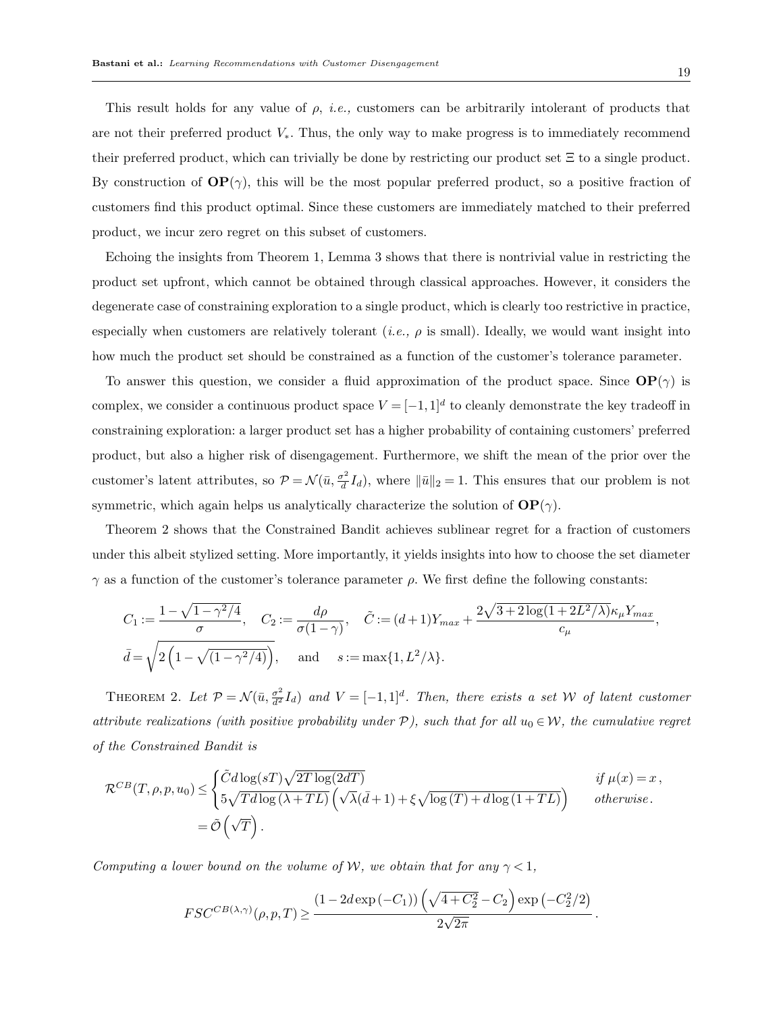19

This result holds for any value of  $\rho$ , *i.e.*, customers can be arbitrarily intolerant of products that are not their preferred product  $V_*$ . Thus, the only way to make progress is to immediately recommend their preferred product, which can trivially be done by restricting our product set  $\Xi$  to a single product. By construction of  $\mathbf{OP}(\gamma)$ , this will be the most popular preferred product, so a positive fraction of customers find this product optimal. Since these customers are immediately matched to their preferred product, we incur zero regret on this subset of customers.

Echoing the insights from Theorem 1, Lemma 3 shows that there is nontrivial value in restricting the product set upfront, which cannot be obtained through classical approaches. However, it considers the degenerate case of constraining exploration to a single product, which is clearly too restrictive in practice, especially when customers are relatively tolerant (*i.e.*,  $\rho$  is small). Ideally, we would want insight into how much the product set should be constrained as a function of the customer's tolerance parameter.

To answer this question, we consider a fluid approximation of the product space. Since  $\mathbf{OP}(\gamma)$  is complex, we consider a continuous product space  $V = [-1,1]^d$  to cleanly demonstrate the key tradeoff in constraining exploration: a larger product set has a higher probability of containing customers' preferred product, but also a higher risk of disengagement. Furthermore, we shift the mean of the prior over the customer's latent attributes, so  $\mathcal{P} = \mathcal{N}(\bar{u}, \frac{\sigma^2}{d})$  $\frac{\partial^2 I}{\partial d}I_d$ , where  $\|\bar{u}\|_2 = 1$ . This ensures that our problem is not symmetric, which again helps us analytically characterize the solution of  $OP(\gamma)$ .

Theorem 2 shows that the Constrained Bandit achieves sublinear regret for a fraction of customers under this albeit stylized setting. More importantly, it yields insights into how to choose the set diameter  $γ$  as a function of the customer's tolerance parameter  $ρ$ . We first define the following constants:

$$
C_1 := \frac{1 - \sqrt{1 - \gamma^2/4}}{\sigma}, \quad C_2 := \frac{d\rho}{\sigma(1 - \gamma)}, \quad \tilde{C} := (d+1)Y_{max} + \frac{2\sqrt{3 + 2\log(1 + 2L^2/\lambda)}\kappa_\mu Y_{max}}{c_\mu},
$$

$$
\bar{d} = \sqrt{2\left(1 - \sqrt{(1 - \gamma^2/4)}\right)}, \quad \text{and} \quad s := \max\{1, L^2/\lambda\}.
$$

THEOREM 2. Let  $\mathcal{P} = \mathcal{N}(\bar{u}, \frac{\sigma^2}{d^2} I_d)$  and  $V = [-1, 1]^d$ . Then, there exists a set W of latent customer attribute realizations (with positive probability under  $P$ ), such that for all  $u_0 \in \mathcal{W}$ , the cumulative regret of the Constrained Bandit is

$$
\mathcal{R}^{CB}(T,\rho,p,u_0) \leq \begin{cases} \tilde{C}d \log(sT)\sqrt{2T \log(2dT)} & \text{if } \mu(x) = x, \\ 5\sqrt{Td \log(\lambda + TL)} \left( \sqrt{\lambda}(\bar{d} + 1) + \xi \sqrt{\log(T) + d \log(1 + TL)} \right) & \text{otherwise.} \end{cases}
$$

$$
= \tilde{\mathcal{O}}\left(\sqrt{T}\right).
$$

Computing a lower bound on the volume of W, we obtain that for any  $\gamma < 1$ ,

$$
FSC^{CB(\lambda,\gamma)}(\rho,p,T) \geq \frac{(1-2d\exp\left(-C_1\right))\left(\sqrt{4+C_2^2}-C_2\right)\exp\left(-C_2^2/2\right)}{2\sqrt{2\pi}}.
$$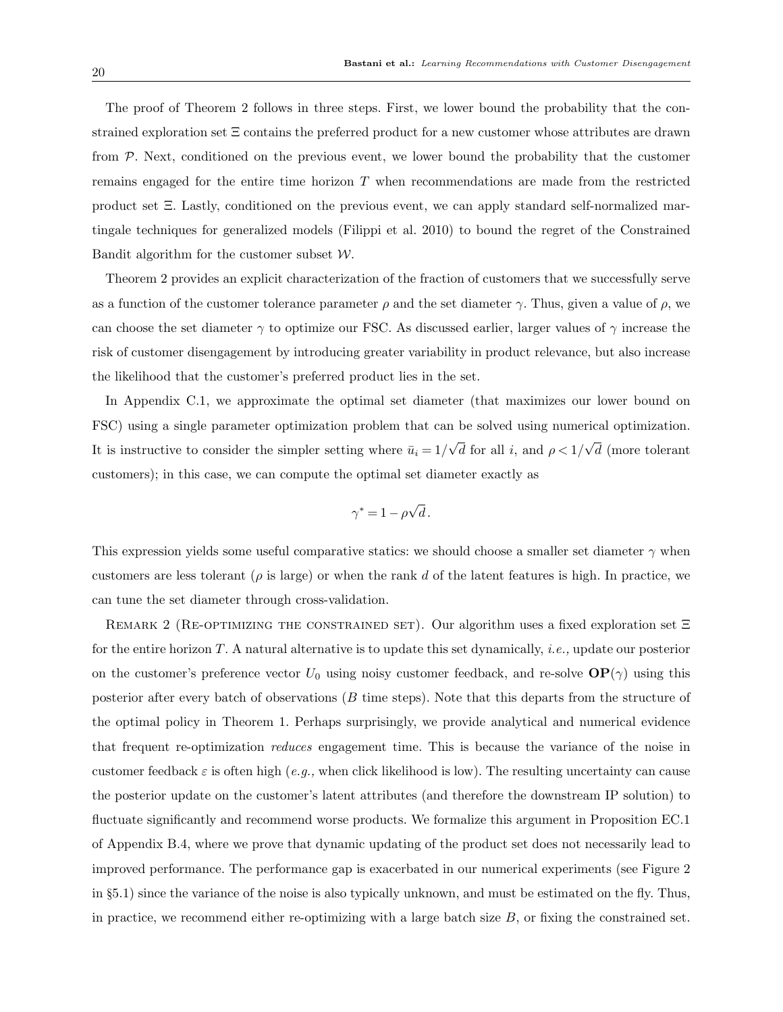The proof of Theorem 2 follows in three steps. First, we lower bound the probability that the constrained exploration set Ξ contains the preferred product for a new customer whose attributes are drawn from P. Next, conditioned on the previous event, we lower bound the probability that the customer remains engaged for the entire time horizon T when recommendations are made from the restricted product set Ξ. Lastly, conditioned on the previous event, we can apply standard self-normalized martingale techniques for generalized models (Filippi et al. 2010) to bound the regret of the Constrained Bandit algorithm for the customer subset  $W$ .

Theorem 2 provides an explicit characterization of the fraction of customers that we successfully serve as a function of the customer tolerance parameter  $\rho$  and the set diameter  $\gamma$ . Thus, given a value of  $\rho$ , we can choose the set diameter  $\gamma$  to optimize our FSC. As discussed earlier, larger values of  $\gamma$  increase the risk of customer disengagement by introducing greater variability in product relevance, but also increase the likelihood that the customer's preferred product lies in the set.

In Appendix C.1, we approximate the optimal set diameter (that maximizes our lower bound on FSC) using a single parameter optimization problem that can be solved using numerical optimization. It is instructive to consider the simpler setting where  $\bar{u}_i = 1/$ √ d for all i, and  $\rho < 1/$ √ d (more tolerant customers); in this case, we can compute the optimal set diameter exactly as

$$
\gamma^* = 1 - \rho \sqrt{d} \, .
$$

This expression yields some useful comparative statics: we should choose a smaller set diameter  $\gamma$  when customers are less tolerant ( $\rho$  is large) or when the rank d of the latent features is high. In practice, we can tune the set diameter through cross-validation.

REMARK 2 (RE-OPTIMIZING THE CONSTRAINED SET). Our algorithm uses a fixed exploration set Ξ for the entire horizon T. A natural alternative is to update this set dynamically, i.e., update our posterior on the customer's preference vector  $U_0$  using noisy customer feedback, and re-solve  $\mathbf{OP}(\gamma)$  using this posterior after every batch of observations (B time steps). Note that this departs from the structure of the optimal policy in Theorem 1. Perhaps surprisingly, we provide analytical and numerical evidence that frequent re-optimization reduces engagement time. This is because the variance of the noise in customer feedback  $\varepsilon$  is often high (e.g., when click likelihood is low). The resulting uncertainty can cause the posterior update on the customer's latent attributes (and therefore the downstream IP solution) to fluctuate significantly and recommend worse products. We formalize this argument in Proposition EC.1 of Appendix B.4, where we prove that dynamic updating of the product set does not necessarily lead to improved performance. The performance gap is exacerbated in our numerical experiments (see Figure 2 in §5.1) since the variance of the noise is also typically unknown, and must be estimated on the fly. Thus, in practice, we recommend either re-optimizing with a large batch size  $B$ , or fixing the constrained set.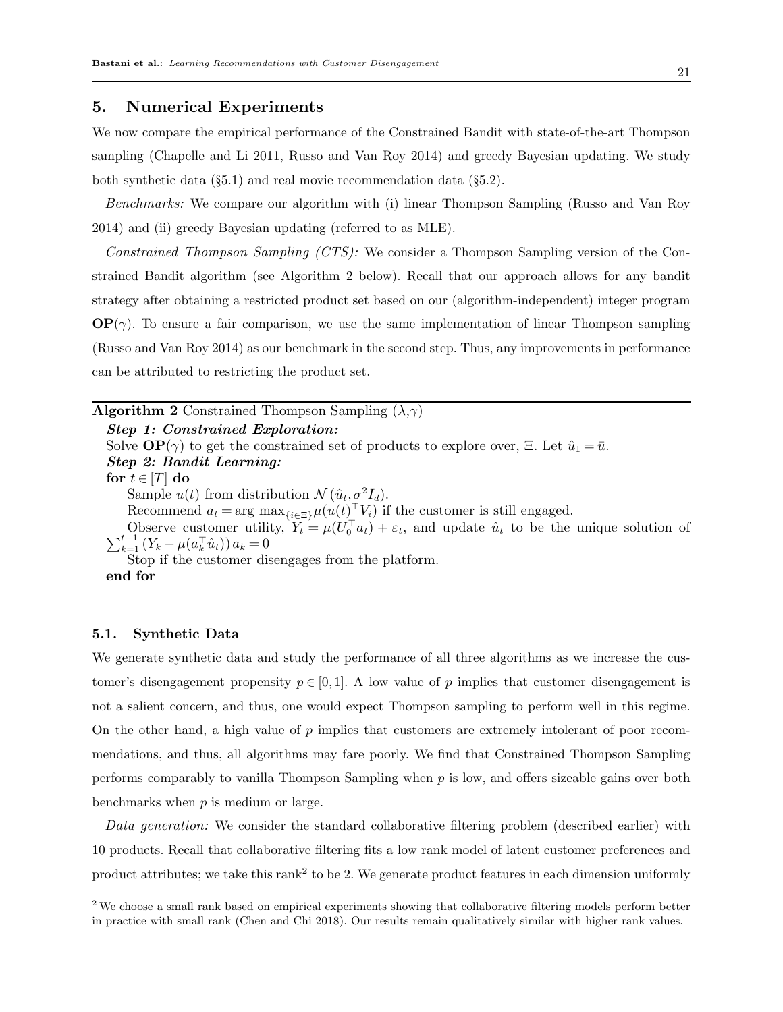# 5. Numerical Experiments

We now compare the empirical performance of the Constrained Bandit with state-of-the-art Thompson sampling (Chapelle and Li 2011, Russo and Van Roy 2014) and greedy Bayesian updating. We study both synthetic data (§5.1) and real movie recommendation data (§5.2).

Benchmarks: We compare our algorithm with (i) linear Thompson Sampling (Russo and Van Roy 2014) and (ii) greedy Bayesian updating (referred to as MLE).

Constrained Thompson Sampling (CTS): We consider a Thompson Sampling version of the Constrained Bandit algorithm (see Algorithm 2 below). Recall that our approach allows for any bandit strategy after obtaining a restricted product set based on our (algorithm-independent) integer program  $\mathbf{OP}(\gamma)$ . To ensure a fair comparison, we use the same implementation of linear Thompson sampling (Russo and Van Roy 2014) as our benchmark in the second step. Thus, any improvements in performance can be attributed to restricting the product set.

# **Algorithm 2** Constrained Thompson Sampling  $(\lambda, \gamma)$

Step 1: Constrained Exploration: Solve  $\mathbf{OP}(\gamma)$  to get the constrained set of products to explore over,  $\Xi$ . Let  $\hat{u}_1 = \bar{u}$ . Step 2: Bandit Learning: for  $t \in [T]$  do Sample  $u(t)$  from distribution  $\mathcal{N}(\hat{u}_t, \sigma^2 I_d)$ . Recommend  $a_t = \arg \max_{\{i \in \Xi\}} \mu(u(t)^\top V_i)$  if the customer is still engaged. Observe customer utility,  $Y_t = \mu(U_0^{\top} a_t) + \varepsilon_t$ , and update  $\hat{u}_t$  to be the unique solution of  $\sum_{k=1}^{t-1} (Y_k - \mu(a_k^{\top} \hat{u}_t)) a_k = 0$  $_{k=1}^{t-1} (Y_k - \mu(a_k^{\top} \hat{u}_t)) a_k = 0$ Stop if the customer disengages from the platform. end for

# 5.1. Synthetic Data

We generate synthetic data and study the performance of all three algorithms as we increase the customer's disengagement propensity  $p \in [0,1]$ . A low value of p implies that customer disengagement is not a salient concern, and thus, one would expect Thompson sampling to perform well in this regime. On the other hand, a high value of  $p$  implies that customers are extremely intolerant of poor recommendations, and thus, all algorithms may fare poorly. We find that Constrained Thompson Sampling performs comparably to vanilla Thompson Sampling when  $p$  is low, and offers sizeable gains over both benchmarks when  $p$  is medium or large.

Data generation: We consider the standard collaborative filtering problem (described earlier) with 10 products. Recall that collaborative filtering fits a low rank model of latent customer preferences and product attributes; we take this rank<sup>2</sup> to be 2. We generate product features in each dimension uniformly

<sup>2</sup> We choose a small rank based on empirical experiments showing that collaborative filtering models perform better in practice with small rank (Chen and Chi 2018). Our results remain qualitatively similar with higher rank values.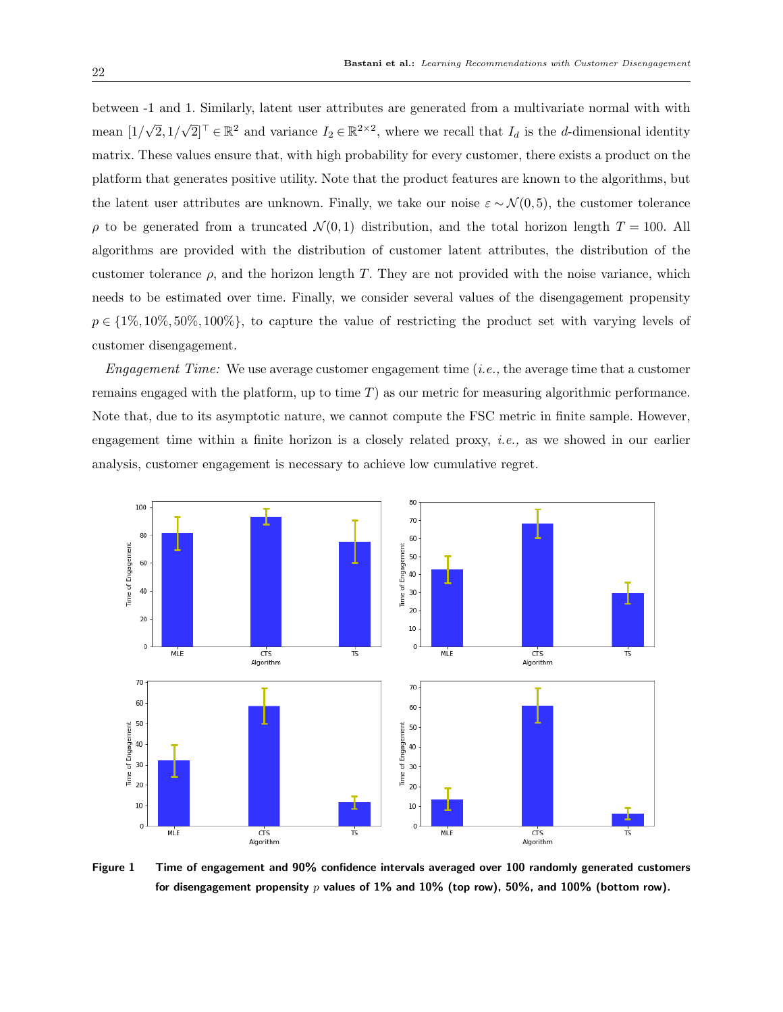between -1 and 1. Similarly, latent user attributes are generated from a multivariate normal with with mean [1/ √  $2,1/$  $\sqrt{2}$ <sup>T</sup>  $\in \mathbb{R}^2$  and variance  $I_2 \in \mathbb{R}^{2 \times 2}$ , where we recall that  $I_d$  is the *d*-dimensional identity matrix. These values ensure that, with high probability for every customer, there exists a product on the platform that generates positive utility. Note that the product features are known to the algorithms, but the latent user attributes are unknown. Finally, we take our noise  $\varepsilon \sim \mathcal{N}(0, 5)$ , the customer tolerance  $\rho$  to be generated from a truncated  $\mathcal{N}(0,1)$  distribution, and the total horizon length  $T = 100$ . All algorithms are provided with the distribution of customer latent attributes, the distribution of the customer tolerance  $\rho$ , and the horizon length T. They are not provided with the noise variance, which needs to be estimated over time. Finally, we consider several values of the disengagement propensity  $p \in \{1\%, 10\%, 50\%, 100\%\},\$ to capture the value of restricting the product set with varying levels of customer disengagement.

Engagement Time: We use average customer engagement time (*i.e.*, the average time that a customer remains engaged with the platform, up to time  $T$ ) as our metric for measuring algorithmic performance. Note that, due to its asymptotic nature, we cannot compute the FSC metric in finite sample. However, engagement time within a finite horizon is a closely related proxy, i.e., as we showed in our earlier analysis, customer engagement is necessary to achieve low cumulative regret.



Figure 1 Time of engagement and 90% confidence intervals averaged over 100 randomly generated customers for disengagement propensity  $p$  values of 1% and 10% (top row), 50%, and 100% (bottom row).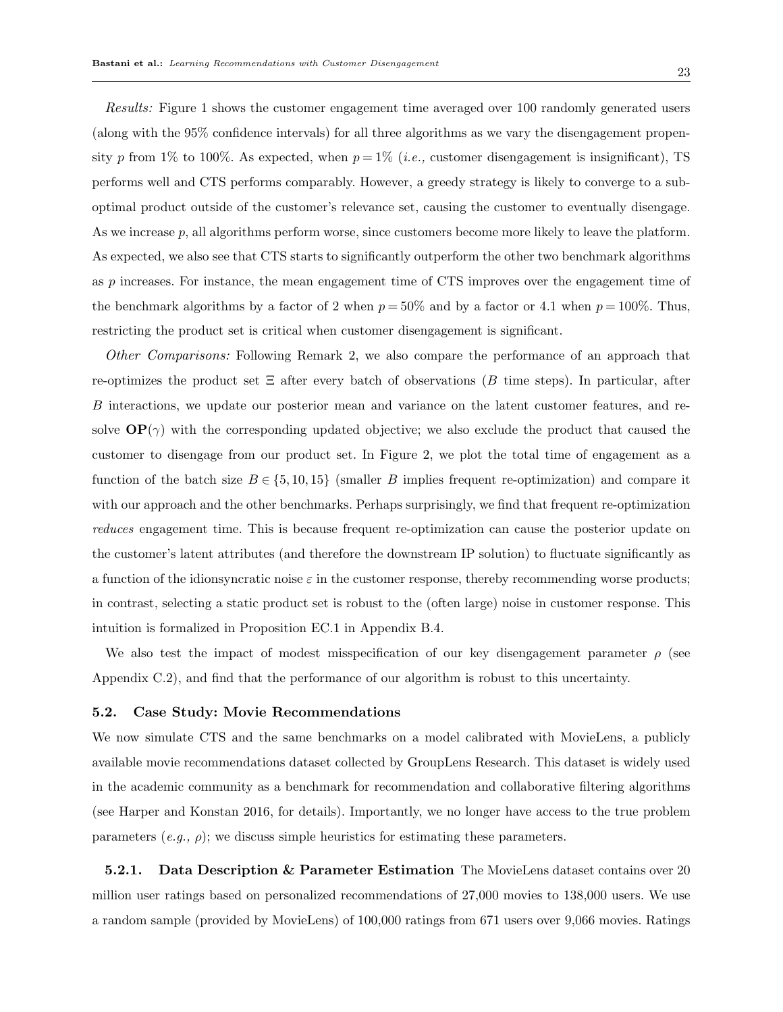Results: Figure 1 shows the customer engagement time averaged over 100 randomly generated users (along with the 95% confidence intervals) for all three algorithms as we vary the disengagement propensity p from 1% to 100%. As expected, when  $p = 1\%$  (*i.e.*, customer disengagement is insignificant), TS performs well and CTS performs comparably. However, a greedy strategy is likely to converge to a suboptimal product outside of the customer's relevance set, causing the customer to eventually disengage. As we increase p, all algorithms perform worse, since customers become more likely to leave the platform. As expected, we also see that CTS starts to significantly outperform the other two benchmark algorithms as p increases. For instance, the mean engagement time of CTS improves over the engagement time of the benchmark algorithms by a factor of 2 when  $p = 50\%$  and by a factor or 4.1 when  $p = 100\%$ . Thus, restricting the product set is critical when customer disengagement is significant.

Other Comparisons: Following Remark 2, we also compare the performance of an approach that re-optimizes the product set  $\Xi$  after every batch of observations (B time steps). In particular, after B interactions, we update our posterior mean and variance on the latent customer features, and resolve  $\mathbf{OP}(\gamma)$  with the corresponding updated objective; we also exclude the product that caused the customer to disengage from our product set. In Figure 2, we plot the total time of engagement as a function of the batch size  $B \in \{5, 10, 15\}$  (smaller B implies frequent re-optimization) and compare it with our approach and the other benchmarks. Perhaps surprisingly, we find that frequent re-optimization reduces engagement time. This is because frequent re-optimization can cause the posterior update on the customer's latent attributes (and therefore the downstream IP solution) to fluctuate significantly as a function of the idionsyncratic noise  $\varepsilon$  in the customer response, thereby recommending worse products; in contrast, selecting a static product set is robust to the (often large) noise in customer response. This intuition is formalized in Proposition EC.1 in Appendix B.4.

We also test the impact of modest misspecification of our key disengagement parameter  $\rho$  (see Appendix C.2), and find that the performance of our algorithm is robust to this uncertainty.

#### 5.2. Case Study: Movie Recommendations

We now simulate CTS and the same benchmarks on a model calibrated with MovieLens, a publicly available movie recommendations dataset collected by GroupLens Research. This dataset is widely used in the academic community as a benchmark for recommendation and collaborative filtering algorithms (see Harper and Konstan 2016, for details). Importantly, we no longer have access to the true problem parameters  $(e,q, \rho)$ ; we discuss simple heuristics for estimating these parameters.

**5.2.1.** Data Description & Parameter Estimation The MovieLens dataset contains over 20 million user ratings based on personalized recommendations of 27,000 movies to 138,000 users. We use a random sample (provided by MovieLens) of 100,000 ratings from 671 users over 9,066 movies. Ratings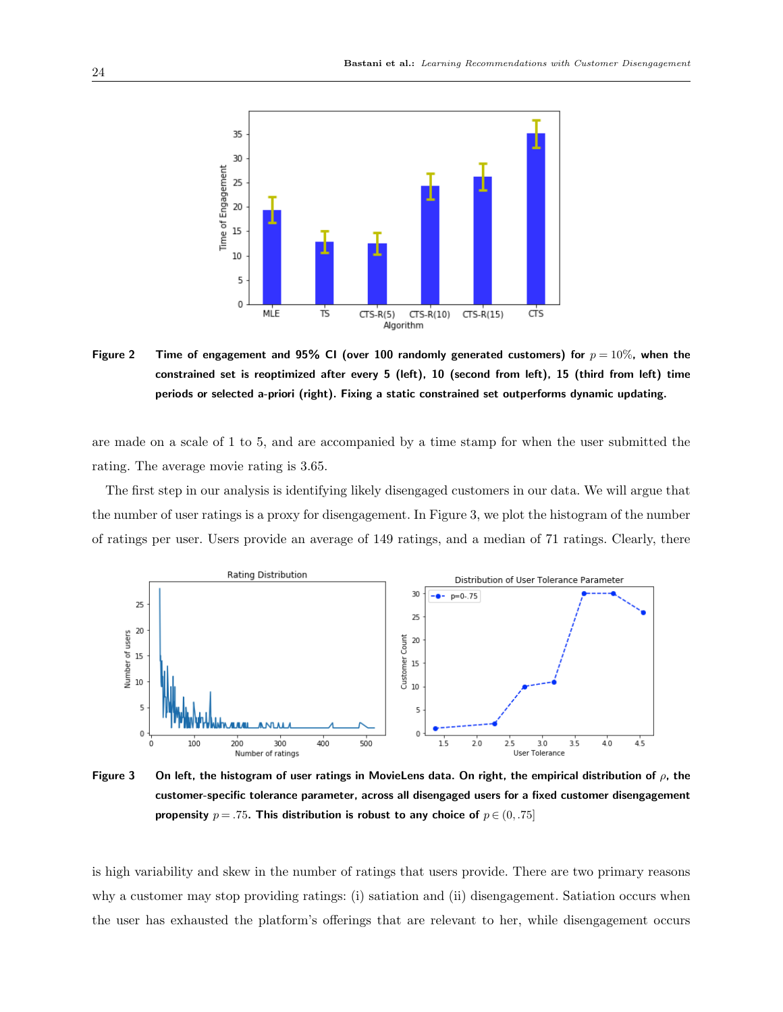

Figure 2 Time of engagement and 95% CI (over 100 randomly generated customers) for  $p = 10\%$ , when the constrained set is reoptimized after every 5 (left), 10 (second from left), 15 (third from left) time periods or selected a-priori (right). Fixing a static constrained set outperforms dynamic updating.

are made on a scale of 1 to 5, and are accompanied by a time stamp for when the user submitted the rating. The average movie rating is 3.65.

The first step in our analysis is identifying likely disengaged customers in our data. We will argue that the number of user ratings is a proxy for disengagement. In Figure 3, we plot the histogram of the number of ratings per user. Users provide an average of 149 ratings, and a median of 71 ratings. Clearly, there



Figure 3 On left, the histogram of user ratings in MovieLens data. On right, the empirical distribution of  $\rho$ , the customer-specific tolerance parameter, across all disengaged users for a fixed customer disengagement propensity  $p = .75$ . This distribution is robust to any choice of  $p \in (0, .75]$ 

is high variability and skew in the number of ratings that users provide. There are two primary reasons why a customer may stop providing ratings: (i) satiation and (ii) disengagement. Satiation occurs when the user has exhausted the platform's offerings that are relevant to her, while disengagement occurs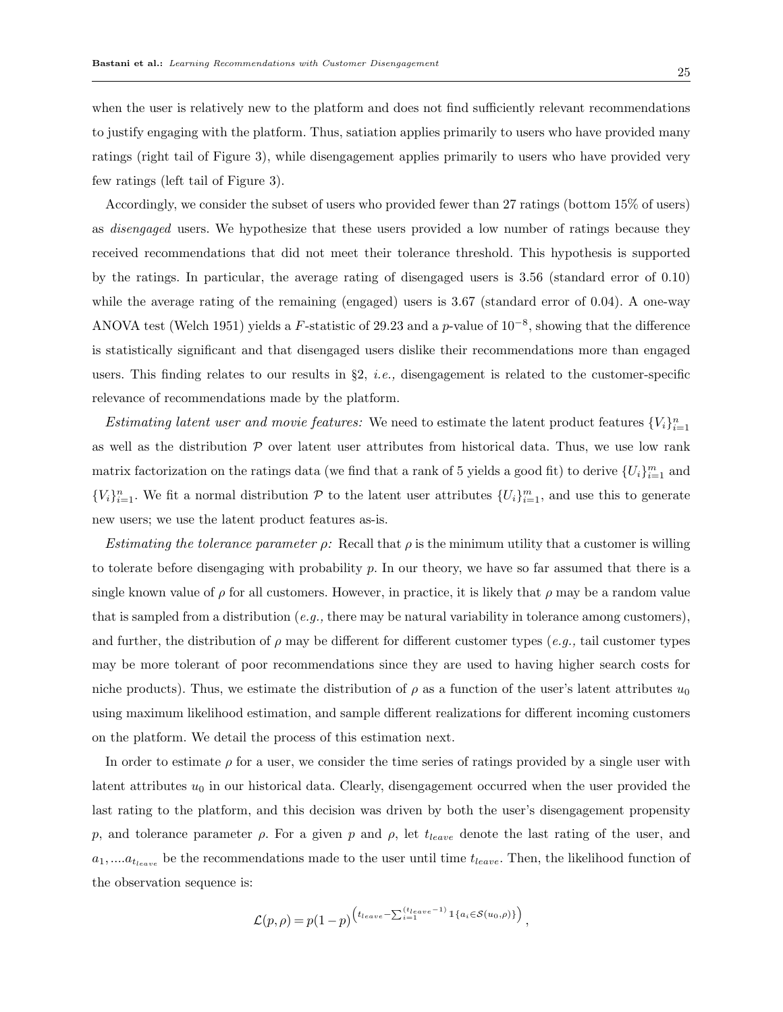when the user is relatively new to the platform and does not find sufficiently relevant recommendations to justify engaging with the platform. Thus, satiation applies primarily to users who have provided many ratings (right tail of Figure 3), while disengagement applies primarily to users who have provided very

few ratings (left tail of Figure 3).

Accordingly, we consider the subset of users who provided fewer than 27 ratings (bottom 15% of users) as disengaged users. We hypothesize that these users provided a low number of ratings because they received recommendations that did not meet their tolerance threshold. This hypothesis is supported by the ratings. In particular, the average rating of disengaged users is 3.56 (standard error of 0.10) while the average rating of the remaining (engaged) users is 3.67 (standard error of 0.04). A one-way ANOVA test (Welch 1951) yields a F-statistic of 29.23 and a p-value of  $10^{-8}$ , showing that the difference is statistically significant and that disengaged users dislike their recommendations more than engaged users. This finding relates to our results in  $\S2$ , *i.e.*, disengagement is related to the customer-specific relevance of recommendations made by the platform.

Estimating latent user and movie features: We need to estimate the latent product features  $\{V_i\}_{i=1}^n$ as well as the distribution  $P$  over latent user attributes from historical data. Thus, we use low rank matrix factorization on the ratings data (we find that a rank of 5 yields a good fit) to derive  $\{U_i\}_{i=1}^m$  and  ${V_i}_{i=1}^n$ . We fit a normal distribution  $P$  to the latent user attributes  ${U_i}_{i=1}^m$ , and use this to generate new users; we use the latent product features as-is.

Estimating the tolerance parameter  $\rho$ : Recall that  $\rho$  is the minimum utility that a customer is willing to tolerate before disengaging with probability p. In our theory, we have so far assumed that there is a single known value of  $\rho$  for all customers. However, in practice, it is likely that  $\rho$  may be a random value that is sampled from a distribution (e.g., there may be natural variability in tolerance among customers). and further, the distribution of  $\rho$  may be different for different customer types (e.g., tail customer types may be more tolerant of poor recommendations since they are used to having higher search costs for niche products). Thus, we estimate the distribution of  $\rho$  as a function of the user's latent attributes  $u_0$ using maximum likelihood estimation, and sample different realizations for different incoming customers on the platform. We detail the process of this estimation next.

In order to estimate  $\rho$  for a user, we consider the time series of ratings provided by a single user with latent attributes  $u_0$  in our historical data. Clearly, disengagement occurred when the user provided the last rating to the platform, and this decision was driven by both the user's disengagement propensity p, and tolerance parameter  $\rho$ . For a given p and  $\rho$ , let  $t_{leave}$  denote the last rating of the user, and  $a_1, \ldots, a_{t_{leave}}$  be the recommendations made to the user until time  $t_{leave}$ . Then, the likelihood function of the observation sequence is:

$$
\mathcal{L}(p,\rho) = p(1-p)^{\left(t_{leave} - \sum_{i=1}^{(t_{leave}-1)} \mathbb{1}_{\{a_i \in \mathcal{S}(u_0,\rho)\}}\right)},
$$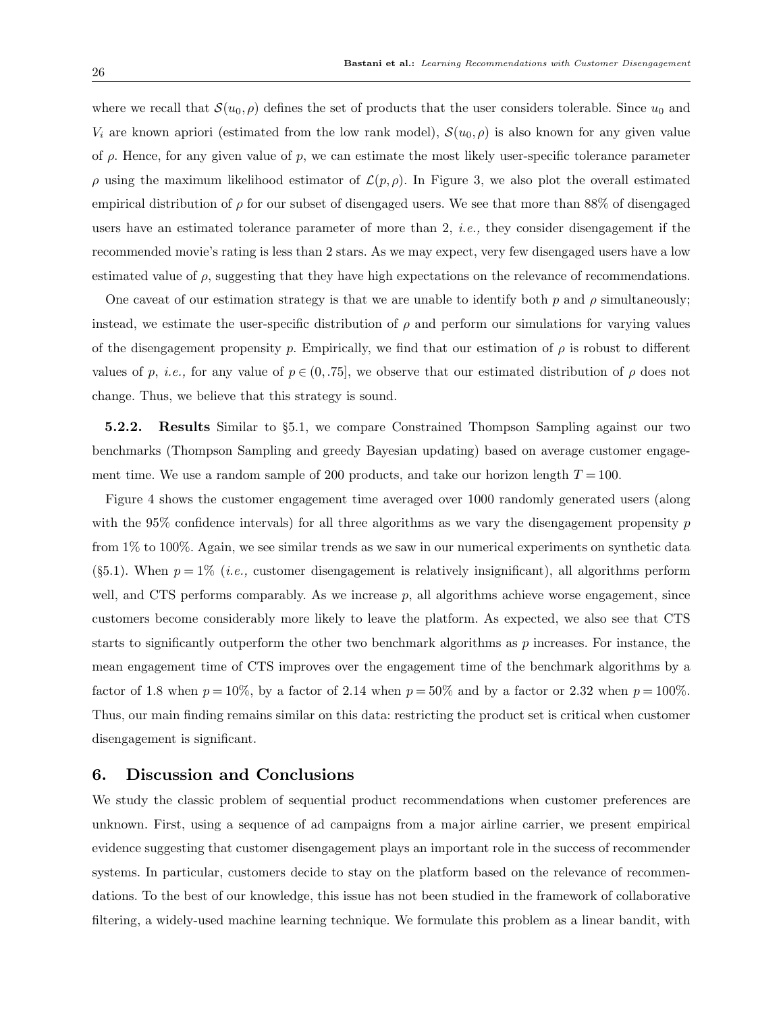where we recall that  $S(u_0, \rho)$  defines the set of products that the user considers tolerable. Since  $u_0$  and  $V_i$  are known apriori (estimated from the low rank model),  $\mathcal{S}(u_0, \rho)$  is also known for any given value of  $\rho$ . Hence, for any given value of  $p$ , we can estimate the most likely user-specific tolerance parameter  $ρ$  using the maximum likelihood estimator of  $L(p, ρ)$ . In Figure 3, we also plot the overall estimated empirical distribution of  $\rho$  for our subset of disengaged users. We see that more than 88% of disengaged users have an estimated tolerance parameter of more than 2, i.e., they consider disengagement if the recommended movie's rating is less than 2 stars. As we may expect, very few disengaged users have a low estimated value of  $\rho$ , suggesting that they have high expectations on the relevance of recommendations.

One caveat of our estimation strategy is that we are unable to identify both p and  $\rho$  simultaneously; instead, we estimate the user-specific distribution of  $\rho$  and perform our simulations for varying values of the disengagement propensity p. Empirically, we find that our estimation of  $\rho$  is robust to different values of p, *i.e.*, for any value of  $p \in (0, 75]$ , we observe that our estimated distribution of  $\rho$  does not change. Thus, we believe that this strategy is sound.

5.2.2. Results Similar to §5.1, we compare Constrained Thompson Sampling against our two benchmarks (Thompson Sampling and greedy Bayesian updating) based on average customer engagement time. We use a random sample of 200 products, and take our horizon length  $T = 100$ .

Figure 4 shows the customer engagement time averaged over 1000 randomly generated users (along with the 95% confidence intervals) for all three algorithms as we vary the disengagement propensity  $p$ from 1% to 100%. Again, we see similar trends as we saw in our numerical experiments on synthetic data  $(§5.1)$ . When  $p = 1\%$  (*i.e.*, customer disengagement is relatively insignificant), all algorithms perform well, and CTS performs comparably. As we increase  $p$ , all algorithms achieve worse engagement, since customers become considerably more likely to leave the platform. As expected, we also see that CTS starts to significantly outperform the other two benchmark algorithms as p increases. For instance, the mean engagement time of CTS improves over the engagement time of the benchmark algorithms by a factor of 1.8 when  $p = 10\%$ , by a factor of 2.14 when  $p = 50\%$  and by a factor or 2.32 when  $p = 100\%$ . Thus, our main finding remains similar on this data: restricting the product set is critical when customer disengagement is significant.

# 6. Discussion and Conclusions

We study the classic problem of sequential product recommendations when customer preferences are unknown. First, using a sequence of ad campaigns from a major airline carrier, we present empirical evidence suggesting that customer disengagement plays an important role in the success of recommender systems. In particular, customers decide to stay on the platform based on the relevance of recommendations. To the best of our knowledge, this issue has not been studied in the framework of collaborative filtering, a widely-used machine learning technique. We formulate this problem as a linear bandit, with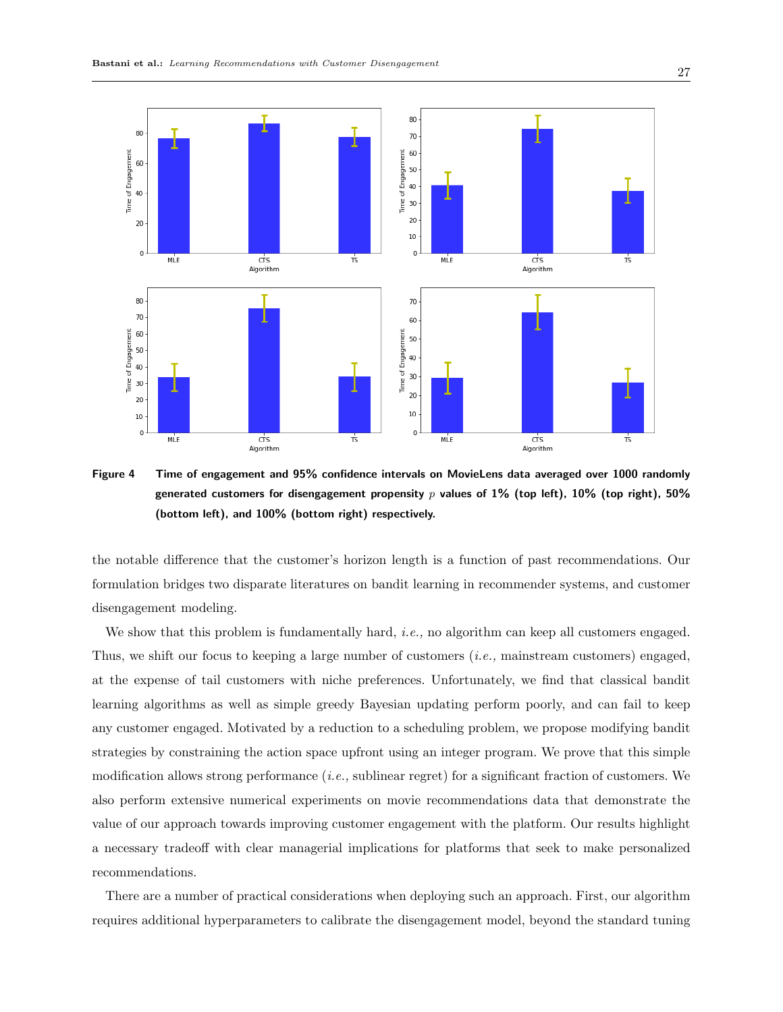

Figure 4 Time of engagement and 95% confidence intervals on MovieLens data averaged over 1000 randomly generated customers for disengagement propensity p values of 1% (top left), 10% (top right), 50% (bottom left), and 100% (bottom right) respectively.

the notable difference that the customer's horizon length is a function of past recommendations. Our formulation bridges two disparate literatures on bandit learning in recommender systems, and customer disengagement modeling.

We show that this problem is fundamentally hard, *i.e.*, no algorithm can keep all customers engaged. Thus, we shift our focus to keeping a large number of customers (i.e., mainstream customers) engaged, at the expense of tail customers with niche preferences. Unfortunately, we find that classical bandit learning algorithms as well as simple greedy Bayesian updating perform poorly, and can fail to keep any customer engaged. Motivated by a reduction to a scheduling problem, we propose modifying bandit strategies by constraining the action space upfront using an integer program. We prove that this simple modification allows strong performance (i.e., sublinear regret) for a significant fraction of customers. We also perform extensive numerical experiments on movie recommendations data that demonstrate the value of our approach towards improving customer engagement with the platform. Our results highlight a necessary tradeoff with clear managerial implications for platforms that seek to make personalized recommendations.

There are a number of practical considerations when deploying such an approach. First, our algorithm requires additional hyperparameters to calibrate the disengagement model, beyond the standard tuning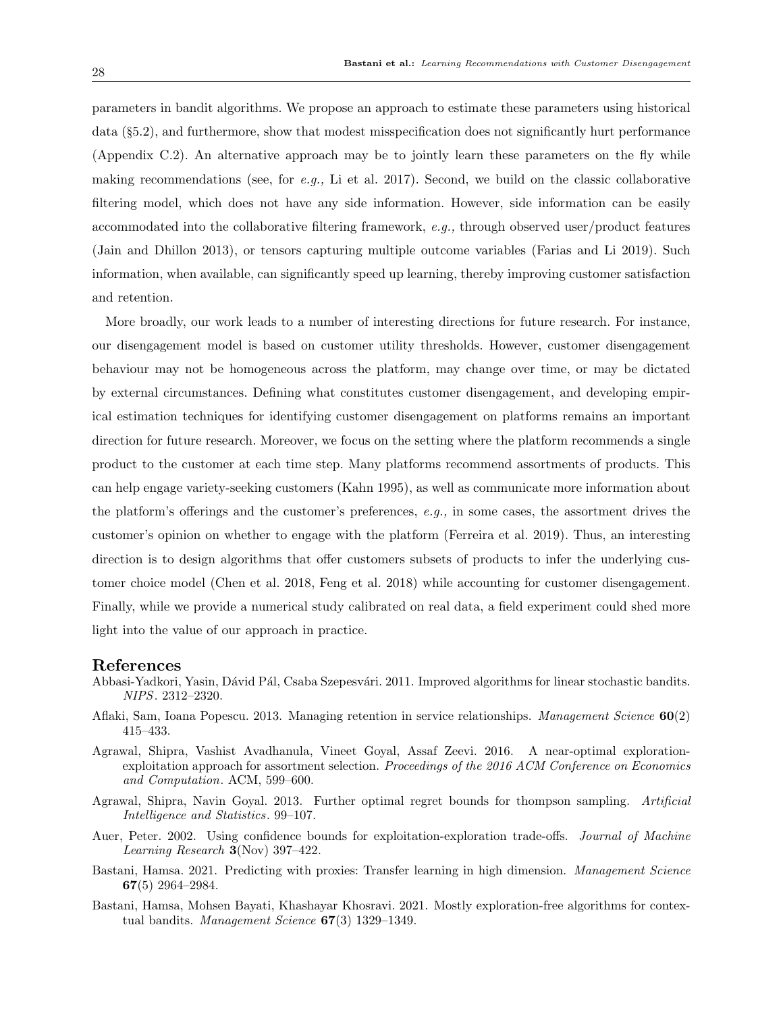parameters in bandit algorithms. We propose an approach to estimate these parameters using historical data (§5.2), and furthermore, show that modest misspecification does not significantly hurt performance (Appendix C.2). An alternative approach may be to jointly learn these parameters on the fly while making recommendations (see, for e.g., Li et al. 2017). Second, we build on the classic collaborative filtering model, which does not have any side information. However, side information can be easily accommodated into the collaborative filtering framework, e.g., through observed user/product features (Jain and Dhillon 2013), or tensors capturing multiple outcome variables (Farias and Li 2019). Such information, when available, can significantly speed up learning, thereby improving customer satisfaction and retention.

More broadly, our work leads to a number of interesting directions for future research. For instance, our disengagement model is based on customer utility thresholds. However, customer disengagement behaviour may not be homogeneous across the platform, may change over time, or may be dictated by external circumstances. Defining what constitutes customer disengagement, and developing empirical estimation techniques for identifying customer disengagement on platforms remains an important direction for future research. Moreover, we focus on the setting where the platform recommends a single product to the customer at each time step. Many platforms recommend assortments of products. This can help engage variety-seeking customers (Kahn 1995), as well as communicate more information about the platform's offerings and the customer's preferences, e.g., in some cases, the assortment drives the customer's opinion on whether to engage with the platform (Ferreira et al. 2019). Thus, an interesting direction is to design algorithms that offer customers subsets of products to infer the underlying customer choice model (Chen et al. 2018, Feng et al. 2018) while accounting for customer disengagement. Finally, while we provide a numerical study calibrated on real data, a field experiment could shed more light into the value of our approach in practice.

# References

- Abbasi-Yadkori, Yasin, Dávid Pál, Csaba Szepesvári. 2011. Improved algorithms for linear stochastic bandits. NIPS. 2312–2320.
- Aflaki, Sam, Ioana Popescu. 2013. Managing retention in service relationships. Management Science 60(2) 415–433.
- Agrawal, Shipra, Vashist Avadhanula, Vineet Goyal, Assaf Zeevi. 2016. A near-optimal explorationexploitation approach for assortment selection. Proceedings of the 2016 ACM Conference on Economics and Computation. ACM, 599–600.
- Agrawal, Shipra, Navin Goyal. 2013. Further optimal regret bounds for thompson sampling. Artificial Intelligence and Statistics. 99–107.
- Auer, Peter. 2002. Using confidence bounds for exploitation-exploration trade-offs. Journal of Machine *Learning Research*  $3(Nov)$  397–422.
- Bastani, Hamsa. 2021. Predicting with proxies: Transfer learning in high dimension. Management Science 67(5) 2964–2984.
- Bastani, Hamsa, Mohsen Bayati, Khashayar Khosravi. 2021. Mostly exploration-free algorithms for contextual bandits. Management Science  $67(3)$  1329–1349.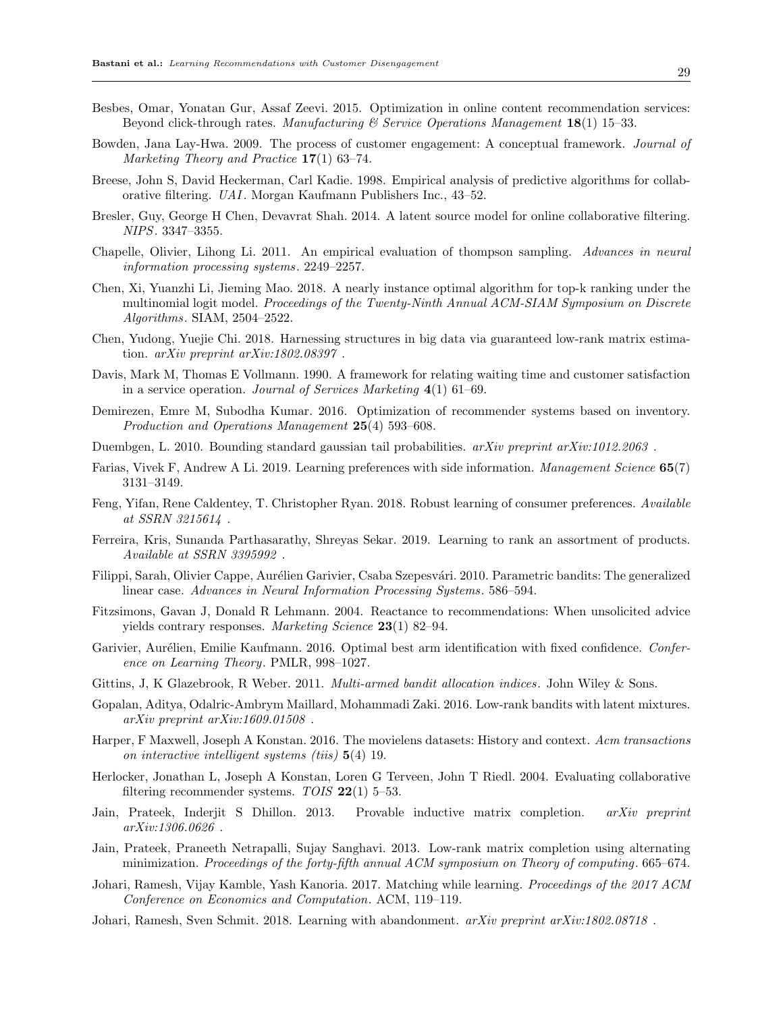- Besbes, Omar, Yonatan Gur, Assaf Zeevi. 2015. Optimization in online content recommendation services: Beyond click-through rates. Manufacturing  $\mathcal C$  Service Operations Management 18(1) 15–33.
- Bowden, Jana Lay-Hwa. 2009. The process of customer engagement: A conceptual framework. Journal of Marketing Theory and Practice 17(1) 63–74.
- Breese, John S, David Heckerman, Carl Kadie. 1998. Empirical analysis of predictive algorithms for collaborative filtering. UAI. Morgan Kaufmann Publishers Inc., 43–52.
- Bresler, Guy, George H Chen, Devavrat Shah. 2014. A latent source model for online collaborative filtering. NIPS. 3347–3355.
- Chapelle, Olivier, Lihong Li. 2011. An empirical evaluation of thompson sampling. Advances in neural information processing systems. 2249–2257.
- Chen, Xi, Yuanzhi Li, Jieming Mao. 2018. A nearly instance optimal algorithm for top-k ranking under the multinomial logit model. Proceedings of the Twenty-Ninth Annual ACM-SIAM Symposium on Discrete Algorithms. SIAM, 2504–2522.
- Chen, Yudong, Yuejie Chi. 2018. Harnessing structures in big data via guaranteed low-rank matrix estimation. arXiv preprint arXiv:1802.08397 .
- Davis, Mark M, Thomas E Vollmann. 1990. A framework for relating waiting time and customer satisfaction in a service operation. Journal of Services Marketing 4(1) 61–69.
- Demirezen, Emre M, Subodha Kumar. 2016. Optimization of recommender systems based on inventory. Production and Operations Management 25(4) 593-608.
- Duembgen, L. 2010. Bounding standard gaussian tail probabilities. arXiv preprint arXiv:1012.2063.
- Farias, Vivek F, Andrew A Li. 2019. Learning preferences with side information. Management Science 65(7) 3131–3149.
- Feng, Yifan, Rene Caldentey, T. Christopher Ryan. 2018. Robust learning of consumer preferences. Available at SSRN 3215614 .
- Ferreira, Kris, Sunanda Parthasarathy, Shreyas Sekar. 2019. Learning to rank an assortment of products. Available at SSRN 3395992 .
- Filippi, Sarah, Olivier Cappe, Aurélien Garivier, Csaba Szepesvári. 2010. Parametric bandits: The generalized linear case. Advances in Neural Information Processing Systems. 586–594.
- Fitzsimons, Gavan J, Donald R Lehmann. 2004. Reactance to recommendations: When unsolicited advice yields contrary responses. Marketing Science 23(1) 82–94.
- Garivier, Aurélien, Emilie Kaufmann. 2016. Optimal best arm identification with fixed confidence. Conference on Learning Theory. PMLR, 998–1027.
- Gittins, J, K Glazebrook, R Weber. 2011. *Multi-armed bandit allocation indices*. John Wiley & Sons.
- Gopalan, Aditya, Odalric-Ambrym Maillard, Mohammadi Zaki. 2016. Low-rank bandits with latent mixtures. arXiv preprint arXiv:1609.01508 .
- Harper, F Maxwell, Joseph A Konstan. 2016. The movielens datasets: History and context. Acm transactions on interactive intelligent systems (tiis) 5(4) 19.
- Herlocker, Jonathan L, Joseph A Konstan, Loren G Terveen, John T Riedl. 2004. Evaluating collaborative filtering recommender systems. TOIS  $22(1)$  5–53.
- Jain, Prateek, Inderjit S Dhillon. 2013. Provable inductive matrix completion. arXiv preprint arXiv:1306.0626 .
- Jain, Prateek, Praneeth Netrapalli, Sujay Sanghavi. 2013. Low-rank matrix completion using alternating minimization. Proceedings of the forty-fifth annual ACM symposium on Theory of computing. 665–674.
- Johari, Ramesh, Vijay Kamble, Yash Kanoria. 2017. Matching while learning. Proceedings of the 2017 ACM Conference on Economics and Computation. ACM, 119–119.
- Johari, Ramesh, Sven Schmit. 2018. Learning with abandonment.  $arXiv$  preprint  $arXiv:1802.08718$ .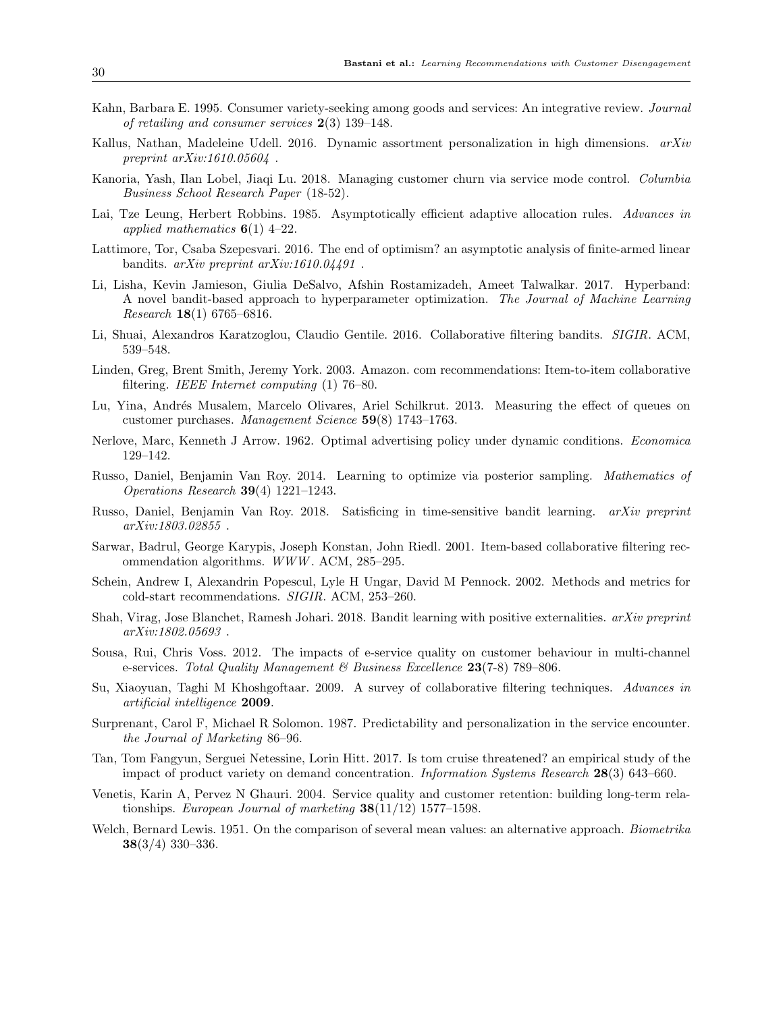- Kahn, Barbara E. 1995. Consumer variety-seeking among goods and services: An integrative review. Journal of retailing and consumer services 2(3) 139–148.
- Kallus, Nathan, Madeleine Udell. 2016. Dynamic assortment personalization in high dimensions. arXiv preprint arXiv:1610.05604 .
- Kanoria, Yash, Ilan Lobel, Jiaqi Lu. 2018. Managing customer churn via service mode control. Columbia Business School Research Paper (18-52).
- Lai, Tze Leung, Herbert Robbins. 1985. Asymptotically efficient adaptive allocation rules. Advances in applied mathematics  $6(1)$  4–22.
- Lattimore, Tor, Csaba Szepesvari. 2016. The end of optimism? an asymptotic analysis of finite-armed linear bandits. arXiv preprint arXiv:1610.04491 .
- Li, Lisha, Kevin Jamieson, Giulia DeSalvo, Afshin Rostamizadeh, Ameet Talwalkar. 2017. Hyperband: A novel bandit-based approach to hyperparameter optimization. The Journal of Machine Learning Research 18(1) 6765–6816.
- Li, Shuai, Alexandros Karatzoglou, Claudio Gentile. 2016. Collaborative filtering bandits. SIGIR. ACM, 539–548.
- Linden, Greg, Brent Smith, Jeremy York. 2003. Amazon. com recommendations: Item-to-item collaborative filtering. IEEE Internet computing (1) 76–80.
- Lu, Yina, Andrés Musalem, Marcelo Olivares, Ariel Schilkrut. 2013. Measuring the effect of queues on customer purchases. Management Science 59(8) 1743–1763.
- Nerlove, Marc, Kenneth J Arrow. 1962. Optimal advertising policy under dynamic conditions. Economica 129–142.
- Russo, Daniel, Benjamin Van Roy. 2014. Learning to optimize via posterior sampling. Mathematics of Operations Research 39(4) 1221–1243.
- Russo, Daniel, Benjamin Van Roy. 2018. Satisficing in time-sensitive bandit learning. arXiv preprint arXiv:1803.02855 .
- Sarwar, Badrul, George Karypis, Joseph Konstan, John Riedl. 2001. Item-based collaborative filtering recommendation algorithms. WWW . ACM, 285–295.
- Schein, Andrew I, Alexandrin Popescul, Lyle H Ungar, David M Pennock. 2002. Methods and metrics for cold-start recommendations. SIGIR. ACM, 253–260.
- Shah, Virag, Jose Blanchet, Ramesh Johari. 2018. Bandit learning with positive externalities. arXiv preprint arXiv:1802.05693 .
- Sousa, Rui, Chris Voss. 2012. The impacts of e-service quality on customer behaviour in multi-channel e-services. Total Quality Management  $\mathscr B$  Business Excellence 23(7-8) 789–806.
- Su, Xiaoyuan, Taghi M Khoshgoftaar. 2009. A survey of collaborative filtering techniques. Advances in artificial intelligence 2009.
- Surprenant, Carol F, Michael R Solomon. 1987. Predictability and personalization in the service encounter. the Journal of Marketing 86–96.
- Tan, Tom Fangyun, Serguei Netessine, Lorin Hitt. 2017. Is tom cruise threatened? an empirical study of the impact of product variety on demand concentration. Information Systems Research 28(3) 643–660.
- Venetis, Karin A, Pervez N Ghauri. 2004. Service quality and customer retention: building long-term relationships. European Journal of marketing  $38(11/12)$  1577–1598.
- Welch, Bernard Lewis. 1951. On the comparison of several mean values: an alternative approach. Biometrika 38(3/4) 330–336.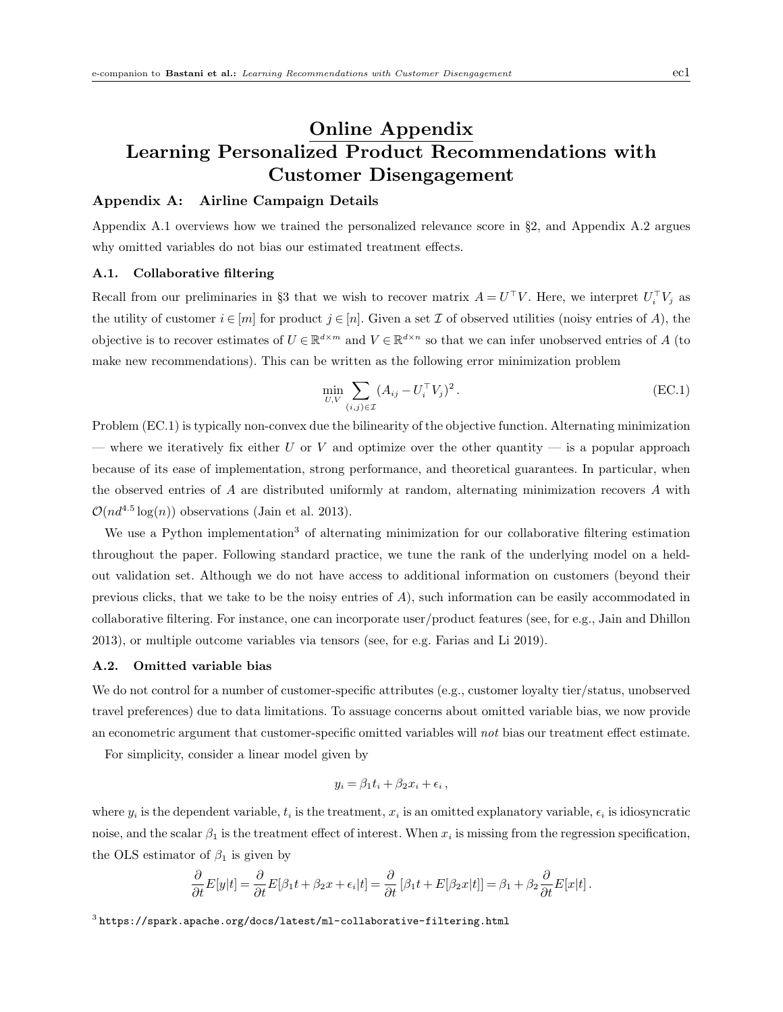# Online Appendix Learning Personalized Product Recommendations with Customer Disengagement

# Appendix A: Airline Campaign Details

Appendix A.1 overviews how we trained the personalized relevance score in §2, and Appendix A.2 argues why omitted variables do not bias our estimated treatment effects.

# A.1. Collaborative filtering

Recall from our preliminaries in §3 that we wish to recover matrix  $A = U^{\top}V$ . Here, we interpret  $U_i^{\top}V_j$  as the utility of customer  $i \in [m]$  for product  $j \in [n]$ . Given a set  $\mathcal I$  of observed utilities (noisy entries of A), the objective is to recover estimates of  $U \in \mathbb{R}^{d \times m}$  and  $V \in \mathbb{R}^{d \times n}$  so that we can infer unobserved entries of A (to make new recommendations). This can be written as the following error minimization problem

$$
\min_{U,V} \sum_{(i,j)\in\mathcal{I}} (A_{ij} - U_i^{\top} V_j)^2.
$$
 (EC.1)

Problem (EC.1) is typically non-convex due the bilinearity of the objective function. Alternating minimization — where we iteratively fix either U or V and optimize over the other quantity — is a popular approach because of its ease of implementation, strong performance, and theoretical guarantees. In particular, when the observed entries of  $A$  are distributed uniformly at random, alternating minimization recovers  $A$  with  $\mathcal{O}(nd^{4.5}\log(n))$  observations (Jain et al. 2013).

We use a Python implementation<sup>3</sup> of alternating minimization for our collaborative filtering estimation throughout the paper. Following standard practice, we tune the rank of the underlying model on a heldout validation set. Although we do not have access to additional information on customers (beyond their previous clicks, that we take to be the noisy entries of A), such information can be easily accommodated in collaborative filtering. For instance, one can incorporate user/product features (see, for e.g., Jain and Dhillon 2013), or multiple outcome variables via tensors (see, for e.g. Farias and Li 2019).

# A.2. Omitted variable bias

We do not control for a number of customer-specific attributes (e.g., customer loyalty tier/status, unobserved travel preferences) due to data limitations. To assuage concerns about omitted variable bias, we now provide an econometric argument that customer-specific omitted variables will not bias our treatment effect estimate.

For simplicity, consider a linear model given by

$$
y_i = \beta_1 t_i + \beta_2 x_i + \epsilon_i ,
$$

where  $y_i$  is the dependent variable,  $t_i$  is the treatment,  $x_i$  is an omitted explanatory variable,  $\epsilon_i$  is idiosyncratic noise, and the scalar  $\beta_1$  is the treatment effect of interest. When  $x_i$  is missing from the regression specification, the OLS estimator of  $\beta_1$  is given by

$$
\frac{\partial}{\partial t}E[y|t] = \frac{\partial}{\partial t}E[\beta_1 t + \beta_2 x + \epsilon_i|t] = \frac{\partial}{\partial t}[\beta_1 t + E[\beta_2 x|t]] = \beta_1 + \beta_2 \frac{\partial}{\partial t}E[x|t].
$$

 $^3$ https://spark.apache.org/docs/latest/ml-collaborative-filtering.html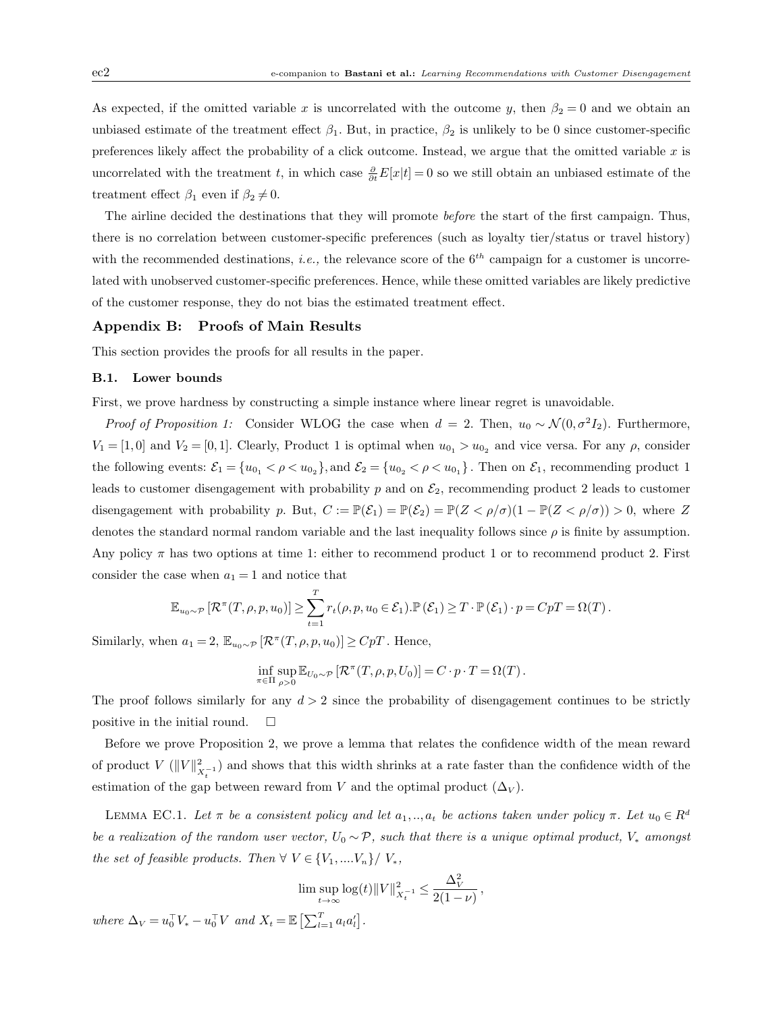As expected, if the omitted variable x is uncorrelated with the outcome y, then  $\beta_2 = 0$  and we obtain an unbiased estimate of the treatment effect  $\beta_1$ . But, in practice,  $\beta_2$  is unlikely to be 0 since customer-specific preferences likely affect the probability of a click outcome. Instead, we argue that the omitted variable  $x$  is uncorrelated with the treatment t, in which case  $\frac{\partial}{\partial t}E[x|t] = 0$  so we still obtain an unbiased estimate of the treatment effect  $\beta_1$  even if  $\beta_2 \neq 0$ .

The airline decided the destinations that they will promote *before* the start of the first campaign. Thus, there is no correlation between customer-specific preferences (such as loyalty tier/status or travel history) with the recommended destinations, *i.e.*, the relevance score of the  $6<sup>th</sup>$  campaign for a customer is uncorrelated with unobserved customer-specific preferences. Hence, while these omitted variables are likely predictive of the customer response, they do not bias the estimated treatment effect.

#### Appendix B: Proofs of Main Results

This section provides the proofs for all results in the paper.

# B.1. Lower bounds

First, we prove hardness by constructing a simple instance where linear regret is unavoidable.

*Proof of Proposition 1:* Consider WLOG the case when  $d = 2$ . Then,  $u_0 \sim \mathcal{N}(0, \sigma^2 I_2)$ . Furthermore,  $V_1 = [1,0]$  and  $V_2 = [0,1]$ . Clearly, Product 1 is optimal when  $u_{0_1} > u_{0_2}$  and vice versa. For any  $\rho$ , consider the following events:  $\mathcal{E}_1 = \{u_{0_1} < \rho < u_{0_2}\}\$ , and  $\mathcal{E}_2 = \{u_{0_2} < \rho < u_{0_1}\}\$ . Then on  $\mathcal{E}_1$ , recommending product 1 leads to customer disengagement with probability p and on  $\mathcal{E}_2$ , recommending product 2 leads to customer disengagement with probability p. But,  $C := \mathbb{P}(\mathcal{E}_1) = \mathbb{P}(\mathcal{E}_2) = \mathbb{P}(Z < \rho/\sigma)(1 - \mathbb{P}(Z < \rho/\sigma)) > 0$ , where Z denotes the standard normal random variable and the last inequality follows since  $\rho$  is finite by assumption. Any policy  $\pi$  has two options at time 1: either to recommend product 1 or to recommend product 2. First consider the case when  $a_1 = 1$  and notice that

$$
\mathbb{E}_{u_0 \sim \mathcal{P}} \left[ \mathcal{R}^\pi(T, \rho, p, u_0) \right] \geq \sum_{t=1}^T r_t(\rho, p, u_0 \in \mathcal{E}_1). \mathbb{P}(\mathcal{E}_1) \geq T \cdot \mathbb{P}(\mathcal{E}_1) \cdot p = CpT = \Omega(T).
$$

Similarly, when  $a_1 = 2$ ,  $\mathbb{E}_{u_0 \sim \mathcal{P}} [\mathcal{R}^\pi(T, \rho, p, u_0)] \geq CpT$ . Hence,

$$
\inf_{\pi \in \Pi} \sup_{\rho > 0} \mathbb{E}_{U_0 \sim \mathcal{P}} \left[ \mathcal{R}^\pi(T,\rho,p,U_0) \right] = C \cdot p \cdot T = \Omega(T) \,.
$$

The proof follows similarly for any  $d > 2$  since the probability of disengagement continues to be strictly positive in the initial round.  $\square$ 

Before we prove Proposition 2, we prove a lemma that relates the confidence width of the mean reward of product  $V(\|V\|_{X_{\tau}}^2)$  and shows that this width shrinks at a rate faster than the confidence width of the t estimation of the gap between reward from V and the optimal product  $(\Delta_V)$ .

LEMMA EC.1. Let  $\pi$  be a consistent policy and let  $a_1, ..., a_t$  be actions taken under policy  $\pi$ . Let  $u_0 \in R^d$ be a realization of the random user vector,  $U_0 \sim \mathcal{P}$ , such that there is a unique optimal product,  $V_*$  amongst the set of feasible products. Then  $\forall V \in \{V_1, ..., V_n\} / V_*$ ,

$$
\limsup_{t \to \infty} \log(t) \|V\|_{X_t^{-1}}^2 \le \frac{\Delta_V^2}{2(1-\nu)},
$$

where  $\Delta_V = u_0^{\top} V_* - u_0^{\top} V$  and  $X_t = \mathbb{E} \left[ \sum_{l=1}^T a_l a_l' \right]$ .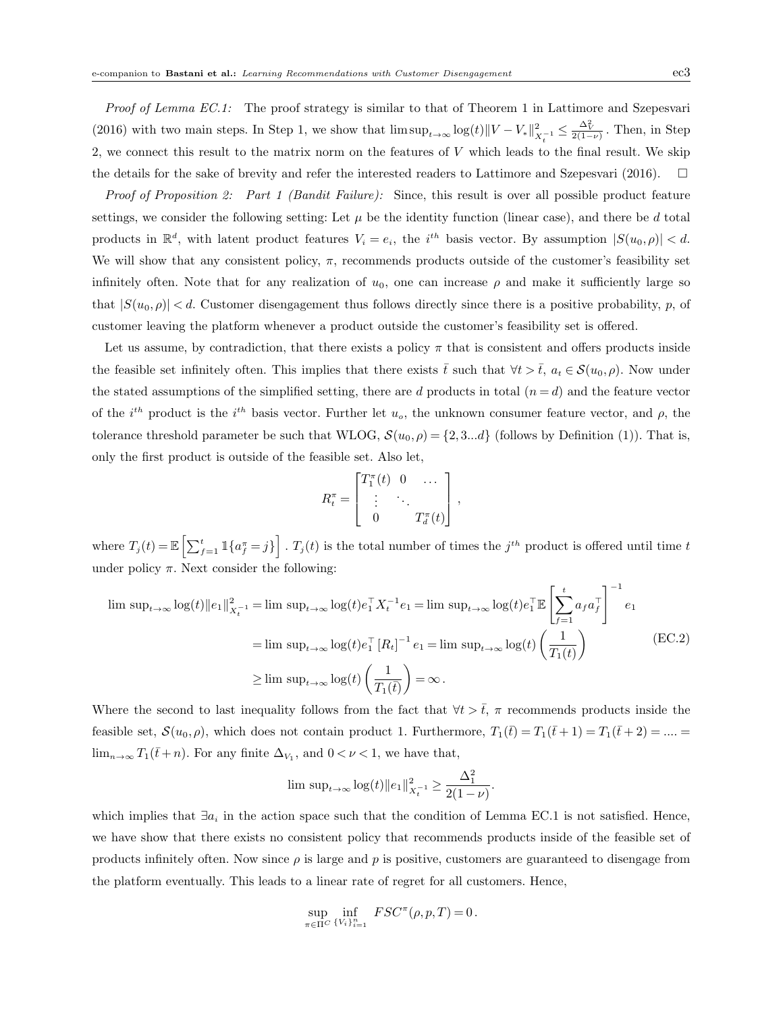Proof of Lemma EC.1: The proof strategy is similar to that of Theorem 1 in Lattimore and Szepesvari (2016) with two main steps. In Step 1, we show that  $\limsup_{t\to\infty} \log(t) ||V - V_*||^2_{X_t^{-1}} \leq \frac{\Delta_V^2}{2(1-\nu)}$ . Then, in Step 2, we connect this result to the matrix norm on the features of V which leads to the final result. We skip the details for the sake of brevity and refer the interested readers to Lattimore and Szepesvari (2016).  $\Box$ 

Proof of Proposition 2: Part 1 (Bandit Failure): Since, this result is over all possible product feature settings, we consider the following setting: Let  $\mu$  be the identity function (linear case), and there be d total products in  $\mathbb{R}^d$ , with latent product features  $V_i = e_i$ , the i<sup>th</sup> basis vector. By assumption  $|S(u_0, \rho)| < d$ . We will show that any consistent policy,  $\pi$ , recommends products outside of the customer's feasibility set infinitely often. Note that for any realization of  $u_0$ , one can increase  $\rho$  and make it sufficiently large so that  $|S(u_0, \rho)| < d$ . Customer disengagement thus follows directly since there is a positive probability, p, of customer leaving the platform whenever a product outside the customer's feasibility set is offered.

Let us assume, by contradiction, that there exists a policy  $\pi$  that is consistent and offers products inside the feasible set infinitely often. This implies that there exists t such that  $\forall t > t$ ,  $a_t \in \mathcal{S}(u_0, \rho)$ . Now under the stated assumptions of the simplified setting, there are d products in total  $(n = d)$  and the feature vector of the  $i^{th}$  product is the  $i^{th}$  basis vector. Further let  $u_o$ , the unknown consumer feature vector, and  $\rho$ , the tolerance threshold parameter be such that WLOG,  $\mathcal{S}(u_0, \rho) = \{2, 3...d\}$  (follows by Definition (1)). That is, only the first product is outside of the feasible set. Also let,

$$
R_t^{\pi} = \begin{bmatrix} T_1^{\pi}(t) & 0 & \dots \\ \vdots & \ddots & \\ 0 & T_d^{\pi}(t) \end{bmatrix},
$$

where  $T_j(t) = \mathbb{E}\left[\sum_{f=1}^t \mathbb{1}\{a_f^{\pi} = j\}\right]$ .  $T_j(t)$  is the total number of times the  $j^{th}$  product is offered until time t under policy  $\pi$ . Next consider the following:

$$
\limsup_{t \to \infty} \log(t) ||e_1||_{X_t^{-1}}^2 = \limsup_{t \to \infty} \log(t) e_1^\top X_t^{-1} e_1 = \limsup_{t \to \infty} \log(t) e_1^\top \mathbb{E} \left[ \sum_{f=1}^t a_f a_f^\top \right]^{-1} e_1
$$
\n
$$
= \limsup_{t \to \infty} \log(t) e_1^\top [R_t]^{-1} e_1 = \limsup_{t \to \infty} \log(t) \left( \frac{1}{T_1(t)} \right)
$$
\n
$$
\geq \limsup_{t \to \infty} \log(t) \left( \frac{1}{T_1(t)} \right) = \infty.
$$
\n(EC.2)

Where the second to last inequality follows from the fact that  $\forall t > \overline{t}$ ,  $\pi$  recommends products inside the feasible set,  $\mathcal{S}(u_0, \rho)$ , which does not contain product 1. Furthermore,  $T_1(\bar{t}) = T_1(\bar{t}+1) = T_1(\bar{t}+2) = ... =$  $\lim_{n\to\infty} T_1(\bar{t}+n)$ . For any finite  $\Delta_{V_1}$ , and  $0 < \nu < 1$ , we have that,

$$
\limsup_{t \to \infty} \log(t) \|e_1\|_{X_t^{-1}}^2 \ge \frac{\Delta_1^2}{2(1-\nu)}.
$$

which implies that  $\exists a_i$  in the action space such that the condition of Lemma EC.1 is not satisfied. Hence, we have show that there exists no consistent policy that recommends products inside of the feasible set of products infinitely often. Now since  $\rho$  is large and p is positive, customers are guaranteed to disengage from the platform eventually. This leads to a linear rate of regret for all customers. Hence,

$$
\sup_{\pi \in \Pi^C} \inf_{\{V_i\}_{i=1}^n} FSC^{\pi}(\rho, p, T) = 0.
$$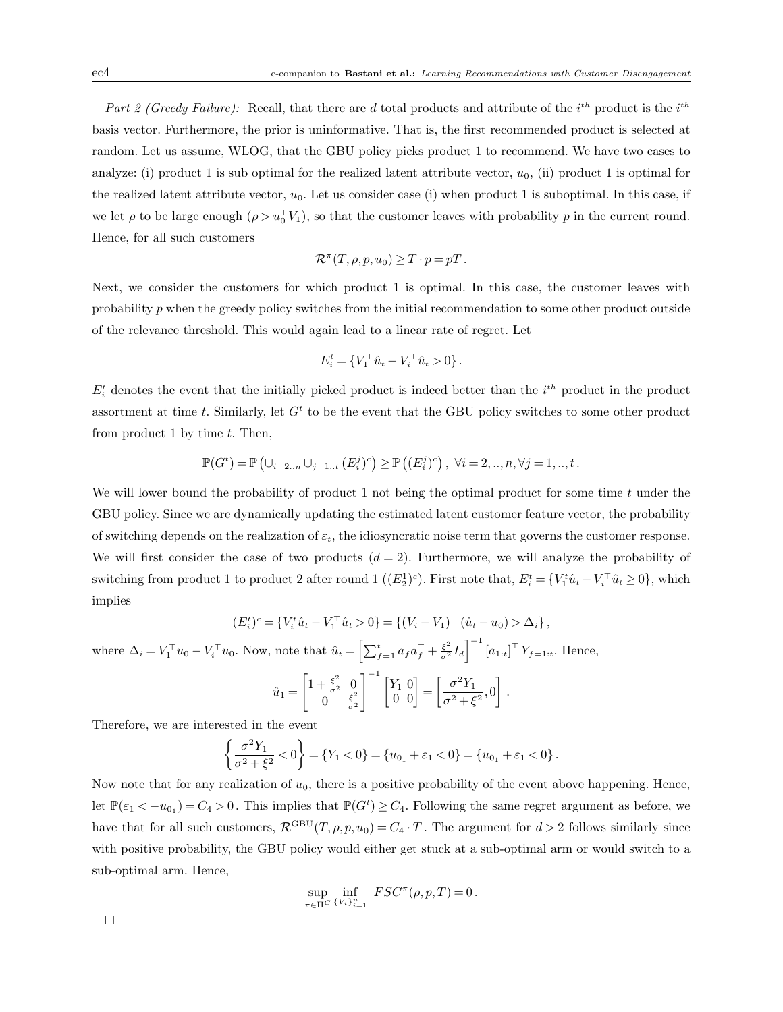Part 2 (Greedy Failure): Recall, that there are d total products and attribute of the  $i^{th}$  product is the  $i^{th}$ basis vector. Furthermore, the prior is uninformative. That is, the first recommended product is selected at random. Let us assume, WLOG, that the GBU policy picks product 1 to recommend. We have two cases to analyze: (i) product 1 is sub optimal for the realized latent attribute vector,  $u_0$ , (ii) product 1 is optimal for the realized latent attribute vector,  $u_0$ . Let us consider case (i) when product 1 is suboptimal. In this case, if we let  $\rho$  to be large enough  $(\rho > u_0^{\top} V_1)$ , so that the customer leaves with probability  $p$  in the current round. Hence, for all such customers

$$
\mathcal{R}^{\pi}(T,\rho,p,u_0) \geq T \cdot p = pT.
$$

Next, we consider the customers for which product 1 is optimal. In this case, the customer leaves with probability  $p$  when the greedy policy switches from the initial recommendation to some other product outside of the relevance threshold. This would again lead to a linear rate of regret. Let

$$
E_i^t = \{V_1^\top \hat{u}_t - V_i^\top \hat{u}_t > 0\}.
$$

 $E_i^t$  denotes the event that the initially picked product is indeed better than the  $i^{th}$  product in the product assortment at time t. Similarly, let  $G<sup>t</sup>$  to be the event that the GBU policy switches to some other product from product 1 by time  $t$ . Then,

$$
\mathbb{P}(G^t) = \mathbb{P}\left(\cup_{i=2..n} \cup_{j=1..t} (E_i^j)^c\right) \ge \mathbb{P}\left((E_i^j)^c\right), \ \forall i = 2,..,n, \forall j = 1,..,t.
$$

We will lower bound the probability of product 1 not being the optimal product for some time  $t$  under the GBU policy. Since we are dynamically updating the estimated latent customer feature vector, the probability of switching depends on the realization of  $\varepsilon_t$ , the idiosyncratic noise term that governs the customer response. We will first consider the case of two products  $(d = 2)$ . Furthermore, we will analyze the probability of switching from product 1 to product 2 after round 1  $((E_2^1)^c)$ . First note that,  $E_i^t = \{V_1^t \hat{u}_t - V_i^{\top} \hat{u}_t \ge 0\}$ , which implies

$$
(E_i^t)^c = \{V_i^t \hat{u}_t - V_1^\top \hat{u}_t > 0\} = \{ (V_i - V_1)^\top (\hat{u}_t - u_0) > \Delta_i \},
$$

where  $\Delta_i = V_1^{\top} u_0 - V_i^{\top} u_0$ . Now, note that  $\hat{u}_t = \left[ \sum_{f=1}^t a_f a_f^{\top} + \frac{\xi^2}{\sigma^2} I_d \right]^{-1} [a_{1:t}]^{\top} Y_{f=1:t}$ . Hence,

$$
\hat{u}_1 = \begin{bmatrix} 1 + \frac{\xi^2}{\sigma^2} & 0 \\ 0 & \frac{\xi^2}{\sigma^2} \end{bmatrix}^{-1} \begin{bmatrix} Y_1 & 0 \\ 0 & 0 \end{bmatrix} = \begin{bmatrix} \frac{\sigma^2 Y_1}{\sigma^2 + \xi^2}, 0 \end{bmatrix}.
$$

Therefore, we are interested in the event

$$
\left\{\frac{\sigma^2 Y_1}{\sigma^2 + \xi^2} < 0\right\} = \left\{Y_1 < 0\right\} = \left\{u_{0_1} + \varepsilon_1 < 0\right\} = \left\{u_{0_1} + \varepsilon_1 < 0\right\}.
$$

Now note that for any realization of  $u_0$ , there is a positive probability of the event above happening. Hence, let  $\mathbb{P}(\varepsilon_1 < -u_{0_1}) = C_4 > 0$ . This implies that  $\mathbb{P}(G^t) \geq C_4$ . Following the same regret argument as before, we have that for all such customers,  $\mathcal{R}^{\text{GBU}}(T,\rho,p,u_0) = C_4 \cdot T$ . The argument for  $d > 2$  follows similarly since with positive probability, the GBU policy would either get stuck at a sub-optimal arm or would switch to a sub-optimal arm. Hence,

$$
\sup_{\pi \in \Pi^C} \inf_{\{V_i\}_{i=1}^n} FSC^{\pi}(\rho, p, T) = 0.
$$

 $\Box$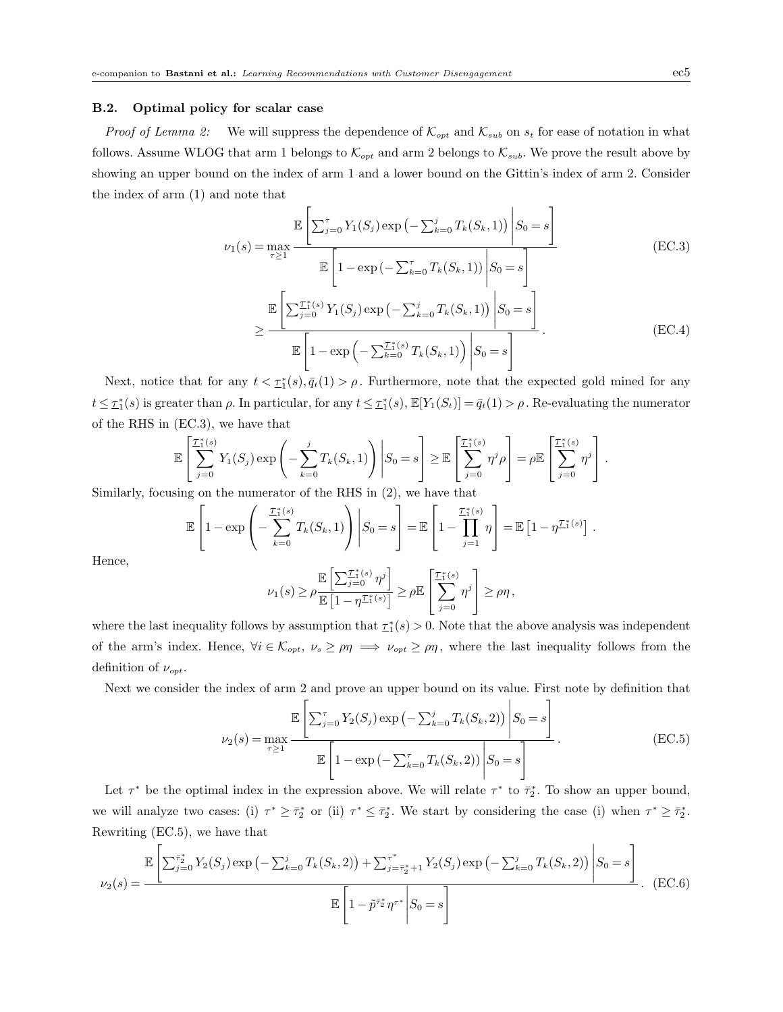# B.2. Optimal policy for scalar case

*Proof of Lemma 2:* We will suppress the dependence of  $\mathcal{K}_{opt}$  and  $\mathcal{K}_{sub}$  on  $s_t$  for ease of notation in what follows. Assume WLOG that arm 1 belongs to  $\mathcal{K}_{opt}$  and arm 2 belongs to  $\mathcal{K}_{sub}$ . We prove the result above by showing an upper bound on the index of arm 1 and a lower bound on the Gittin's index of arm 2. Consider the index of arm (1) and note that

$$
\mathbb{E}\left[\sum_{j=0}^{\tau} Y_1(S_j) \exp\left(-\sum_{k=0}^j T_k(S_k, 1)\right) \middle| S_0 = s\right]
$$
\n
$$
\mathbb{E}\left[1 - \exp\left(-\sum_{k=0}^{\tau} T_k(S_k, 1)\right) \middle| S_0 = s\right]
$$
\n
$$
\geq \frac{\mathbb{E}\left[\sum_{j=0}^{\tau} \mathcal{I}_1^*(s) Y_1(S_j) \exp\left(-\sum_{k=0}^j T_k(S_k, 1)\right) \middle| S_0 = s\right]}{\mathbb{E}\left[1 - \exp\left(-\sum_{k=0}^{\tau} T_k(S_k, 1)\right) \middle| S_0 = s\right]}.
$$
\n(EC.4)

Next, notice that for any  $t < \tau_1^*(s), \bar{q}_t(1) > \rho$ . Furthermore, note that the expected gold mined for any  $t \leq \tau_1^*(s)$  is greater than  $\rho$ . In particular, for any  $t \leq \tau_1^*(s)$ ,  $\mathbb{E}[Y_1(S_t)] = \bar{q}_t(1) > \rho$ . Re-evaluating the numerator of the RHS in (EC.3), we have that

$$
\mathbb{E}\left[\sum_{j=0}^{\mathcal{I}_1^*(s)} Y_1(S_j) \exp\left(-\sum_{k=0}^j T_k(S_k, 1)\right) \middle| S_0 = s\right] \geq \mathbb{E}\left[\sum_{j=0}^{\mathcal{I}_1^*(s)} \eta^j \rho\right] = \rho \mathbb{E}\left[\sum_{j=0}^{\mathcal{I}_1^*(s)} \eta^j\right].
$$
  
where an the numerator of the PHS in (2) we have that

Similarly, focusing on the numerator of the RHS in (2), we have that

$$
\mathbb{E}\left[1-\exp\left(-\sum_{k=0}^{\mathcal{I}_1^*(s)}T_k(S_k,1)\right)\middle|S_0=s\right]=\mathbb{E}\left[1-\prod_{j=1}^{\mathcal{I}_1^*(s)}\eta\right]=\mathbb{E}\left[1-\eta^{\mathcal{I}_1^*(s)}\right].
$$

Hence,

$$
\nu_1(s) \geq \rho \frac{\mathbb{E}\left[\sum_{j=0}^{\mathcal{I}_1^*(s)} \eta^j\right]}{\mathbb{E}\left[1 - \eta^{\mathcal{I}_1^*(s)}\right]} \geq \rho \mathbb{E}\left[\sum_{j=0}^{\mathcal{I}_1^*(s)} \eta^j\right] \geq \rho \eta\,,
$$

where the last inequality follows by assumption that  $\tau_1^*(s) > 0$ . Note that the above analysis was independent of the arm's index. Hence,  $\forall i \in \mathcal{K}_{opt}, \nu_s \ge \rho \eta \implies \nu_{opt} \ge \rho \eta$ , where the last inequality follows from the definition of  $\nu_{opt}$ .

Next we consider the index of arm 2 and prove an upper bound on its value. First note by definition that

$$
\nu_2(s) = \max_{\tau \ge 1} \frac{\mathbb{E}\left[\sum_{j=0}^{\tau} Y_2(S_j) \exp\left(-\sum_{k=0}^j T_k(S_k, 2)\right) \middle| S_0 = s\right]}{\mathbb{E}\left[1 - \exp\left(-\sum_{k=0}^{\tau} T_k(S_k, 2)\right) \middle| S_0 = s\right]}.
$$
\n(EC.5)

Let  $\tau^*$  be the optimal index in the expression above. We will relate  $\tau^*$  to  $\bar{\tau}_2^*$ . To show an upper bound, we will analyze two cases: (i)  $\tau^* \geq \bar{\tau}_2^*$  or (ii)  $\tau^* \leq \bar{\tau}_2^*$ . We start by considering the case (i) when  $\tau^* \geq \bar{\tau}_2^*$ . Rewriting (EC.5), we have that

$$
\mathbb{E}\left[\sum_{j=0}^{\bar{\tau}_2^*} Y_2(S_j) \exp\left(-\sum_{k=0}^j T_k(S_k, 2)\right) + \sum_{j=\bar{\tau}_2^*+1}^{\bar{\tau}_2^*} Y_2(S_j) \exp\left(-\sum_{k=0}^j T_k(S_k, 2)\right) \middle| S_0 = s\right]
$$
  

$$
\mathbb{E}\left[1 - \tilde{p}^{\bar{\tau}_2^*} \eta^{\tau^*} \middle| S_0 = s\right].
$$
 (EC.6)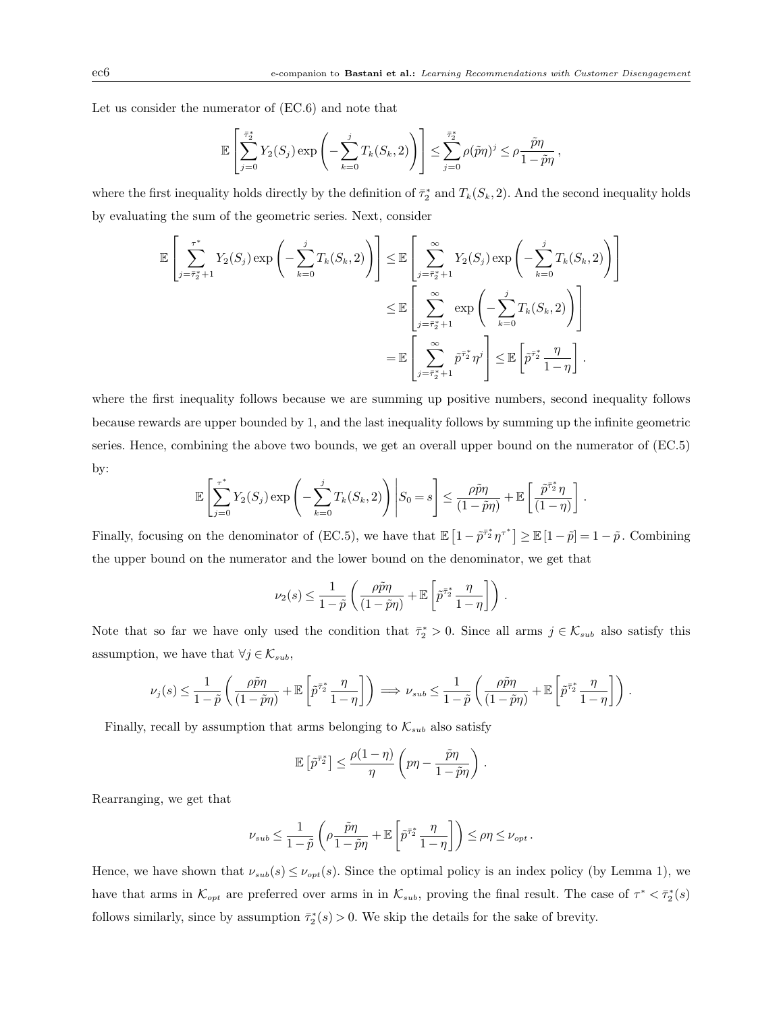Let us consider the numerator of (EC.6) and note that

$$
\mathbb{E}\left[\sum_{j=0}^{\bar{\tau}_2^*} Y_2(S_j) \exp\left(-\sum_{k=0}^j T_k(S_k, 2)\right)\right] \leq \sum_{j=0}^{\bar{\tau}_2^*} \rho(\tilde{p}\eta)^j \leq \rho \frac{\tilde{p}\eta}{1-\tilde{p}\eta},
$$

where the first inequality holds directly by the definition of  $\bar{\tau}_2^*$  and  $T_k(S_k, 2)$ . And the second inequality holds by evaluating the sum of the geometric series. Next, consider

$$
\mathbb{E}\left[\sum_{j=\bar{\tau}_2^*+1}^{\tau^*} Y_2(S_j) \exp\left(-\sum_{k=0}^j T_k(S_k, 2)\right)\right] \leq \mathbb{E}\left[\sum_{j=\bar{\tau}_2^*+1}^{\infty} Y_2(S_j) \exp\left(-\sum_{k=0}^j T_k(S_k, 2)\right)\right]
$$
  

$$
\leq \mathbb{E}\left[\sum_{j=\bar{\tau}_2^*+1}^{\infty} \exp\left(-\sum_{k=0}^j T_k(S_k, 2)\right)\right]
$$
  

$$
= \mathbb{E}\left[\sum_{j=\bar{\tau}_2^*+1}^{\infty} \tilde{p}^{\bar{\tau}_2^*} \eta^j\right] \leq \mathbb{E}\left[\tilde{p}^{\bar{\tau}_2^*} \frac{\eta}{1-\eta}\right].
$$

where the first inequality follows because we are summing up positive numbers, second inequality follows because rewards are upper bounded by 1, and the last inequality follows by summing up the infinite geometric series. Hence, combining the above two bounds, we get an overall upper bound on the numerator of (EC.5) by:

$$
\mathbb{E}\left[\sum_{j=0}^{\tau^*} Y_2(S_j) \exp\left(-\sum_{k=0}^j T_k(S_k, 2)\right) \middle| S_0 = s\right] \leq \frac{\rho \tilde{p} \eta}{(1-\tilde{p}\eta)} + \mathbb{E}\left[\frac{\tilde{p}^{\tilde{\tau}_2^*} \eta}{(1-\eta)}\right].
$$

Finally, focusing on the denominator of (EC.5), we have that  $\mathbb{E}\left[1-\tilde{p}^{\bar{\tau}_2} \eta^{\tau^*}\right] \geq \mathbb{E}\left[1-\tilde{p}\right] = 1-\tilde{p}$ . Combining the upper bound on the numerator and the lower bound on the denominator, we get that

$$
\nu_2(s) \leq \frac{1}{1-\tilde{p}} \left( \frac{\rho \tilde{p} \eta}{(1-\tilde{p}\eta)} + \mathbb{E}\left[ \tilde{p}^{\bar{\tau}_2^*} \frac{\eta}{1-\eta} \right] \right).
$$

Note that so far we have only used the condition that  $\bar{\tau}_2^* > 0$ . Since all arms  $j \in \mathcal{K}_{sub}$  also satisfy this assumption, we have that  $\forall j \in \mathcal{K}_{sub}$ ,

$$
\nu_j(s) \leq \frac{1}{1-\tilde{p}}\left(\frac{\rho \tilde{p} \eta}{(1-\tilde{p}\eta)} + \mathbb{E}\left[\tilde{p}^{\bar{\tau}_2^*}\frac{\eta}{1-\eta}\right]\right) \implies \nu_{sub} \leq \frac{1}{1-\tilde{p}}\left(\frac{\rho \tilde{p} \eta}{(1-\tilde{p}\eta)} + \mathbb{E}\left[\tilde{p}^{\bar{\tau}_2^*}\frac{\eta}{1-\eta}\right]\right)\,.
$$

Finally, recall by assumption that arms belonging to  $\mathcal{K}_{sub}$  also satisfy

$$
\mathbb{E}\left[\tilde{p}^{\bar{\tau}_2^*}\right] \le \frac{\rho(1-\eta)}{\eta} \left(p\eta - \frac{\tilde{p}\eta}{1-\tilde{p}\eta}\right).
$$

Rearranging, we get that

$$
\nu_{sub} \leq \frac{1}{1-\tilde{p}}\left(\rho \frac{\tilde{p} \eta}{1-\tilde{p} \eta} + \mathbb{E}\left[\tilde{p}^{\bar{\tau}_2^*} \frac{\eta}{1-\eta}\right]\right) \leq \rho \eta \leq \nu_{opt}\,.
$$

Hence, we have shown that  $\nu_{sub}(s) \leq \nu_{opt}(s)$ . Since the optimal policy is an index policy (by Lemma 1), we have that arms in  $\mathcal{K}_{opt}$  are preferred over arms in in  $\mathcal{K}_{sub}$ , proving the final result. The case of  $\tau^* < \bar{\tau}_2^*(s)$ follows similarly, since by assumption  $\bar{\tau}_2^*(s) > 0$ . We skip the details for the sake of brevity.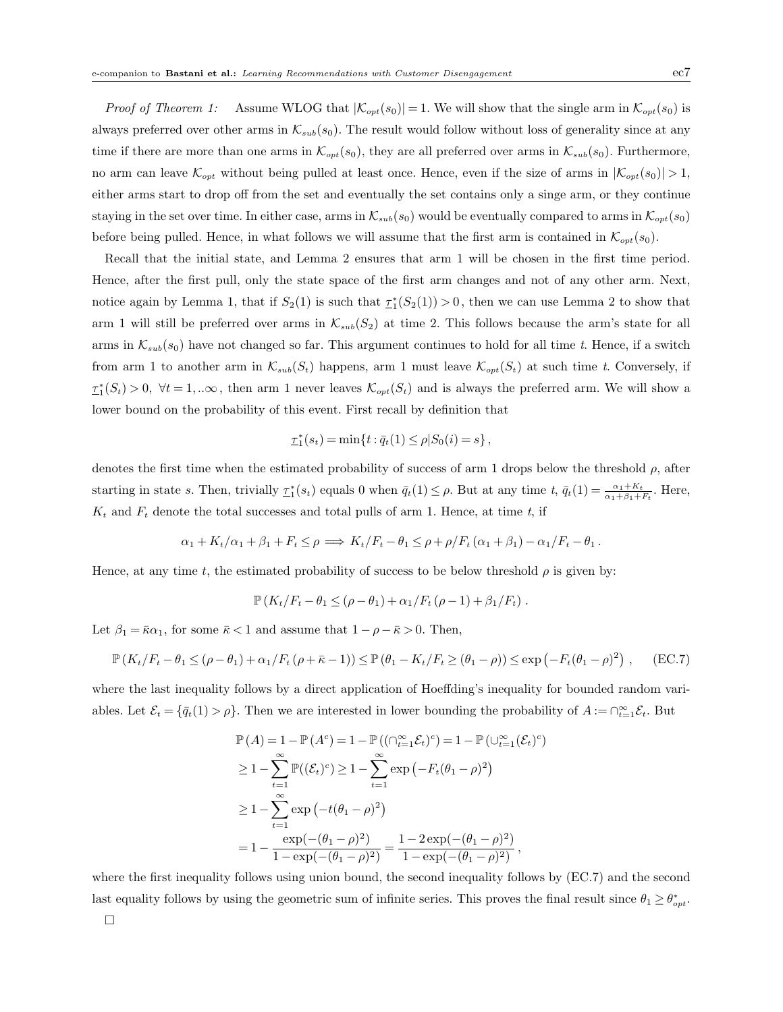*Proof of Theorem 1:* Assume WLOG that  $|\mathcal{K}_{opt}(s_0)| = 1$ . We will show that the single arm in  $\mathcal{K}_{opt}(s_0)$  is always preferred over other arms in  $\mathcal{K}_{sub}(s_0)$ . The result would follow without loss of generality since at any time if there are more than one arms in  $\mathcal{K}_{opt}(s_0)$ , they are all preferred over arms in  $\mathcal{K}_{sub}(s_0)$ . Furthermore, no arm can leave  $\mathcal{K}_{opt}$  without being pulled at least once. Hence, even if the size of arms in  $|\mathcal{K}_{opt}(s_0)| > 1$ , either arms start to drop off from the set and eventually the set contains only a singe arm, or they continue staying in the set over time. In either case, arms in  $\mathcal{K}_{sub}(s_0)$  would be eventually compared to arms in  $\mathcal{K}_{opt}(s_0)$ before being pulled. Hence, in what follows we will assume that the first arm is contained in  $\mathcal{K}_{opt}(s_0)$ .

Recall that the initial state, and Lemma 2 ensures that arm 1 will be chosen in the first time period. Hence, after the first pull, only the state space of the first arm changes and not of any other arm. Next, notice again by Lemma 1, that if  $S_2(1)$  is such that  $\tau_1^*(S_2(1)) > 0$ , then we can use Lemma 2 to show that arm 1 will still be preferred over arms in  $\mathcal{K}_{sub}(S_2)$  at time 2. This follows because the arm's state for all arms in  $\mathcal{K}_{sub}(s_0)$  have not changed so far. This argument continues to hold for all time t. Hence, if a switch from arm 1 to another arm in  $\mathcal{K}_{sub}(S_t)$  happens, arm 1 must leave  $\mathcal{K}_{opt}(S_t)$  at such time t. Conversely, if  $\tau_1^*(S_t) > 0$ ,  $\forall t = 1, ... \infty$ , then arm 1 never leaves  $\mathcal{K}_{opt}(S_t)$  and is always the preferred arm. We will show a lower bound on the probability of this event. First recall by definition that

$$
\underline{\tau}_1^*(s_t) = \min\{t : \overline{q}_t(1) \le \rho | S_0(i) = s\},\,
$$

denotes the first time when the estimated probability of success of arm 1 drops below the threshold  $\rho$ , after starting in state s. Then, trivially  $\underline{\tau}_1^*(s_t)$  equals 0 when  $\overline{q}_t(1) \leq \rho$ . But at any time  $t, \overline{q}_t(1) = \frac{\alpha_1 + K_t}{\alpha_1 + \beta_1 + F_t}$ . Here,  $K_t$  and  $F_t$  denote the total successes and total pulls of arm 1. Hence, at time t, if

$$
\alpha_1 + K_t/\alpha_1 + \beta_1 + F_t \le \rho \implies K_t/F_t - \theta_1 \le \rho + \rho/F_t(\alpha_1 + \beta_1) - \alpha_1/F_t - \theta_1.
$$

Hence, at any time t, the estimated probability of success to be below threshold  $\rho$  is given by:

$$
\mathbb{P}\left(K_t/F_t - \theta_1 \leq (\rho - \theta_1) + \alpha_1/F_t(\rho - 1) + \beta_1/F_t\right).
$$

Let  $\beta_1 = \bar{\kappa}\alpha_1$ , for some  $\bar{\kappa} < 1$  and assume that  $1 - \rho - \bar{\kappa} > 0$ . Then,

$$
\mathbb{P}\left(K_t/F_t - \theta_1 \leq (\rho - \theta_1) + \alpha_1/F_t(\rho + \bar{\kappa} - 1)\right) \leq \mathbb{P}\left(\theta_1 - K_t/F_t \geq (\theta_1 - \rho)\right) \leq \exp\left(-F_t(\theta_1 - \rho)^2\right), \quad \text{(EC.7)}
$$

where the last inequality follows by a direct application of Hoeffding's inequality for bounded random variables. Let  $\mathcal{E}_t = \{\bar{q}_t(1) > \rho\}$ . Then we are interested in lower bounding the probability of  $A := \bigcap_{t=1}^{\infty} \mathcal{E}_t$ . But

$$
\mathbb{P}(A) = 1 - \mathbb{P}(A^{c}) = 1 - \mathbb{P}((\bigcap_{t=1}^{\infty} \mathcal{E}_{t})^{c}) = 1 - \mathbb{P}(\bigcup_{t=1}^{\infty} (\mathcal{E}_{t})^{c})
$$
  
\n
$$
\geq 1 - \sum_{t=1}^{\infty} \mathbb{P}((\mathcal{E}_{t})^{c}) \geq 1 - \sum_{t=1}^{\infty} \exp(-F_{t}(\theta_{1} - \rho)^{2})
$$
  
\n
$$
\geq 1 - \sum_{t=1}^{\infty} \exp(-t(\theta_{1} - \rho)^{2})
$$
  
\n
$$
= 1 - \frac{\exp(-((\theta_{1} - \rho)^{2})}{1 - \exp(-((\theta_{1} - \rho)^{2})} = \frac{1 - 2\exp(-((\theta_{1} - \rho)^{2})}{1 - \exp(-((\theta_{1} - \rho)^{2})},
$$

where the first inequality follows using union bound, the second inequality follows by (EC.7) and the second last equality follows by using the geometric sum of infinite series. This proves the final result since  $\theta_1 \geq \theta_{opt}^*$ .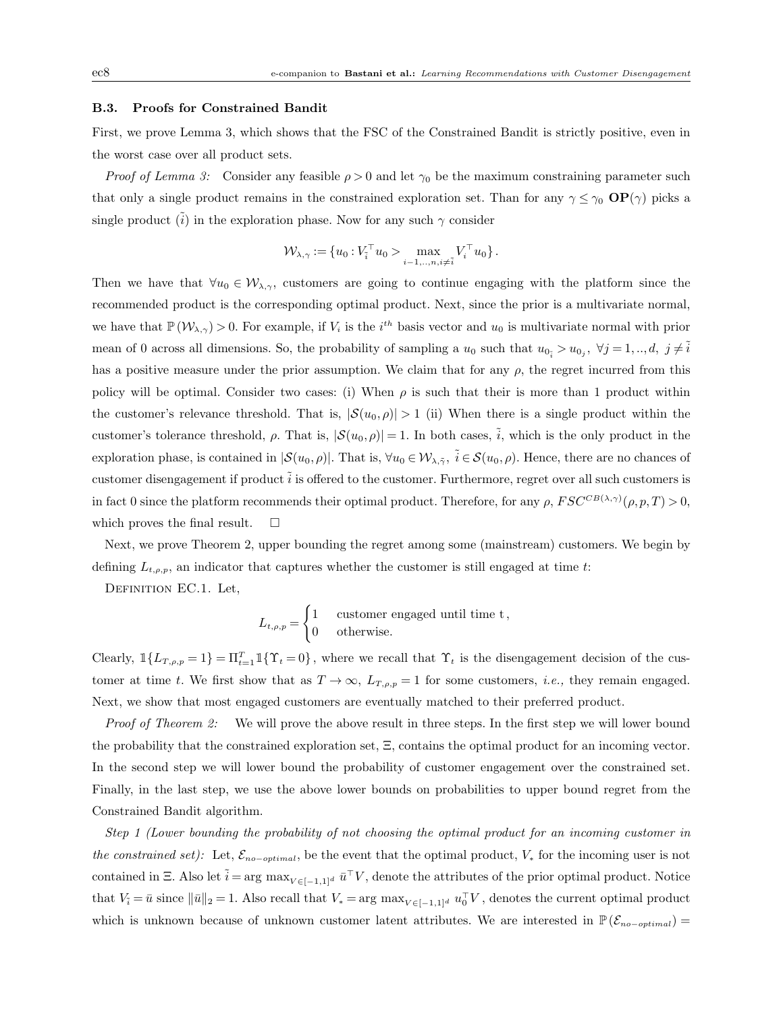# B.3. Proofs for Constrained Bandit

First, we prove Lemma 3, which shows that the FSC of the Constrained Bandit is strictly positive, even in the worst case over all product sets.

*Proof of Lemma 3:* Consider any feasible  $\rho > 0$  and let  $\gamma_0$  be the maximum constraining parameter such that only a single product remains in the constrained exploration set. Than for any  $\gamma \leq \gamma_0$  OP( $\gamma$ ) picks a single product ( $\hat{i}$ ) in the exploration phase. Now for any such  $\gamma$  consider

$$
\mathcal{W}_{\lambda,\gamma} := \{ u_0 : V_i^{\top} u_0 > \max_{i=1,..,n, i \neq \tilde{i}} V_i^{\top} u_0 \}.
$$

Then we have that  $\forall u_0 \in \mathcal{W}_{\lambda,\gamma}$ , customers are going to continue engaging with the platform since the recommended product is the corresponding optimal product. Next, since the prior is a multivariate normal, we have that  $\mathbb{P}(\mathcal{W}_{\lambda,\gamma})>0$ . For example, if  $V_i$  is the i<sup>th</sup> basis vector and  $u_0$  is multivariate normal with prior mean of 0 across all dimensions. So, the probability of sampling a  $u_0$  such that  $u_{0_i} > u_{0_j}$ ,  $\forall j = 1, ..., d, j \neq \tilde{i}$ has a positive measure under the prior assumption. We claim that for any  $\rho$ , the regret incurred from this policy will be optimal. Consider two cases: (i) When  $\rho$  is such that their is more than 1 product within the customer's relevance threshold. That is,  $|S(u_0, \rho)| > 1$  (ii) When there is a single product within the customer's tolerance threshold,  $\rho$ . That is,  $|\mathcal{S}(u_0, \rho)| = 1$ . In both cases,  $\tilde{i}$ , which is the only product in the exploration phase, is contained in  $|\mathcal{S}(u_0, \rho)|$ . That is,  $\forall u_0 \in \mathcal{W}_{\lambda, \tilde{\gamma}}, \ \tilde{i} \in \mathcal{S}(u_0, \rho)$ . Hence, there are no chances of customer disengagement if product  $\tilde{i}$  is offered to the customer. Furthermore, regret over all such customers is in fact 0 since the platform recommends their optimal product. Therefore, for any  $\rho$ ,  $FSC^{CB(\lambda,\gamma)}(\rho,p,T) > 0$ , which proves the final result.  $\square$ 

Next, we prove Theorem 2, upper bounding the regret among some (mainstream) customers. We begin by defining  $L_{t,\rho,p}$ , an indicator that captures whether the customer is still engaged at time t:

Definition EC.1. Let,

$$
L_{t,\rho,p} = \begin{cases} 1 & \text{customer engaged until time t,} \\ 0 & \text{otherwise.} \end{cases}
$$

Clearly,  $\mathbb{1}\{L_{T,\rho,p}=1\}=\Pi_{t=1}^T\mathbb{1}\{\Upsilon_t=0\}$ , where we recall that  $\Upsilon_t$  is the disengagement decision of the customer at time t. We first show that as  $T \to \infty$ ,  $L_{T,\rho,p} = 1$  for some customers, *i.e.*, they remain engaged. Next, we show that most engaged customers are eventually matched to their preferred product.

*Proof of Theorem 2:* We will prove the above result in three steps. In the first step we will lower bound the probability that the constrained exploration set, Ξ, contains the optimal product for an incoming vector. In the second step we will lower bound the probability of customer engagement over the constrained set. Finally, in the last step, we use the above lower bounds on probabilities to upper bound regret from the Constrained Bandit algorithm.

Step 1 (Lower bounding the probability of not choosing the optimal product for an incoming customer in the constrained set): Let,  $\mathcal{E}_{no-optimal}$ , be the event that the optimal product,  $V_*$  for the incoming user is not contained in  $\Xi$ . Also let  $\tilde{i} = \arg \max_{V \in [-1,1]^d} \bar{u}^{\top} V$ , denote the attributes of the prior optimal product. Notice that  $V_i = \bar{u}$  since  $\|\bar{u}\|_2 = 1$ . Also recall that  $V_* = \arg \max_{V \in [-1,1]^d} u_0^{\top} V$ , denotes the current optimal product which is unknown because of unknown customer latent attributes. We are interested in  $\mathbb{P}(\mathcal{E}_{no-optimal}) =$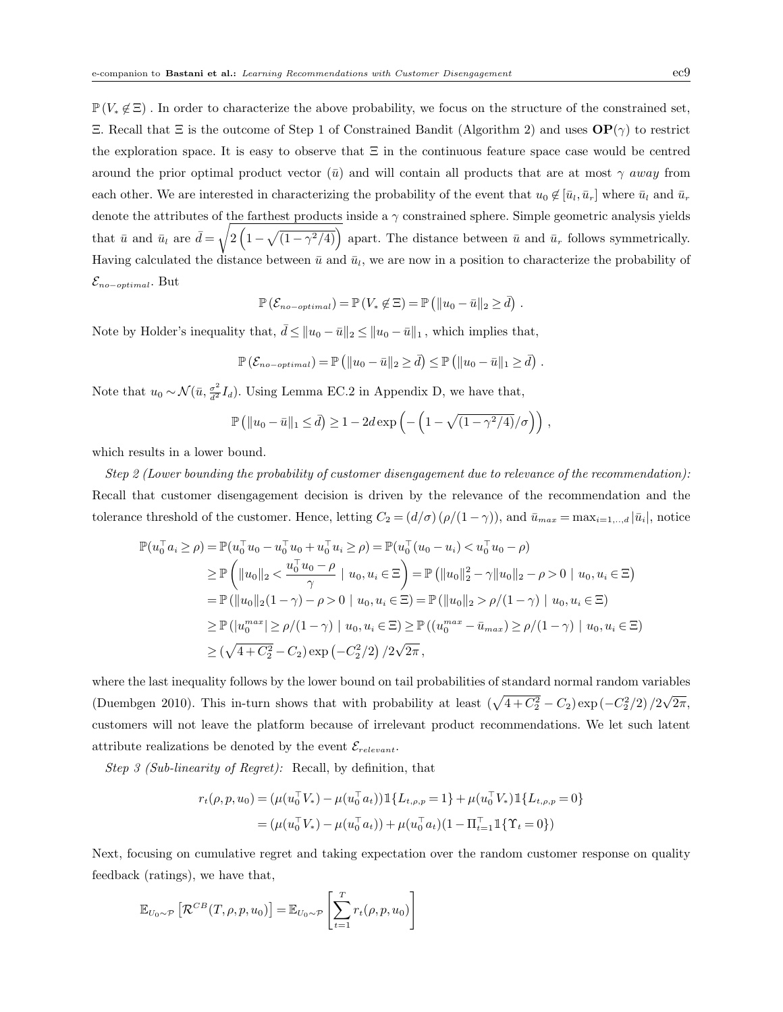$\mathbb{P}(V_* \notin \Xi)$ . In order to characterize the above probability, we focus on the structure of the constrained set, Ξ. Recall that Ξ is the outcome of Step 1 of Constrained Bandit (Algorithm 2) and uses OP(γ) to restrict the exploration space. It is easy to observe that  $\Xi$  in the continuous feature space case would be centred around the prior optimal product vector  $(\bar{u})$  and will contain all products that are at most  $\gamma$  away from each other. We are interested in characterizing the probability of the event that  $u_0 \notin [\bar{u}_l, \bar{u}_r]$  where  $\bar{u}_l$  and  $\bar{u}_r$ denote the attributes of the farthest products inside a  $\gamma$  constrained sphere. Simple geometric analysis yields that  $\bar{u}$  and  $\bar{u}_l$  are  $\bar{d} = \sqrt{2(1 - \sqrt{(1 - \gamma^2/4)})}$  apart. The distance between  $\bar{u}$  and  $\bar{u}_r$  follows symmetrically. Having calculated the distance between  $\bar{u}$  and  $\bar{u}_l$ , we are now in a position to characterize the probability of  $\mathcal{E}_{no-optimal}$ . But

$$
\mathbb{P}(\mathcal{E}_{no-optimal}) = \mathbb{P}(V_* \not\in \Xi) = \mathbb{P}(||u_0 - \bar{u}||_2 \geq \bar{d}) .
$$

Note by Holder's inequality that,  $\bar{d} \le ||u_0 - \bar{u}||_2 \le ||u_0 - \bar{u}||_1$ , which implies that,

$$
\mathbb{P}\left(\mathcal{E}_{no-optimal}\right) = \mathbb{P}\left(\|u_0 - \bar{u}\|_2 \geq \bar{d}\right) \leq \mathbb{P}\left(\|u_0 - \bar{u}\|_1 \geq \bar{d}\right).
$$

Note that  $u_0 \sim \mathcal{N}(\bar{u}, \frac{\sigma^2}{d^2} I_d)$ . Using Lemma EC.2 in Appendix D, we have that,

$$
\mathbb{P}\left(\|u_0 - \bar{u}\|_1 \leq \bar{d}\right) \geq 1 - 2d \exp\left(-\left(1 - \sqrt{\left(1 - \gamma^2/4\right)}/\sigma\right)\right),\,
$$

which results in a lower bound.

Step 2 (Lower bounding the probability of customer disengagement due to relevance of the recommendation): Recall that customer disengagement decision is driven by the relevance of the recommendation and the tolerance threshold of the customer. Hence, letting  $C_2 = (d/\sigma)(\rho/(1-\gamma))$ , and  $\bar{u}_{max} = \max_{i=1,\dots,d} |\bar{u}_i|$ , notice

$$
\mathbb{P}(u_0^{\top} a_i \ge \rho) = \mathbb{P}(u_0^{\top} u_0 - u_0^{\top} u_0 + u_0^{\top} u_i \ge \rho) = \mathbb{P}(u_0^{\top} (u_0 - u_i) < u_0^{\top} u_0 - \rho)
$$
\n
$$
\ge \mathbb{P}\left(\|u_0\|_2 < \frac{u_0^{\top} u_0 - \rho}{\gamma} \mid u_0, u_i \in \Xi\right) = \mathbb{P}\left(\|u_0\|_2^2 - \gamma \|u_0\|_2 - \rho > 0 \mid u_0, u_i \in \Xi\right)
$$
\n
$$
= \mathbb{P}\left(\|u_0\|_2 (1 - \gamma) - \rho > 0 \mid u_0, u_i \in \Xi\right) = \mathbb{P}\left(\|u_0\|_2 > \rho/(1 - \gamma) \mid u_0, u_i \in \Xi\right)
$$
\n
$$
\ge \mathbb{P}\left(\|u_0^{max}\| \ge \rho/(1 - \gamma) \mid u_0, u_i \in \Xi\right) \ge \mathbb{P}\left(\left(u_0^{max} - \bar{u}_{max}\right) \ge \rho/(1 - \gamma) \mid u_0, u_i \in \Xi\right)
$$
\n
$$
\ge \left(\sqrt{4 + C_2^2} - C_2\right) \exp\left(-C_2^2 / 2\right) / 2\sqrt{2\pi},
$$

where the last inequality follows by the lower bound on tail probabilities of standard normal random variables (Duembgen 2010). This in-turn shows that with probability at least  $(\sqrt{4+C_2^2}-C_2)\exp(-C_2^2/2)/2$ √  $2\pi,$ customers will not leave the platform because of irrelevant product recommendations. We let such latent attribute realizations be denoted by the event  $\mathcal{E}_{relevant}$ .

Step 3 (Sub-linearity of Regret): Recall, by definition, that

$$
r_t(\rho, p, u_0) = (\mu(u_0^\top V_*) - \mu(u_0^\top a_t)) \mathbb{1}\{L_{t,\rho,p} = 1\} + \mu(u_0^\top V_*) \mathbb{1}\{L_{t,\rho,p} = 0\}
$$
  
= 
$$
(\mu(u_0^\top V_*) - \mu(u_0^\top a_t)) + \mu(u_0^\top a_t)(1 - \Pi_{t=1}^\top \mathbb{1}\{\Upsilon_t = 0\})
$$

Next, focusing on cumulative regret and taking expectation over the random customer response on quality feedback (ratings), we have that,

$$
\mathbb{E}_{U_0 \sim \mathcal{P}} \left[ \mathcal{R}^{CB}(T, \rho, p, u_0) \right] = \mathbb{E}_{U_0 \sim \mathcal{P}} \left[ \sum_{t=1}^T r_t(\rho, p, u_0) \right]
$$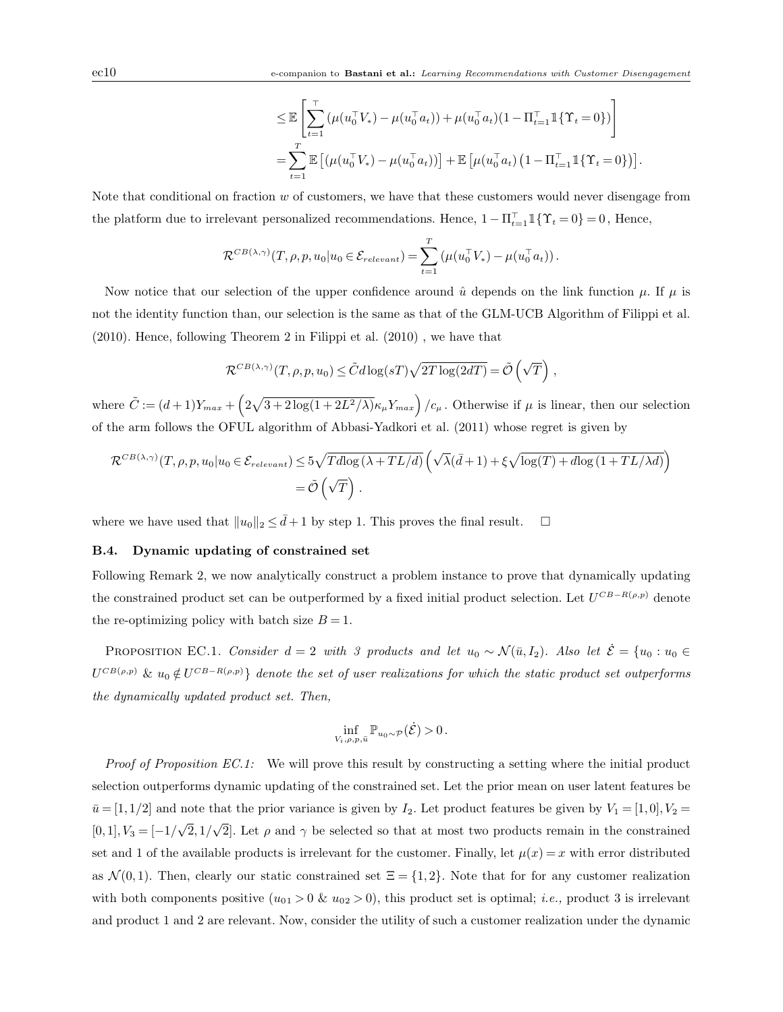$$
\leq \mathbb{E}\left[\sum_{t=1}^{\top}(\mu(u_0^{\top}V_*) - \mu(u_0^{\top}a_t)) + \mu(u_0^{\top}a_t)(1 - \Pi_{t=1}^{\top}\mathbb{1}\{\Upsilon_t = 0\})\right]
$$
  
= 
$$
\sum_{t=1}^T \mathbb{E}\left[(\mu(u_0^{\top}V_*) - \mu(u_0^{\top}a_t))\right] + \mathbb{E}\left[\mu(u_0^{\top}a_t)\left(1 - \Pi_{t=1}^{\top}\mathbb{1}\{\Upsilon_t = 0\}\right)\right].
$$

Note that conditional on fraction  $w$  of customers, we have that these customers would never disengage from the platform due to irrelevant personalized recommendations. Hence,  $1 - \prod_{t=1}^{\top} \mathbb{1}\{\Upsilon_t = 0\} = 0$ , Hence,

$$
\mathcal{R}^{CB(\lambda,\gamma)}(T,\rho,p,u_0|u_0 \in \mathcal{E}_{relevant}) = \sum_{t=1}^T \left(\mu(u_0^{\top}V_*) - \mu(u_0^{\top}a_t)\right).
$$

Now notice that our selection of the upper confidence around  $\hat{u}$  depends on the link function  $\mu$ . If  $\mu$  is not the identity function than, our selection is the same as that of the GLM-UCB Algorithm of Filippi et al. (2010). Hence, following Theorem 2 in Filippi et al. (2010) , we have that

$$
\mathcal{R}^{CB(\lambda,\gamma)}(T,\rho,p,u_0) \leq \tilde{C}d\log(sT)\sqrt{2T\log(2dT)} = \tilde{\mathcal{O}}\left(\sqrt{T}\right),
$$

where  $\tilde{C} := (d+1)Y_{max} + \left(2\sqrt{3+2\log(1+2L^2/\lambda)}\kappa_\mu Y_{max}\right)/c_\mu$ . Otherwise if  $\mu$  is linear, then our selection of the arm follows the OFUL algorithm of Abbasi-Yadkori et al. (2011) whose regret is given by

$$
\mathcal{R}^{CB(\lambda,\gamma)}(T,\rho,p,u_0|u_0 \in \mathcal{E}_{relevant}) \le 5\sqrt{Tdlog(\lambda + TL/d)} \left(\sqrt{\lambda}(\bar{d}+1) + \xi\sqrt{\log(T) + dlog(1 + TL/\lambda d)}\right)
$$
  
=  $\tilde{\mathcal{O}}\left(\sqrt{T}\right)$ .

where we have used that  $||u_0||_2 \leq d + 1$  by step 1. This proves the final result.  $\square$ 

# B.4. Dynamic updating of constrained set

Following Remark 2, we now analytically construct a problem instance to prove that dynamically updating the constrained product set can be outperformed by a fixed initial product selection. Let  $U^{CB-R(\rho,p)}$  denote the re-optimizing policy with batch size  $B = 1$ .

PROPOSITION EC.1. Consider  $d = 2$  with 3 products and let  $u_0 \sim \mathcal{N}(\bar{u}, I_2)$ . Also let  $\dot{\mathcal{E}} = \{u_0 : u_0 \in$  $U^{CB(\rho,p)}$  &  $u_0 \notin U^{CB-R(\rho,p)}$ } denote the set of user realizations for which the static product set outperforms the dynamically updated product set. Then,

$$
\inf_{V_i,\rho,p,\bar{u}}\mathbb{P}_{u_0\sim\mathcal{P}}(\dot{\mathcal{E}})>0.
$$

Proof of Proposition EC.1: We will prove this result by constructing a setting where the initial product selection outperforms dynamic updating of the constrained set. Let the prior mean on user latent features be  $\bar{u} = [1, 1/2]$  and note that the prior variance is given by  $I_2$ . Let product features be given by  $V_1 = [1, 0], V_2 =$  $[0, 1], V_3 = [-1]$ √  $2, 1/$ √ 2. Let  $\rho$  and  $\gamma$  be selected so that at most two products remain in the constrained set and 1 of the available products is irrelevant for the customer. Finally, let  $\mu(x) = x$  with error distributed as  $\mathcal{N}(0,1)$ . Then, clearly our static constrained set  $\Xi = \{1,2\}$ . Note that for for any customer realization with both components positive  $(u_{01} > 0 \& u_{02} > 0)$ , this product set is optimal; *i.e.*, product 3 is irrelevant and product 1 and 2 are relevant. Now, consider the utility of such a customer realization under the dynamic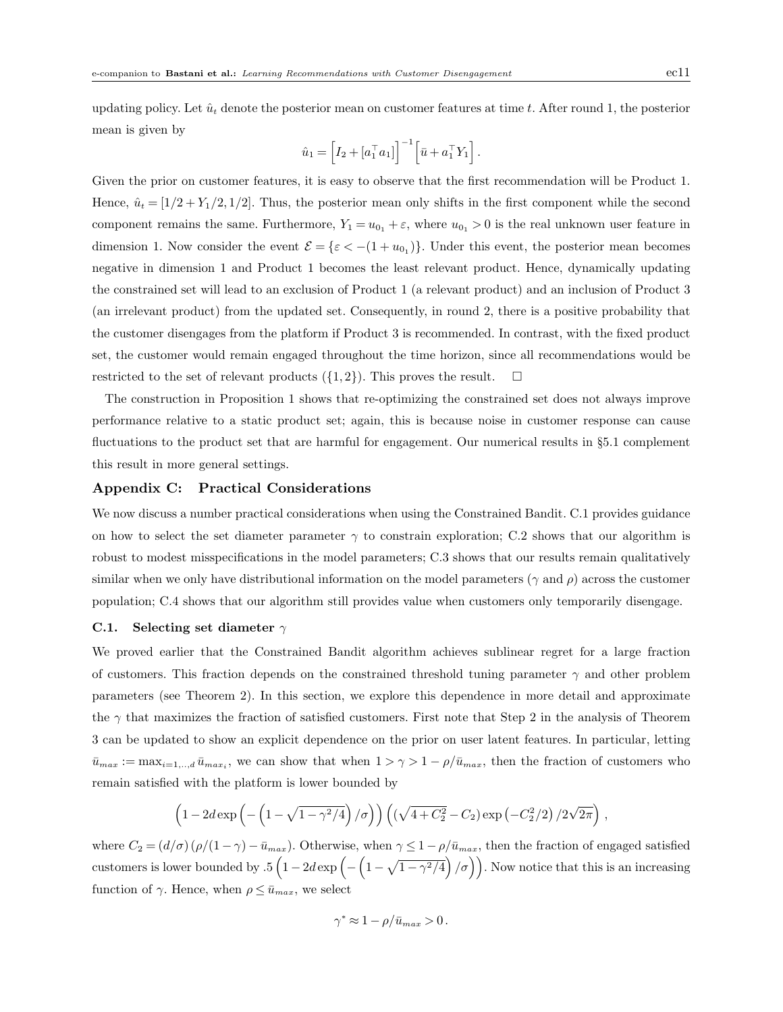updating policy. Let  $\hat{u}_t$  denote the posterior mean on customer features at time t. After round 1, the posterior mean is given by

$$
\hat{u}_1 = \left[I_2 + [a_1^\top a_1]\right]^{-1} \left[\bar{u} + a_1^\top Y_1\right].
$$

Given the prior on customer features, it is easy to observe that the first recommendation will be Product 1. Hence,  $\hat{u}_t = [1/2 + Y_1/2, 1/2]$ . Thus, the posterior mean only shifts in the first component while the second component remains the same. Furthermore,  $Y_1 = u_{0_1} + \varepsilon$ , where  $u_{0_1} > 0$  is the real unknown user feature in dimension 1. Now consider the event  $\mathcal{E} = \{\varepsilon < -(1 + u_{0_1})\}\.$  Under this event, the posterior mean becomes negative in dimension 1 and Product 1 becomes the least relevant product. Hence, dynamically updating the constrained set will lead to an exclusion of Product 1 (a relevant product) and an inclusion of Product 3 (an irrelevant product) from the updated set. Consequently, in round 2, there is a positive probability that the customer disengages from the platform if Product 3 is recommended. In contrast, with the fixed product set, the customer would remain engaged throughout the time horizon, since all recommendations would be restricted to the set of relevant products  $({1, 2})$ . This proves the result.  $\square$ 

The construction in Proposition 1 shows that re-optimizing the constrained set does not always improve performance relative to a static product set; again, this is because noise in customer response can cause fluctuations to the product set that are harmful for engagement. Our numerical results in §5.1 complement this result in more general settings.

# Appendix C: Practical Considerations

We now discuss a number practical considerations when using the Constrained Bandit. C.1 provides guidance on how to select the set diameter parameter  $\gamma$  to constrain exploration; C.2 shows that our algorithm is robust to modest misspecifications in the model parameters; C.3 shows that our results remain qualitatively similar when we only have distributional information on the model parameters ( $\gamma$  and  $\rho$ ) across the customer population; C.4 shows that our algorithm still provides value when customers only temporarily disengage.

#### C.1. Selecting set diameter  $\gamma$

We proved earlier that the Constrained Bandit algorithm achieves sublinear regret for a large fraction of customers. This fraction depends on the constrained threshold tuning parameter  $\gamma$  and other problem parameters (see Theorem 2). In this section, we explore this dependence in more detail and approximate the  $\gamma$  that maximizes the fraction of satisfied customers. First note that Step 2 in the analysis of Theorem 3 can be updated to show an explicit dependence on the prior on user latent features. In particular, letting  $\bar{u}_{max} := \max_{i=1,\dots,d} \bar{u}_{max_i}$ , we can show that when  $1 > \gamma > 1 - \rho/\bar{u}_{max}$ , then the fraction of customers who remain satisfied with the platform is lower bounded by

$$
\left(1-2d\exp\left(-\left(1-\sqrt{1-\gamma^2/4}\right)/\sigma\right)\right)\left(\left(\sqrt{4+C_2^2}-C_2\right)\exp\left(-C_2^2/2\right)/2\sqrt{2\pi}\right),\right.
$$

where  $C_2 = (d/\sigma)(\rho/(1-\gamma) - \bar{u}_{max})$ . Otherwise, when  $\gamma \leq 1-\rho/\bar{u}_{max}$ , then the fraction of engaged satisfied customers is lower bounded by  $.5(1-2d \exp\left(-\left(1-\sqrt{1-\gamma^2/4}\right)/\sigma\right))$ . Now notice that this is an increasing function of  $\gamma$ . Hence, when  $\rho \leq \bar{u}_{max}$ , we select

$$
\gamma^* \approx 1 - \rho/\bar{u}_{max} > 0\,.
$$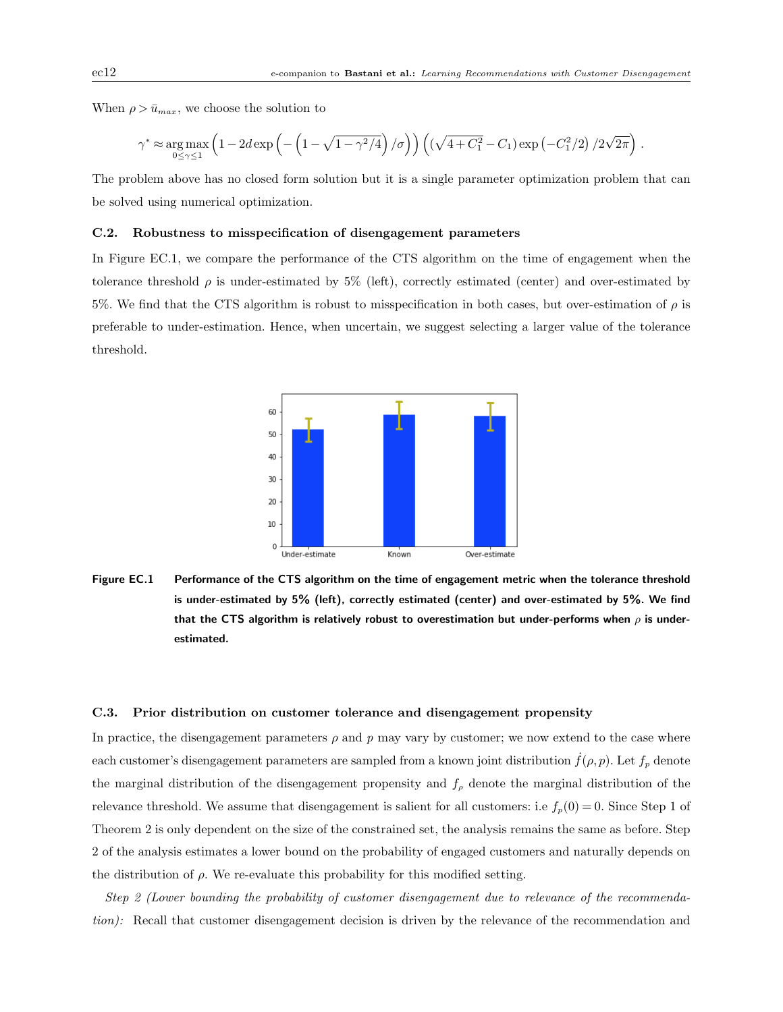.

When  $\rho > \bar{u}_{max}$ , we choose the solution to

$$
\gamma^* \approx \underset{0 \leq \gamma \leq 1}{\arg\max} \left(1-2d \exp \left(-\left(1-\sqrt{1-\gamma^2/4}\right)/\sigma\right)\right) \left(\left(\sqrt{4+C_1^2}-C_1\right) \exp \left(-C_1^2/2\right)/2\sqrt{2\pi}\right)
$$

The problem above has no closed form solution but it is a single parameter optimization problem that can be solved using numerical optimization.

# C.2. Robustness to misspecification of disengagement parameters

In Figure EC.1, we compare the performance of the CTS algorithm on the time of engagement when the tolerance threshold  $\rho$  is under-estimated by 5% (left), correctly estimated (center) and over-estimated by 5%. We find that the CTS algorithm is robust to misspecification in both cases, but over-estimation of  $\rho$  is preferable to under-estimation. Hence, when uncertain, we suggest selecting a larger value of the tolerance threshold.



Figure EC.1 Performance of the CTS algorithm on the time of engagement metric when the tolerance threshold is under-estimated by 5% (left), correctly estimated (center) and over-estimated by 5%. We find that the CTS algorithm is relatively robust to overestimation but under-performs when  $\rho$  is underestimated.

#### C.3. Prior distribution on customer tolerance and disengagement propensity

In practice, the disengagement parameters  $\rho$  and p may vary by customer; we now extend to the case where each customer's disengagement parameters are sampled from a known joint distribution  $f(\rho, p)$ . Let  $f_p$  denote the marginal distribution of the disengagement propensity and  $f_{\rho}$  denote the marginal distribution of the relevance threshold. We assume that disengagement is salient for all customers: i.e  $f_p(0) = 0$ . Since Step 1 of Theorem 2 is only dependent on the size of the constrained set, the analysis remains the same as before. Step 2 of the analysis estimates a lower bound on the probability of engaged customers and naturally depends on the distribution of  $\rho$ . We re-evaluate this probability for this modified setting.

Step 2 (Lower bounding the probability of customer disengagement due to relevance of the recommendation): Recall that customer disengagement decision is driven by the relevance of the recommendation and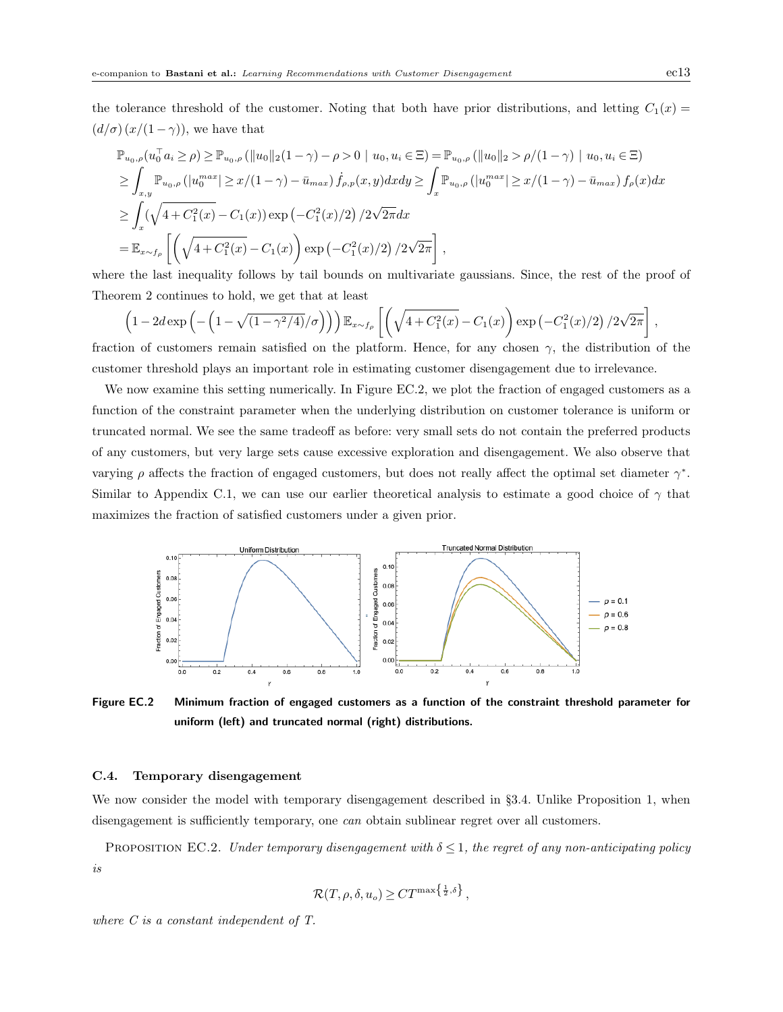the tolerance threshold of the customer. Noting that both have prior distributions, and letting  $C_1(x)$  =  $(d/\sigma)(x/(1-\gamma))$ , we have that

$$
\mathbb{P}_{u_0,\rho}(u_0^{\top}a_i \ge \rho) \ge \mathbb{P}_{u_0,\rho}(\|u_0\|_2(1-\gamma)-\rho>0 \mid u_0, u_i \in \Xi) = \mathbb{P}_{u_0,\rho}(\|u_0\|_2 > \rho/(1-\gamma) \mid u_0, u_i \in \Xi)
$$
\n
$$
\ge \int_{x,y} \mathbb{P}_{u_0,\rho}(|u_0^{max}| \ge x/(1-\gamma) - \bar{u}_{max}) f_{\rho,p}(x,y) dx dy \ge \int_x \mathbb{P}_{u_0,\rho}(|u_0^{max}| \ge x/(1-\gamma) - \bar{u}_{max}) f_{\rho}(x) dx
$$
\n
$$
\ge \int_x (\sqrt{4+C_1^2(x)} - C_1(x)) \exp(-C_1^2(x)/2) / 2\sqrt{2\pi} dx
$$
\n
$$
= \mathbb{E}_{x \sim f_{\rho}}\left[ \left(\sqrt{4+C_1^2(x)} - C_1(x)\right) \exp(-C_1^2(x)/2) / 2\sqrt{2\pi} \right],
$$

where the last inequality follows by tail bounds on multivariate gaussians. Since, the rest of the proof of Theorem 2 continues to hold, we get that at least

$$
\left(1-2d\exp\left(-\left(1-\sqrt{(1-\gamma^2/4)}/\sigma\right)\right)\right)\mathbb{E}_{x\sim f_\rho}\left[\left(\sqrt{4+C_1^2(x)}-C_1(x)\right)\exp\left(-C_1^2(x)/2\right)/2\sqrt{2\pi}\right],
$$

fraction of customers remain satisfied on the platform. Hence, for any chosen  $\gamma$ , the distribution of the customer threshold plays an important role in estimating customer disengagement due to irrelevance.

We now examine this setting numerically. In Figure EC.2, we plot the fraction of engaged customers as a function of the constraint parameter when the underlying distribution on customer tolerance is uniform or truncated normal. We see the same tradeoff as before: very small sets do not contain the preferred products of any customers, but very large sets cause excessive exploration and disengagement. We also observe that varying  $\rho$  affects the fraction of engaged customers, but does not really affect the optimal set diameter  $\gamma^*$ . Similar to Appendix C.1, we can use our earlier theoretical analysis to estimate a good choice of  $\gamma$  that maximizes the fraction of satisfied customers under a given prior.



Figure EC.2 Minimum fraction of engaged customers as a function of the constraint threshold parameter for uniform (left) and truncated normal (right) distributions.

# C.4. Temporary disengagement

We now consider the model with temporary disengagement described in §3.4. Unlike Proposition 1, when disengagement is sufficiently temporary, one *can* obtain sublinear regret over all customers.

PROPOSITION EC.2. Under temporary disengagement with  $\delta \leq 1$ , the regret of any non-anticipating policy is

$$
\mathcal{R}(T,\rho,\delta,u_o) \geq C T^{\max\left\{\frac{1}{2},\delta\right\}},
$$

where C is a constant independent of T.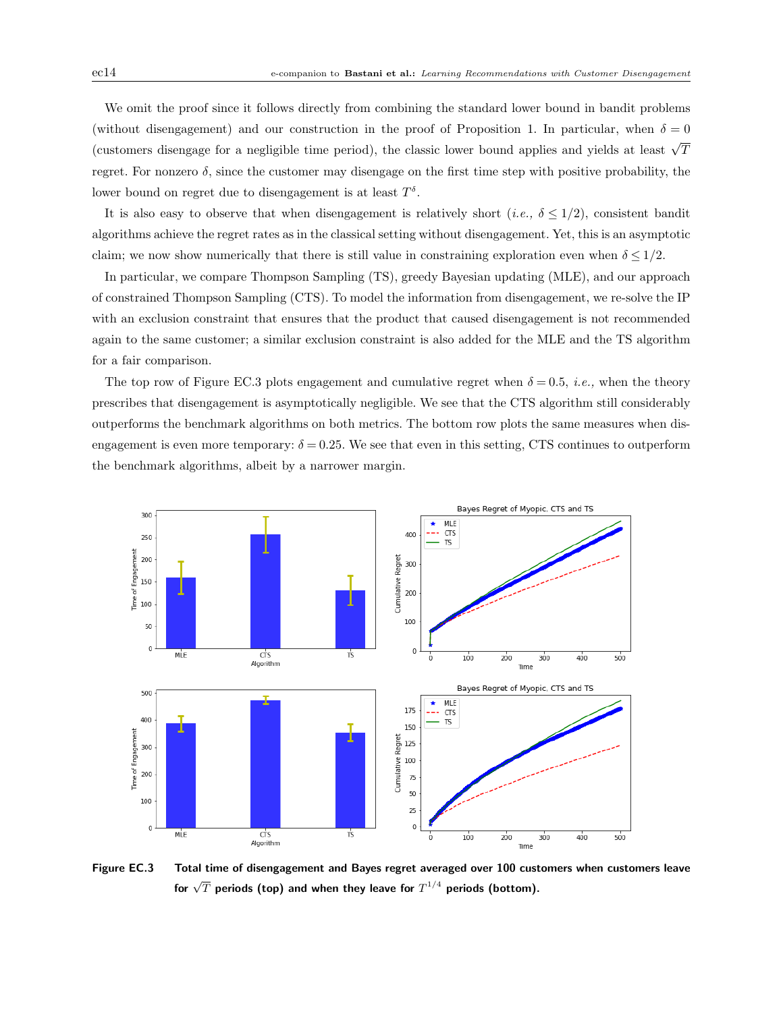We omit the proof since it follows directly from combining the standard lower bound in bandit problems (without disengagement) and our construction in the proof of Proposition 1. In particular, when  $\delta = 0$ (customers disengage for a negligible time period), the classic lower bound applies and yields at least  $\sqrt{T}$ regret. For nonzero  $\delta$ , since the customer may disengage on the first time step with positive probability, the lower bound on regret due to disengagement is at least  $T^{\delta}$ .

It is also easy to observe that when disengagement is relatively short (i.e.,  $\delta \leq 1/2$ ), consistent bandit algorithms achieve the regret rates as in the classical setting without disengagement. Yet, this is an asymptotic claim; we now show numerically that there is still value in constraining exploration even when  $\delta \leq 1/2$ .

In particular, we compare Thompson Sampling (TS), greedy Bayesian updating (MLE), and our approach of constrained Thompson Sampling (CTS). To model the information from disengagement, we re-solve the IP with an exclusion constraint that ensures that the product that caused disengagement is not recommended again to the same customer; a similar exclusion constraint is also added for the MLE and the TS algorithm for a fair comparison.

The top row of Figure EC.3 plots engagement and cumulative regret when  $\delta = 0.5$ , *i.e.*, when the theory prescribes that disengagement is asymptotically negligible. We see that the CTS algorithm still considerably outperforms the benchmark algorithms on both metrics. The bottom row plots the same measures when disengagement is even more temporary:  $\delta = 0.25$ . We see that even in this setting, CTS continues to outperform the benchmark algorithms, albeit by a narrower margin.



Figure EC.3 Total time of disengagement and Bayes regret averaged over 100 customers when customers leave for  $\sqrt{T}$  periods (top) and when they leave for  $T^{1/4}$  periods (bottom).